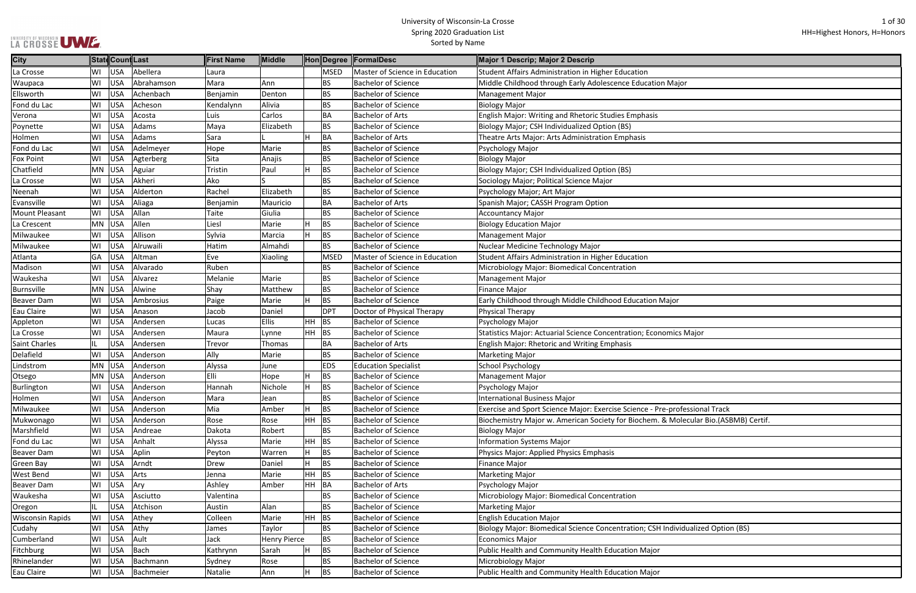|  |  | LA CROSSE UME |
|--|--|---------------|

| ajor                          |
|-------------------------------|
|                               |
|                               |
|                               |
|                               |
|                               |
|                               |
|                               |
|                               |
|                               |
|                               |
|                               |
|                               |
|                               |
|                               |
|                               |
|                               |
| эr                            |
|                               |
| ics Major                     |
|                               |
|                               |
|                               |
|                               |
|                               |
| rofessional Track             |
| Aolecular Bio.(ASBMB) Certif. |
|                               |
|                               |
|                               |
|                               |
|                               |
|                               |
|                               |
|                               |
| ividualized Option (BS)       |
|                               |
|                               |
|                               |

| <b>City</b>             |           |            | StatdCountLast | <b>First Name</b> | Middle              |     |             | Hon Degree FormalDesc          | Major 1 Descrip; Major 2 Descrip                                                   |
|-------------------------|-----------|------------|----------------|-------------------|---------------------|-----|-------------|--------------------------------|------------------------------------------------------------------------------------|
| La Crosse               | WI        | <b>USA</b> | Abellera       | Laura             |                     |     | <b>MSED</b> | Master of Science in Education | Student Affairs Administration in Higher Education                                 |
| Waupaca                 | WI        | <b>USA</b> | Abrahamson     | Mara              | Ann                 |     | <b>BS</b>   | <b>Bachelor of Science</b>     | Middle Childhood through Early Adolescence Education Major                         |
| Ellsworth               | WI        | <b>USA</b> | Achenbach      | Benjamin          | Denton              |     | <b>BS</b>   | <b>Bachelor of Science</b>     | <b>Management Major</b>                                                            |
| Fond du Lac             | WI        | <b>USA</b> | Acheson        | Kendalynn         | Alivia              |     | <b>BS</b>   | <b>Bachelor of Science</b>     | <b>Biology Major</b>                                                               |
| Verona                  | WI        | <b>USA</b> | Acosta         | Luis              | Carlos              |     | BA          | <b>Bachelor of Arts</b>        | English Major: Writing and Rhetoric Studies Emphasis                               |
| Poynette                | WI        | <b>USA</b> | Adams          | Maya              | Elizabeth           |     | <b>BS</b>   | <b>Bachelor of Science</b>     | Biology Major; CSH Individualized Option (BS)                                      |
| Holmen                  | WI        | <b>USA</b> | Adams          | Sara              |                     | Н.  | BA          | <b>Bachelor of Arts</b>        | Theatre Arts Major: Arts Administration Emphasis                                   |
| Fond du Lac             | WI        | <b>USA</b> | Adelmeyer      | Hope              | Marie               |     | <b>BS</b>   | <b>Bachelor of Science</b>     | Psychology Major                                                                   |
| <b>Fox Point</b>        | WI        | <b>USA</b> | Agterberg      | Sita              | Anajis              |     | <b>BS</b>   | <b>Bachelor of Science</b>     | <b>Biology Major</b>                                                               |
| Chatfield               | <b>MN</b> | <b>USA</b> | Aguiar         | Tristin           | Paul                | H   | <b>BS</b>   | <b>Bachelor of Science</b>     | Biology Major; CSH Individualized Option (BS)                                      |
| La Crosse               | WI        | <b>USA</b> | Akheri         | Ako               |                     |     | <b>BS</b>   | <b>Bachelor of Science</b>     | Sociology Major; Political Science Major                                           |
| Neenah                  | WI        | <b>USA</b> | Alderton       | Rachel            | Elizabeth           |     | <b>BS</b>   | <b>Bachelor of Science</b>     | Psychology Major; Art Major                                                        |
| Evansville              | WI        | <b>USA</b> | Aliaga         | Benjamin          | Mauricio            |     | <b>BA</b>   | <b>Bachelor of Arts</b>        | Spanish Major; CASSH Program Option                                                |
| <b>Mount Pleasant</b>   | WI        | <b>USA</b> | Allan          | Taite             | Giulia              |     | <b>BS</b>   | <b>Bachelor of Science</b>     | <b>Accountancy Major</b>                                                           |
| La Crescent             | <b>MN</b> | <b>USA</b> | Allen          | Liesl             | Marie               |     | <b>BS</b>   | <b>Bachelor of Science</b>     | <b>Biology Education Major</b>                                                     |
| Milwaukee               | WI        | <b>USA</b> | Allison        | Sylvia            | Marcia              | н   | <b>BS</b>   | <b>Bachelor of Science</b>     | <b>Management Major</b>                                                            |
| Milwaukee               | WI        | <b>USA</b> | Alruwaili      | Hatim             | Almahdi             |     | BS          | <b>Bachelor of Science</b>     | Nuclear Medicine Technology Major                                                  |
| Atlanta                 | GA        | <b>USA</b> | Altman         | Eve               | Xiaoling            |     | <b>MSED</b> | Master of Science in Education | Student Affairs Administration in Higher Education                                 |
| Madison                 | WI        | <b>USA</b> | Alvarado       | Ruben             |                     |     | <b>BS</b>   | <b>Bachelor of Science</b>     | Microbiology Major: Biomedical Concentration                                       |
| Waukesha                | WI        | <b>USA</b> | Alvarez        | Melanie           | Marie               |     | <b>BS</b>   | <b>Bachelor of Science</b>     | <b>Management Major</b>                                                            |
| Burnsville              | <b>MN</b> | <b>USA</b> | Alwine         | Shay              | Matthew             |     | <b>BS</b>   | <b>Bachelor of Science</b>     | <b>Finance Major</b>                                                               |
| <b>Beaver Dam</b>       | WI        | <b>USA</b> | Ambrosius      | Paige             | Marie               |     | <b>BS</b>   | <b>Bachelor of Science</b>     | Early Childhood through Middle Childhood Education Major                           |
| Eau Claire              | WI        | <b>USA</b> | Anason         | Jacob             | Daniel              |     | <b>DPT</b>  | Doctor of Physical Therapy     | Physical Therapy                                                                   |
| Appleton                | WI        | <b>USA</b> | Andersen       | Lucas             | <b>Ellis</b>        | HH. | <b>BS</b>   | <b>Bachelor of Science</b>     | Psychology Major                                                                   |
| La Crosse               | WI        | <b>USA</b> | Andersen       | Maura             | Lynne               | HH. | <b>BS</b>   | <b>Bachelor of Science</b>     | Statistics Major: Actuarial Science Concentration; Economics Major                 |
| Saint Charles           | IL.       | <b>USA</b> | Andersen       | Trevor            | Thomas              |     | BA          | <b>Bachelor of Arts</b>        | <b>English Major: Rhetoric and Writing Emphasis</b>                                |
| Delafield               | WI        | <b>USA</b> | Anderson       | Ally              | Marie               |     | <b>BS</b>   | <b>Bachelor of Science</b>     | <b>Marketing Major</b>                                                             |
| Lindstrom               | <b>MN</b> | <b>USA</b> | Anderson       | Alyssa            | June                |     | <b>EDS</b>  | <b>Education Specialist</b>    | <b>School Psychology</b>                                                           |
| Otsego                  | MN        | <b>USA</b> | Anderson       | Elli              | Hope                | H.  | <b>BS</b>   | <b>Bachelor of Science</b>     | <b>Management Major</b>                                                            |
| Burlington              | WI        | <b>USA</b> | Anderson       | Hannah            | Nichole             | H   | <b>BS</b>   | <b>Bachelor of Science</b>     | Psychology Major                                                                   |
| Holmen                  | WI        | <b>USA</b> | Anderson       | Mara              | Jean                |     | <b>BS</b>   | <b>Bachelor of Science</b>     | <b>International Business Major</b>                                                |
| Milwaukee               | WI        | <b>USA</b> | Anderson       | Mia               | Amber               |     | <b>BS</b>   | <b>Bachelor of Science</b>     | Exercise and Sport Science Major: Exercise Science - Pre-professional Track        |
| Mukwonago               | WI        | <b>USA</b> | Anderson       | Rose              | Rose                | HH. | BS          | <b>Bachelor of Science</b>     | Biochemistry Major w. American Society for Biochem. & Molecular Bio.(ASBMB) Certif |
| Marshfield              | WI        | <b>USA</b> | Andreae        | Dakota            | Robert              |     | BS          | <b>Bachelor of Science</b>     | <b>Biology Major</b>                                                               |
| Fond du Lac             | WI        | <b>USA</b> | Anhalt         | Alyssa            | Marie               | HH. | <b>BS</b>   | <b>Bachelor of Science</b>     | <b>Information Systems Major</b>                                                   |
| <b>Beaver Dam</b>       | WI        | <b>USA</b> | Aplin          | Peyton            | Warren              | H.  | <b>BS</b>   | <b>Bachelor of Science</b>     | Physics Major: Applied Physics Emphasis                                            |
| <b>Green Bay</b>        | WI        | <b>USA</b> | Arndt          | Drew              | Daniel              |     | <b>BS</b>   | <b>Bachelor of Science</b>     | Finance Major                                                                      |
| West Bend               | WI        | <b>USA</b> | Arts           | Jenna             | Marie               | HH. | <b>BS</b>   | <b>Bachelor of Science</b>     | <b>Marketing Major</b>                                                             |
| <b>Beaver Dam</b>       | WI        | <b>USA</b> | Ary            | Ashley            | Amber               | HH. | BA          | <b>Bachelor of Arts</b>        | Psychology Major                                                                   |
| Waukesha                | WI        | <b>USA</b> | Asciutto       | Valentina         |                     |     | ВS          | <b>Bachelor of Science</b>     | Microbiology Major: Biomedical Concentration                                       |
| Oregon                  | IL.       | <b>USA</b> | Atchison       | Austin            | Alan                |     | <b>BS</b>   | <b>Bachelor of Science</b>     | <b>Marketing Major</b>                                                             |
| <b>Wisconsin Rapids</b> | WI        | <b>USA</b> | Athey          | Colleen           | Marie               | HH  | <b>BS</b>   | <b>Bachelor of Science</b>     | <b>English Education Major</b>                                                     |
| Cudahy                  | WI        | <b>USA</b> | Athy           | James             | Taylor              |     | <b>BS</b>   | <b>Bachelor of Science</b>     | Biology Major: Biomedical Science Concentration; CSH Individualized Option (BS)    |
| Cumberland              | WI        | <b>USA</b> | Ault           | Jack              | <b>Henry Pierce</b> |     | <b>BS</b>   | <b>Bachelor of Science</b>     | <b>Economics Major</b>                                                             |
| Fitchburg               | WI        | <b>USA</b> | <b>Bach</b>    | Kathrynn          | Sarah               | H.  | <b>BS</b>   | <b>Bachelor of Science</b>     | Public Health and Community Health Education Major                                 |
| Rhinelander             | WI        | <b>USA</b> | Bachmann       | Sydney            | Rose                |     | BS          | <b>Bachelor of Science</b>     | Microbiology Major                                                                 |
| Eau Claire              | WI        | <b>USA</b> | Bachmeier      | Natalie           | Ann                 |     | <b>BS</b>   | <b>Bachelor of Science</b>     | Public Health and Community Health Education Major                                 |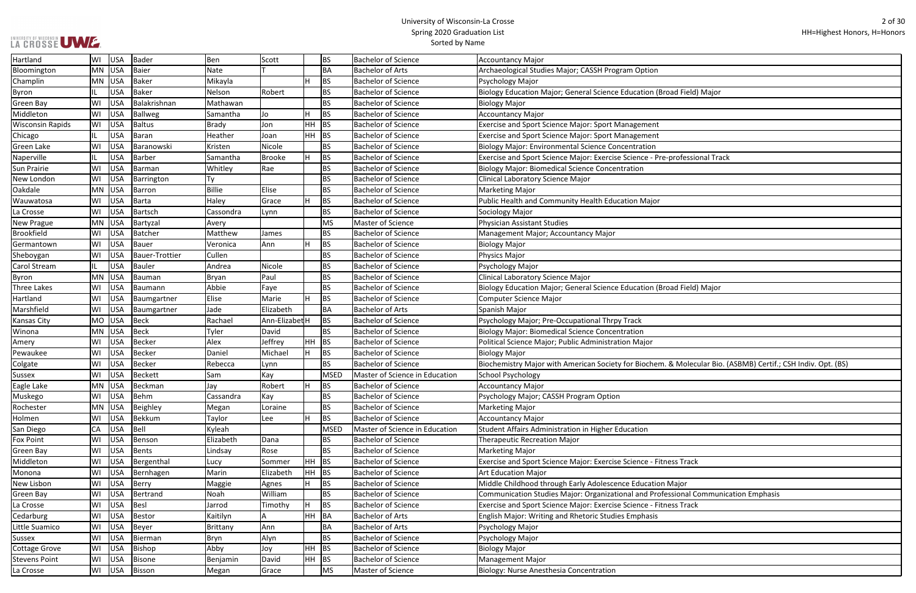| d Field) Major                                       |
|------------------------------------------------------|
|                                                      |
|                                                      |
|                                                      |
|                                                      |
|                                                      |
| rofessional Track                                    |
|                                                      |
|                                                      |
|                                                      |
|                                                      |
|                                                      |
|                                                      |
|                                                      |
|                                                      |
|                                                      |
|                                                      |
|                                                      |
|                                                      |
|                                                      |
| d Field) Major                                       |
|                                                      |
|                                                      |
|                                                      |
|                                                      |
|                                                      |
|                                                      |
| Molecular Bio. (ASBMB) Certif.; CSH Indiv. Opt. (BS) |
|                                                      |
|                                                      |
|                                                      |
|                                                      |
|                                                      |
|                                                      |
|                                                      |
|                                                      |
|                                                      |
| ss Track                                             |
|                                                      |
|                                                      |
| lajor                                                |
| sional Communication Emphasis                        |
| ss Track                                             |
|                                                      |
|                                                      |
|                                                      |
|                                                      |
|                                                      |
|                                                      |
|                                                      |

| Hartland                | WI        | USA    | Bader          | Ben             | Scott          |   | <b>BS</b>   | <b>Bachelor of Science</b>     | <b>Accountancy Major</b>                                                                                     |
|-------------------------|-----------|--------|----------------|-----------------|----------------|---|-------------|--------------------------------|--------------------------------------------------------------------------------------------------------------|
| Bloomington             | <b>MN</b> | USA    | Baier          | Nate            |                |   | <b>BA</b>   | Bachelor of Arts               | Archaeological Studies Major; CASSH Program Option                                                           |
| Champlin                |           | MN USA | Baker          | Mikayla         |                |   | <b>BS</b>   | <b>Bachelor of Science</b>     | Psychology Major                                                                                             |
| <b>Byron</b>            |           | USA    | Baker          | Nelson          | Robert         |   | <b>BS</b>   | <b>Bachelor of Science</b>     | Biology Education Major; General Science Education (Broad Field) Major                                       |
| <b>Green Bay</b>        | WI        | USA    | Balakrishnan   | Mathawan        |                |   | <b>BS</b>   | <b>Bachelor of Science</b>     | <b>Biology Major</b>                                                                                         |
| Middleton               | WI        | USA    | Ballweg        | Samantha        | Jo             |   | <b>BS</b>   | <b>Bachelor of Science</b>     | <b>Accountancy Major</b>                                                                                     |
| <b>Wisconsin Rapids</b> | WI        | USA    | <b>Baltus</b>  | <b>Brady</b>    | Jon            |   | HH BS       | <b>Bachelor of Science</b>     | Exercise and Sport Science Major: Sport Management                                                           |
| Chicago                 |           | USA    | Baran          | Heather         | Joan           |   | HH BS       | <b>Bachelor of Science</b>     | <b>Exercise and Sport Science Major: Sport Management</b>                                                    |
| Green Lake              | W١        | USA    | Baranowski     | Kristen         | Nicole         |   | <b>BS</b>   | <b>Bachelor of Science</b>     | <b>Biology Major: Environmental Science Concentration</b>                                                    |
| Naperville              |           | USA    | Barber         | Samantha        | Brooke         | H | <b>BS</b>   | Bachelor of Science            | Exercise and Sport Science Major: Exercise Science - Pre-professional Track                                  |
| <b>Sun Prairie</b>      | W١        | USA    | Barman         | Whitley         | Rae            |   | <b>BS</b>   | <b>Bachelor of Science</b>     | <b>Biology Major: Biomedical Science Concentration</b>                                                       |
| New London              | W١        | USA    | Barrington     | Ty              |                |   | <b>BS</b>   | <b>Bachelor of Science</b>     | Clinical Laboratory Science Major                                                                            |
| Oakdale                 | MN        | USA    | Barron         | <b>Billie</b>   | Elise          |   | <b>BS</b>   | <b>Bachelor of Science</b>     | <b>Marketing Major</b>                                                                                       |
| Wauwatosa               | W١        | USA    | Barta          | Haley           | Grace          | H | <b>BS</b>   | <b>Bachelor of Science</b>     | Public Health and Community Health Education Major                                                           |
| La Crosse               | WI        | USA    | Bartsch        | Cassondra       | Lynn           |   | <b>BS</b>   | <b>Bachelor of Science</b>     | Sociology Major                                                                                              |
| New Prague              |           | MN USA | Bartyzal       | Avery           |                |   | MS          | Master of Science              | <b>Physician Assistant Studies</b>                                                                           |
| Brookfield              | WI        | USA    | Batcher        | Matthew         | James          |   | <b>BS</b>   | <b>Bachelor of Science</b>     | Management Major; Accountancy Major                                                                          |
| Germantown              | W١        | USA    | Bauer          | Veronica        | Ann            | H | <b>BS</b>   | <b>Bachelor of Science</b>     | <b>Biology Major</b>                                                                                         |
| Sheboygan               | W١        | USA    | Bauer-Trottier | Cullen          |                |   | <b>BS</b>   | <b>Bachelor of Science</b>     | Physics Major                                                                                                |
| <b>Carol Stream</b>     | IL.       | USA    | Bauler         | Andrea          | Nicole         |   | <b>BS</b>   | <b>Bachelor of Science</b>     | Psychology Major                                                                                             |
| <b>Byron</b>            |           | MN USA | Bauman         | Bryan           | Paul           |   | <b>BS</b>   | <b>Bachelor of Science</b>     | Clinical Laboratory Science Major                                                                            |
| Three Lakes             | WI        | USA    | Baumann        | Abbie           | Faye           |   | <b>BS</b>   | <b>Bachelor of Science</b>     | Biology Education Major; General Science Education (Broad Field) Major                                       |
| Hartland                | W١        | USA    | Baumgartner    | Elise           | Marie          | H | <b>BS</b>   | <b>Bachelor of Science</b>     | Computer Science Major                                                                                       |
| Marshfield              | WI        | USA    | Baumgartner    | Jade            | Elizabeth      |   | <b>BA</b>   | <b>Bachelor of Arts</b>        | Spanish Major                                                                                                |
| Kansas City             | MO        | USA    | Beck           | Rachael         | Ann-Elizabet H |   | <b>BS</b>   | <b>Bachelor of Science</b>     | Psychology Major; Pre-Occupational Thrpy Track                                                               |
| Winona                  | MN        | USA    | Beck           | Tyler           | David          |   | <b>BS</b>   | <b>Bachelor of Science</b>     | <b>Biology Major: Biomedical Science Concentration</b>                                                       |
| Amery                   | W١        | USA    | Becker         | Alex            | Jeffrey        |   | HH BS       | <b>Bachelor of Science</b>     | Political Science Major; Public Administration Major                                                         |
| Pewaukee                | WI        | USA    | Becker         | Daniel          | Michael        | H | <b>BS</b>   | Bachelor of Science            | <b>Biology Major</b>                                                                                         |
| Colgate                 | WI        | USA    | Becker         | Rebecca         | Lynn           |   | <b>BS</b>   | <b>Bachelor of Science</b>     | Biochemistry Major with American Society for Biochem. & Molecular Bio. (ASBMB) Certif.; CSH Indiv. Opt. (BS) |
| <b>Sussex</b>           | W١        | USA    | Beckett        | Sam             | Kay            |   | <b>MSED</b> | Master of Science in Education | <b>School Psychology</b>                                                                                     |
| Eagle Lake              |           | MN USA | Beckman        | Jay             | Robert         | H | BS          | <b>Bachelor of Science</b>     | Accountancy Major                                                                                            |
| Muskego                 | WI        | USA    | Behm           | Cassandra       | Kay            |   | <b>BS</b>   | <b>Bachelor of Science</b>     | Psychology Major; CASSH Program Option                                                                       |
| Rochester               | MN        | USA    | Beighley       | Megan           | Loraine        |   | <b>BS</b>   | <b>Bachelor of Science</b>     | <b>Marketing Major</b>                                                                                       |
| Holmen                  | WI        | USA    | Bekkum         | Taylor          | Lee            | H | <b>BS</b>   | <b>Bachelor of Science</b>     | <b>Accountancy Major</b>                                                                                     |
| San Diego               | СA        | USA    | Bell           | Kyleah          |                |   | MSED        | Master of Science in Education | Student Affairs Administration in Higher Education                                                           |
| <b>Fox Point</b>        | WI        | USA    | Benson         | Elizabeth       | Dana           |   | <b>BS</b>   | <b>Bachelor of Science</b>     | <b>Therapeutic Recreation Major</b>                                                                          |
| Green Bay               | WI        | USA    | Bents          | Lindsay         | Rose           |   | <b>BS</b>   | <b>Bachelor of Science</b>     | <b>Marketing Major</b>                                                                                       |
| Middleton               | WI        | USA    | Bergenthal     | Lucy            | Sommer         |   | HH BS       | <b>Bachelor of Science</b>     | Exercise and Sport Science Major: Exercise Science - Fitness Track                                           |
| Monona                  | WI        | USA    | Bernhagen      | Marin           | Elizabeth      |   | HH BS       | <b>Bachelor of Science</b>     | <b>Art Education Major</b>                                                                                   |
| New Lisbon              | WI        | USA    | Berry          | Maggie          | Agnes          | H | <b>BS</b>   | <b>Bachelor of Science</b>     | Middle Childhood through Early Adolescence Education Major                                                   |
| Green Bay               | WI        | USA    | Bertrand       | Noah            | William        |   | <b>BS</b>   | <b>Bachelor of Science</b>     | Communication Studies Major: Organizational and Professional Communication Emphasis                          |
| La Crosse               | WI        | USA    | Besl           | Jarrod          | Timothy        |   | <b>BS</b>   | <b>Bachelor of Science</b>     | Exercise and Sport Science Major: Exercise Science - Fitness Track                                           |
| Cedarburg               | WI        | USA    | Bestor         | Kaitilyn        | ΙA             |   | HH BA       | <b>Bachelor of Arts</b>        | English Major: Writing and Rhetoric Studies Emphasis                                                         |
| Little Suamico          | W١        | USA    | Beyer          | <b>Brittany</b> | Ann            |   | <b>BA</b>   | Bachelor of Arts               | Psychology Major                                                                                             |
| <b>Sussex</b>           | WI        | USA    | Bierman        | Bryn            | Alyn           |   | <b>BS</b>   | <b>Bachelor of Science</b>     | Psychology Major                                                                                             |
| <b>Cottage Grove</b>    | WI        | USA    | Bishop         | Abby            | Joy            |   | HH BS       | <b>Bachelor of Science</b>     | <b>Biology Major</b>                                                                                         |
| <b>Stevens Point</b>    | WI        | USA    | Bisone         | Benjamin        | David          |   | HH BS       | <b>Bachelor of Science</b>     | Management Major                                                                                             |
| La Crosse               | WI        | USA    | Bisson         | Megan           | Grace          |   | MS          | Master of Science              | Biology: Nurse Anesthesia Concentration                                                                      |
|                         |           |        |                |                 |                |   |             |                                |                                                                                                              |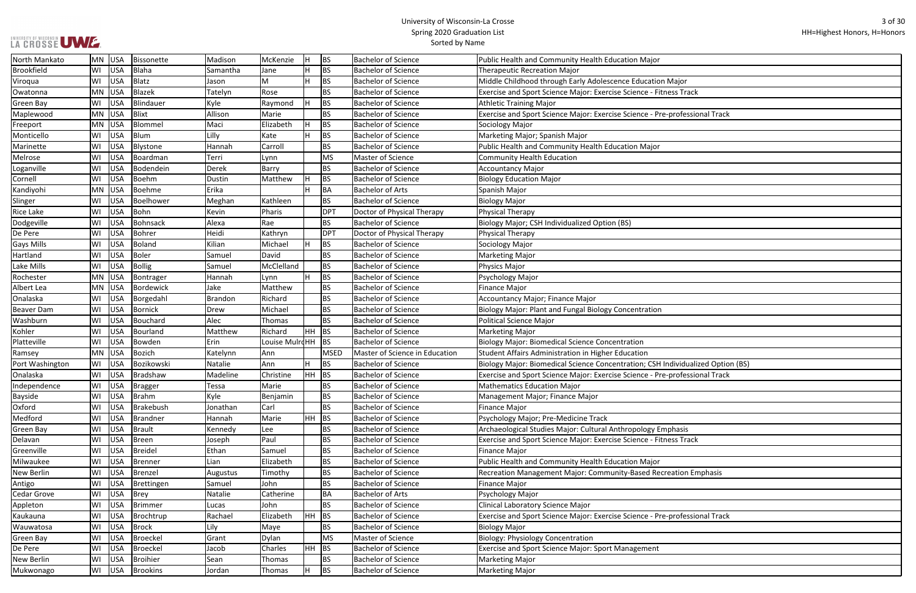|  |  | LA CROSSE UWE. |
|--|--|----------------|

| ajor                    |
|-------------------------|
| s Track                 |
|                         |
| rofessional Track       |
|                         |
|                         |
|                         |
|                         |
|                         |
|                         |
|                         |
|                         |
|                         |
|                         |
|                         |
|                         |
|                         |
|                         |
|                         |
|                         |
|                         |
|                         |
|                         |
|                         |
|                         |
|                         |
|                         |
|                         |
|                         |
| ividualized Option (BS) |
| rofessional Track       |
|                         |
|                         |
|                         |
|                         |
|                         |
| aasis                   |
| s Track                 |
|                         |
|                         |
| tion Emphasis           |
|                         |
|                         |
|                         |
|                         |
| rofessional Track       |
|                         |
|                         |
|                         |
|                         |
|                         |

| North Mankato     | MN | <b>USA</b> | <b>Bissonette</b> | Madison  | McKenzie       | Н         | <b>BS</b>   | <b>Bachelor of Science</b>     | Public Health and Community Health Education Major                              |
|-------------------|----|------------|-------------------|----------|----------------|-----------|-------------|--------------------------------|---------------------------------------------------------------------------------|
| <b>Brookfield</b> | WI | USA        | <b>Blaha</b>      | Samantha | Jane           | H.        | <b>BS</b>   | <b>Bachelor of Science</b>     | <b>Therapeutic Recreation Major</b>                                             |
| Viroqua           | WI | USA        | Blatz             | Jason    | M              | H         | <b>BS</b>   | <b>Bachelor of Science</b>     | Middle Childhood through Early Adolescence Education Major                      |
| Owatonna          | MN | <b>USA</b> | Blazek            | Tatelyn  | Rose           |           | <b>BS</b>   | <b>Bachelor of Science</b>     | Exercise and Sport Science Major: Exercise Science - Fitness Track              |
| Green Bay         | WI | USA        | Blindauer         | Kyle     | Raymond        | H         | <b>BS</b>   | Bachelor of Science            | Athletic Training Major                                                         |
| Maplewood         | MN | <b>USA</b> | <b>Blixt</b>      | Allison  | Marie          |           | <b>BS</b>   | <b>Bachelor of Science</b>     | Exercise and Sport Science Major: Exercise Science - Pre-professional Track     |
| Freeport          | MN | <b>USA</b> | Blommel           | Maci     | Elizabeth      | H         | <b>BS</b>   | <b>Bachelor of Science</b>     | Sociology Major                                                                 |
| Monticello        | WI | <b>USA</b> | <b>Blum</b>       | Lilly    | Kate           |           | <b>BS</b>   | <b>Bachelor of Science</b>     | Marketing Major; Spanish Major                                                  |
| Marinette         | WI | <b>USA</b> | Blystone          | Hannah   | Carroll        |           | <b>BS</b>   | <b>Bachelor of Science</b>     | Public Health and Community Health Education Major                              |
| Melrose           | WI | USA        | Boardman          | Terri    | Lynn           |           | <b>MS</b>   | Master of Science              | <b>Community Health Education</b>                                               |
| Loganville        | WI | USA        | Bodendein         | Derek    | Barry          |           | <b>BS</b>   | <b>Bachelor of Science</b>     | <b>Accountancy Major</b>                                                        |
| Cornell           | WI | USA        | <b>Boehm</b>      | Dustin   | Matthew        | H         | <b>BS</b>   | <b>Bachelor of Science</b>     | <b>Biology Education Major</b>                                                  |
| Kandiyohi         | MN | <b>USA</b> | Boehme            | Erika    |                |           | <b>BA</b>   | <b>Bachelor of Arts</b>        | Spanish Major                                                                   |
| Slinger           | WI | <b>USA</b> | Boelhower         | Meghan   | Kathleen       |           | <b>BS</b>   | <b>Bachelor of Science</b>     | <b>Biology Major</b>                                                            |
| Rice Lake         | WI | <b>USA</b> | Bohn              | Kevin    | Pharis         |           | <b>DPT</b>  | Doctor of Physical Therapy     | <b>Physical Therapy</b>                                                         |
| Dodgeville        | WI | USA        | <b>Bohnsack</b>   | Alexa    | Rae            |           | <b>BS</b>   | <b>Bachelor of Science</b>     | Biology Major; CSH Individualized Option (BS)                                   |
| De Pere           | WI | <b>USA</b> | Bohrer            | Heidi    | Kathryn        |           | DPT         | Doctor of Physical Therapy     | Physical Therapy                                                                |
| Gays Mills        | WI | <b>USA</b> | <b>Boland</b>     | Kilian   | Michael        | H         | <b>BS</b>   | <b>Bachelor of Science</b>     | Sociology Major                                                                 |
| Hartland          | WI | <b>USA</b> | Boler             | Samuel   | David          |           | <b>BS</b>   | <b>Bachelor of Science</b>     | <b>Marketing Major</b>                                                          |
| Lake Mills        | WI | <b>USA</b> | <b>Bollig</b>     | Samuel   | McClelland     |           | <b>BS</b>   | <b>Bachelor of Science</b>     | <b>Physics Major</b>                                                            |
| Rochester         | MN | <b>USA</b> | Bontrager         | Hannah   | Lynn           |           | <b>BS</b>   | <b>Bachelor of Science</b>     | Psychology Major                                                                |
| Albert Lea        | MN | USA        | <b>Bordewick</b>  | Jake     | Matthew        |           | <b>BS</b>   | <b>Bachelor of Science</b>     | <b>Finance Major</b>                                                            |
| Onalaska          | WI | USA        | Borgedahl         | Brandon  | Richard        |           | <b>BS</b>   | <b>Bachelor of Science</b>     | Accountancy Major; Finance Major                                                |
| Beaver Dam        | WI | <b>USA</b> | <b>Bornick</b>    | Drew     | Michael        |           | <b>BS</b>   | <b>Bachelor of Science</b>     | Biology Major: Plant and Fungal Biology Concentration                           |
| Washburn          | WI | <b>USA</b> | Bouchard          | Alec     | Thomas         |           | <b>BS</b>   | <b>Bachelor of Science</b>     | <b>Political Science Major</b>                                                  |
| Kohler            | WI | <b>USA</b> | Bourland          | Matthew  | Richard        | HH        | <b>BS</b>   | <b>Bachelor of Science</b>     | <b>Marketing Major</b>                                                          |
| Platteville       | WI | <b>USA</b> | Bowden            | Erin     | Louise Mulr¢HH |           | BS          | <b>Bachelor of Science</b>     | Biology Major: Biomedical Science Concentration                                 |
| Ramsey            | MN | USA        | <b>Bozich</b>     | Katelynn | Ann            |           | <b>MSED</b> | Master of Science in Education | Student Affairs Administration in Higher Education                              |
| Port Washington   | WI | USA        | Bozikowski        | Natalie  | Ann            | H         | <b>BS</b>   | <b>Bachelor of Science</b>     | Biology Major: Biomedical Science Concentration; CSH Individualized Option (BS) |
| Onalaska          | WI | USA        | Bradshaw          | Madeline | Christine      | <b>HH</b> | <b>BS</b>   | <b>Bachelor of Science</b>     | Exercise and Sport Science Major: Exercise Science - Pre-professional Track     |
| Independence      | WI | USA        | Bragger           | Tessa    | Marie          |           | <b>BS</b>   | <b>Bachelor of Science</b>     | <b>Mathematics Education Major</b>                                              |
| Bayside           | WI | USA        | <b>Brahm</b>      | Kyle     | Benjamin       |           | <b>BS</b>   | <b>Bachelor of Science</b>     | Management Major; Finance Major                                                 |
| Oxford            | WI | <b>USA</b> | <b>Brakebush</b>  | Jonathan | Carl           |           | <b>BS</b>   | <b>Bachelor of Science</b>     | Finance Major                                                                   |
| Medford           | WI | <b>USA</b> | <b>Brandner</b>   | Hannah   | Marie          | HH.       | BS          | <b>Bachelor of Science</b>     | Psychology Major; Pre-Medicine Track                                            |
| Green Bay         | WI | <b>USA</b> | <b>Brault</b>     | Kennedy  | Lee            |           | <b>BS</b>   | <b>Bachelor of Science</b>     | Archaeological Studies Major: Cultural Anthropology Emphasis                    |
| Delavan           | WI | USA        | <b>Breen</b>      | Joseph   | Paul           |           | <b>BS</b>   | <b>Bachelor of Science</b>     | Exercise and Sport Science Major: Exercise Science - Fitness Track              |
| Greenville        | WI | <b>USA</b> | <b>Breidel</b>    | Ethan    | Samuel         |           | <b>BS</b>   | <b>Bachelor of Science</b>     | <b>Finance Major</b>                                                            |
| Milwaukee         | WI | <b>USA</b> | <b>Brenner</b>    | Lian     | Elizabeth      |           | <b>BS</b>   | <b>Bachelor of Science</b>     | Public Health and Community Health Education Major                              |
| New Berlin        | WI | <b>USA</b> | <b>Brenzel</b>    | Augustus | Timothy        |           | <b>BS</b>   | <b>Bachelor of Science</b>     | Recreation Management Major: Community-Based Recreation Emphasis                |
| Antigo            | WI | <b>USA</b> | Brettingen        | Samuel   | John           |           | <b>BS</b>   | <b>Bachelor of Science</b>     | <b>Finance Major</b>                                                            |
| Cedar Grove       | WI | <b>USA</b> | <b>Brey</b>       | Natalie  | Catherine      |           | <b>BA</b>   | <b>Bachelor of Arts</b>        | Psychology Major                                                                |
| Appleton          | WI | USA        | <b>Brimmer</b>    | Lucas    | John           |           | <b>BS</b>   | <b>Bachelor of Science</b>     | Clinical Laboratory Science Major                                               |
| Kaukauna          | WI | <b>USA</b> | Brochtrup         | Rachael  | Elizabeth      | <b>HH</b> | BS          | <b>Bachelor of Science</b>     | Exercise and Sport Science Major: Exercise Science - Pre-professional Track     |
| Wauwatosa         | WI | <b>USA</b> | <b>Brock</b>      | Lily     | Maye           |           | <b>BS</b>   | <b>Bachelor of Science</b>     | <b>Biology Major</b>                                                            |
| <b>Green Bay</b>  | WI | <b>USA</b> | <b>Broeckel</b>   | Grant    | Dylan          |           | <b>MS</b>   | Master of Science              | <b>Biology: Physiology Concentration</b>                                        |
| De Pere           | WI | <b>USA</b> | <b>Broeckel</b>   | Jacob    | Charles        | HH.       | <b>BS</b>   | <b>Bachelor of Science</b>     | <b>Exercise and Sport Science Major: Sport Management</b>                       |
| New Berlin        | WI | USA        | <b>Broihier</b>   | Sean     | Thomas         |           | <b>BS</b>   | <b>Bachelor of Science</b>     | <b>Marketing Major</b>                                                          |
| Mukwonago         | WI | USA        | Brookins          | Jordan   | Thomas         |           | <b>BS</b>   | <b>Bachelor of Science</b>     | Marketing Major                                                                 |
|                   |    |            |                   |          |                |           |             |                                |                                                                                 |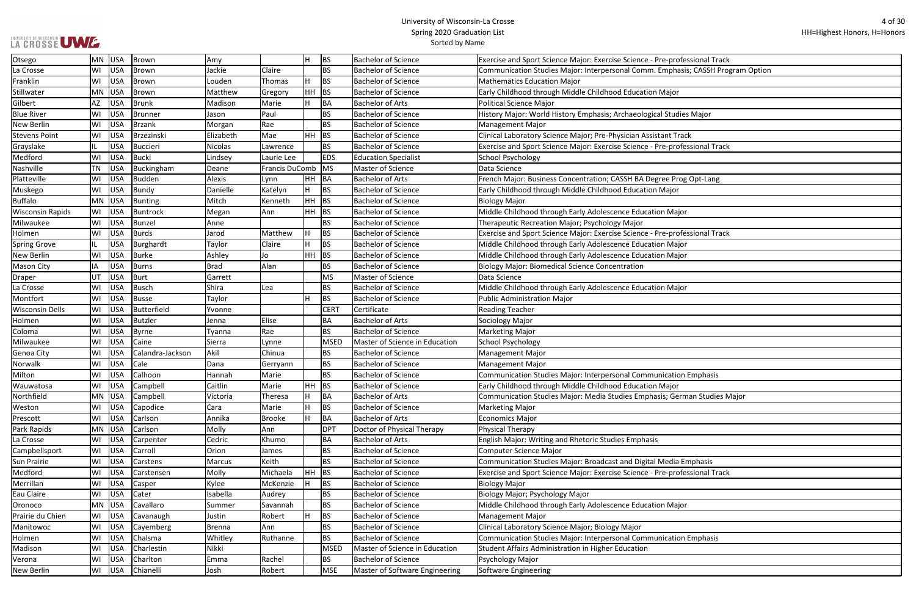| ofessional Track            |
|-----------------------------|
| nasis; CASSH Program Option |
|                             |
| ρr                          |
|                             |
| dies Major                  |
|                             |
| <b>Track</b>                |
| ofessional Track            |
|                             |
|                             |
| rog Opt-Lang                |
| )r                          |
|                             |
| ajor                        |
|                             |
| ofessional Track            |
| ajor                        |
| ajor                        |
|                             |
|                             |
| ajor                        |
|                             |
|                             |
|                             |
|                             |
|                             |
|                             |
|                             |
| ion Emphasis                |
| σr                          |
| erman Studies Major         |
|                             |
|                             |
|                             |
|                             |
|                             |
| a Emphasis                  |
| ofessional Track            |
|                             |
|                             |
| ajor                        |
|                             |
|                             |
| ion Emphasis                |
|                             |
|                             |
|                             |

| Otsego                  | <b>MN</b> | USA        | <b>Brown</b>       | Amy           |                | lH.       | <b>BS</b>   | <b>Bachelor of Science</b>     | Exercise and Sport Science Major: Exercise Science - Pre-professional Track     |
|-------------------------|-----------|------------|--------------------|---------------|----------------|-----------|-------------|--------------------------------|---------------------------------------------------------------------------------|
| La Crosse               | WI        | <b>USA</b> | Brown              | Jackie        | Claire         |           | <b>BS</b>   | <b>Bachelor of Science</b>     | Communication Studies Major: Interpersonal Comm. Emphasis; CASSH Program Optior |
| Franklin                | WI        | <b>USA</b> | Brown              | Louden        | Thomas         | H         | <b>BS</b>   | <b>Bachelor of Science</b>     | <b>Mathematics Education Major</b>                                              |
| Stillwater              | <b>MN</b> | <b>USA</b> | Brown              | Matthew       | Gregory        | HH.       | <b>BS</b>   | <b>Bachelor of Science</b>     | Early Childhood through Middle Childhood Education Major                        |
| Gilbert                 | <b>AZ</b> | <b>USA</b> | <b>Brunk</b>       | Madison       | Marie          | H         | BA          | <b>Bachelor of Arts</b>        | <b>Political Science Major</b>                                                  |
| <b>Blue River</b>       | WI        | <b>USA</b> | <b>Brunner</b>     | Jason         | Paul           |           | <b>BS</b>   | <b>Bachelor of Science</b>     | History Major: World History Emphasis; Archaeological Studies Major             |
| <b>New Berlin</b>       | WI        | <b>USA</b> | <b>Brzank</b>      | Morgan        | Rae            |           | <b>BS</b>   | Bachelor of Science            | <b>Management Major</b>                                                         |
| <b>Stevens Point</b>    | WI        | <b>USA</b> | Brzezinski         | Elizabeth     | Mae            | HH.       | <b>BS</b>   | <b>Bachelor of Science</b>     | Clinical Laboratory Science Major; Pre-Physician Assistant Track                |
| Grayslake               | IL.       | <b>USA</b> | <b>Buccieri</b>    | Nicolas       | Lawrence       |           | <b>BS</b>   | <b>Bachelor of Science</b>     | Exercise and Sport Science Major: Exercise Science - Pre-professional Track     |
| Medford                 | WI        | <b>USA</b> | <b>Bucki</b>       | Lindsey       | Laurie Lee     |           | <b>EDS</b>  | <b>Education Specialist</b>    | <b>School Psychology</b>                                                        |
| Nashville               | <b>TN</b> | <b>USA</b> | Buckingham         | Deane         | Francis DuComb |           | MS          | Master of Science              | Data Science                                                                    |
| Platteville             | WI        | <b>USA</b> | <b>Budden</b>      | Alexis        | Lynn           | HH        | <b>BA</b>   | Bachelor of Arts               | French Major: Business Concentration; CASSH BA Degree Prog Opt-Lang             |
| Muskego                 | WI        | <b>USA</b> | Bundy              | Danielle      | Katelyn        | H         | <b>BS</b>   | <b>Bachelor of Science</b>     | Early Childhood through Middle Childhood Education Major                        |
| <b>Buffalo</b>          | <b>MN</b> | USA        | <b>Bunting</b>     | Mitch         | Kenneth        | HH.       | <b>BS</b>   | <b>Bachelor of Science</b>     | <b>Biology Major</b>                                                            |
| <b>Wisconsin Rapids</b> | WI        | <b>USA</b> | <b>Buntrock</b>    | Megan         | Ann            | HH        | <b>BS</b>   | <b>Bachelor of Science</b>     | Middle Childhood through Early Adolescence Education Major                      |
| Milwaukee               | WI        | <b>USA</b> | Bunzel             | Anne          |                |           | <b>BS</b>   | <b>Bachelor of Science</b>     | Therapeutic Recreation Major; Psychology Major                                  |
| Holmen                  | WI        | <b>USA</b> | <b>Burds</b>       | Jarod         | Matthew        | H         | <b>BS</b>   | <b>Bachelor of Science</b>     | Exercise and Sport Science Major: Exercise Science - Pre-professional Track     |
| <b>Spring Grove</b>     | IL.       | <b>USA</b> | Burghardt          | Taylor        | Claire         | lн.       | <b>BS</b>   | <b>Bachelor of Science</b>     | Middle Childhood through Early Adolescence Education Major                      |
| <b>New Berlin</b>       | WI        | <b>USA</b> | <b>Burke</b>       | Ashley        | Jo             | <b>HH</b> | <b>BS</b>   | Bachelor of Science            | Middle Childhood through Early Adolescence Education Major                      |
| <b>Mason City</b>       | IA        | <b>USA</b> | <b>Burns</b>       | <b>Brad</b>   | Alan           |           | <b>BS</b>   | <b>Bachelor of Science</b>     | <b>Biology Major: Biomedical Science Concentration</b>                          |
| <b>Draper</b>           | UT        | <b>USA</b> | <b>Burt</b>        | Garrett       |                |           | <b>MS</b>   | Master of Science              | Data Science                                                                    |
| La Crosse               | WI        | <b>USA</b> | <b>Busch</b>       | Shira         | Lea            |           | <b>BS</b>   | <b>Bachelor of Science</b>     | Middle Childhood through Early Adolescence Education Major                      |
| Montfort                | WI        | <b>USA</b> | <b>Busse</b>       | Taylor        |                | H         | <b>BS</b>   | <b>Bachelor of Science</b>     | <b>Public Administration Major</b>                                              |
| <b>Wisconsin Dells</b>  | WI        | <b>USA</b> | <b>Butterfield</b> | Yvonne        |                |           | <b>CERT</b> | Certificate                    | <b>Reading Teacher</b>                                                          |
| Holmen                  | WI        | <b>USA</b> | <b>Butzler</b>     | Jenna         | Elise          |           | <b>BA</b>   | <b>Bachelor of Arts</b>        | Sociology Major                                                                 |
| Coloma                  | WI        | <b>USA</b> | <b>Byrne</b>       | Tyanna        | Rae            |           | <b>BS</b>   | Bachelor of Science            | <b>Marketing Major</b>                                                          |
| Milwaukee               | WI        | <b>USA</b> | Caine              | Sierra        | Lynne          |           | <b>MSED</b> | Master of Science in Education | <b>School Psychology</b>                                                        |
| Genoa City              | WI        | <b>USA</b> | Calandra-Jackson   | Akil          | Chinua         |           | <b>BS</b>   | <b>Bachelor of Science</b>     | Management Major                                                                |
| Norwalk                 | WI        | <b>USA</b> | Cale               | Dana          | Gerryann       |           | <b>BS</b>   | <b>Bachelor of Science</b>     | <b>Management Major</b>                                                         |
| Milton                  | WI        | <b>USA</b> | Calhoon            | Hannah        | Marie          |           | <b>BS</b>   | <b>Bachelor of Science</b>     | Communication Studies Major: Interpersonal Communication Emphasis               |
| Wauwatosa               | WI        | USA        | Campbell           | Caitlin       | Marie          | HH BS     |             | <b>Bachelor of Science</b>     | Early Childhood through Middle Childhood Education Major                        |
| Northfield              | MN        | <b>USA</b> | Campbell           | Victoria      | Theresa        | H         | BA          | <b>Bachelor of Arts</b>        | Communication Studies Major: Media Studies Emphasis; German Studies Major       |
| Weston                  | WI        | USA        | Capodice           | Cara          | Marie          |           | <b>BS</b>   | <b>Bachelor of Science</b>     | Marketing Major                                                                 |
| Prescott                | WI        | USA        | Carlson            | Annika        | <b>Brooke</b>  | H         | <b>BA</b>   | <b>Bachelor of Arts</b>        | <b>Economics Major</b>                                                          |
| Park Rapids             | <b>MN</b> | USA        | Carlson            | Molly         | Ann            |           | <b>DPT</b>  | Doctor of Physical Therapy     | Physical Therapy                                                                |
| La Crosse               | WI        | <b>USA</b> | Carpenter          | Cedric        | Khumo          |           | BA          | <b>Bachelor of Arts</b>        | English Major: Writing and Rhetoric Studies Emphasis                            |
| Campbellsport           | WI        | <b>USA</b> | Carroll            | Orion         | James          |           | <b>BS</b>   | <b>Bachelor of Science</b>     | <b>Computer Science Major</b>                                                   |
| Sun Prairie             | WI        | <b>USA</b> | Carstens           | Marcus        | Keith          |           | <b>BS</b>   | <b>Bachelor of Science</b>     | Communication Studies Major: Broadcast and Digital Media Emphasis               |
| Medford                 | WI        | <b>USA</b> | Carstensen         | Molly         | Michaela       | HH        | <b>BS</b>   | <b>Bachelor of Science</b>     | Exercise and Sport Science Major: Exercise Science - Pre-professional Track     |
| Merrillan               | WI        | USA        | Casper             | Kylee         | McKenzie       |           | <b>BS</b>   | <b>Bachelor of Science</b>     | <b>Biology Major</b>                                                            |
| Eau Claire              | WI        | USA        | Cater              | Isabella      | Audrey         |           | <b>BS</b>   | <b>Bachelor of Science</b>     | Biology Major; Psychology Major                                                 |
| Oronoco                 | <b>MN</b> | <b>USA</b> | Cavallaro          | Summer        | Savannah       |           | <b>BS</b>   | <b>Bachelor of Science</b>     | Middle Childhood through Early Adolescence Education Major                      |
| Prairie du Chien        | WI        | <b>USA</b> | Cavanaugh          | Justin        | Robert         |           | <b>BS</b>   | <b>Bachelor of Science</b>     | <b>Management Major</b>                                                         |
| Manitowoc               | WI        | <b>USA</b> | Cayemberg          | <b>Brenna</b> | Ann            |           | <b>BS</b>   | <b>Bachelor of Science</b>     | Clinical Laboratory Science Major; Biology Major                                |
| Holmen                  | WI        | <b>USA</b> | Chalsma            | Whitley       | Ruthanne       |           | <b>BS</b>   | <b>Bachelor of Science</b>     | Communication Studies Major: Interpersonal Communication Emphasis               |
| Madison                 | WI        | USA        | Charlestin         | Nikki         |                |           | <b>MSED</b> | Master of Science in Education | Student Affairs Administration in Higher Education                              |
| Verona                  | WI        | <b>USA</b> | Charlton           | Emma          | Rachel         |           | <b>BS</b>   | <b>Bachelor of Science</b>     | Psychology Major                                                                |
| New Berlin              | WI        | USA        | Chianelli          | Josh          | Robert         |           | <b>MSE</b>  | Master of Software Engineering | Software Engineering                                                            |
|                         |           |            |                    |               |                |           |             |                                |                                                                                 |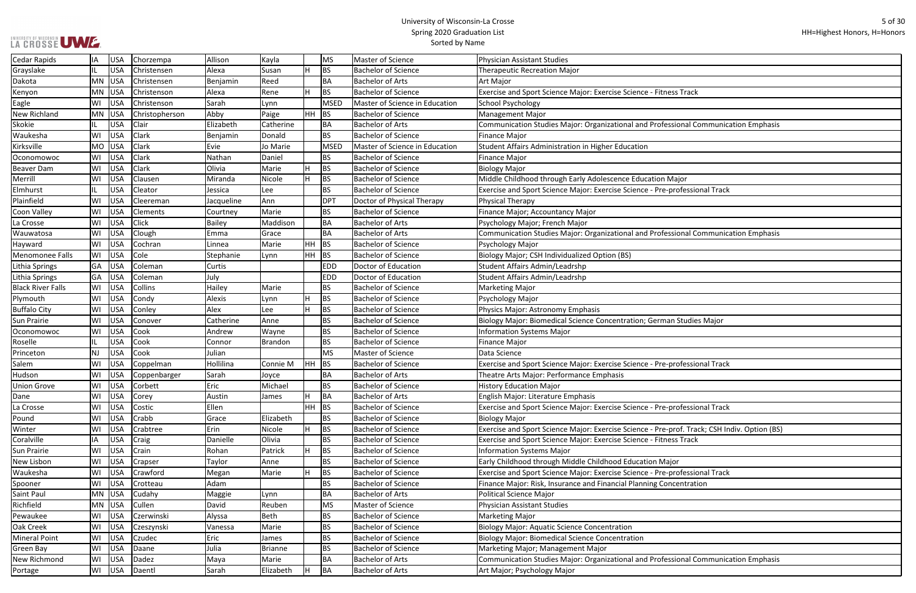|  | LA CROSSE UWE. |  |
|--|----------------|--|

┓

| ss Track                           |
|------------------------------------|
|                                    |
|                                    |
| sional Communication Emphasis      |
|                                    |
|                                    |
|                                    |
|                                    |
|                                    |
| lajor<br>rofessional Track         |
|                                    |
|                                    |
|                                    |
|                                    |
| sional Communication Emphasis      |
|                                    |
|                                    |
|                                    |
|                                    |
|                                    |
|                                    |
|                                    |
| n Studies Major                    |
|                                    |
|                                    |
|                                    |
|                                    |
| rofessional Track                  |
|                                    |
|                                    |
|                                    |
| rofessional Track                  |
|                                    |
| rof. Track; CSH Indiv. Option (BS) |
| ss Track                           |
|                                    |
| or                                 |
| rofessional Track                  |
| centration                         |
|                                    |
|                                    |
|                                    |
|                                    |
|                                    |
|                                    |
|                                    |
| sional Communication Emphasis      |
|                                    |

| <b>Cedar Rapids</b>      | IA        | <b>USA</b> | Chorzempa            | Allison         | Kayla     |           | MS          | Master of Science              | Physician Assistant Studies                                                                  |
|--------------------------|-----------|------------|----------------------|-----------------|-----------|-----------|-------------|--------------------------------|----------------------------------------------------------------------------------------------|
| Grayslake                | IL        | <b>USA</b> | Christensen          | Alexa           | Susan     |           | <b>BS</b>   | <b>Bachelor of Science</b>     | <b>Therapeutic Recreation Major</b>                                                          |
| Dakota                   | MN        | USA        | Christensen          | Benjamin        | Reed      |           | BA          | <b>Bachelor of Arts</b>        | Art Major                                                                                    |
| Kenyon                   | MN        | USA        | Christenson          | Alexa           | Rene      |           | <b>BS</b>   | <b>Bachelor of Science</b>     | Exercise and Sport Science Major: Exercise Science - Fitness Track                           |
| Eagle                    | WI        | <b>USA</b> | Christenson          | Sarah           | Lynn      |           | <b>MSED</b> | Master of Science in Education | School Psychology                                                                            |
| New Richland             | MN        | USA        | Christopherson       | Abby            | Paige     | <b>HH</b> | BS          | <b>Bachelor of Science</b>     | Management Major                                                                             |
| Skokie                   | IL.       | <b>USA</b> | Clair                | Elizabeth       | Catherine |           | BA          | <b>Bachelor of Arts</b>        | Communication Studies Major: Organizational and Professional Communication Emphasis          |
| Waukesha                 | WI        | <b>USA</b> | Clark                | Benjamin        | Donald    |           | <b>BS</b>   | <b>Bachelor of Science</b>     | Finance Major                                                                                |
| Kirksville               | MO        | USA        | Clark                | Evie            | Jo Marie  |           | <b>MSED</b> | Master of Science in Education | Student Affairs Administration in Higher Education                                           |
| Oconomowoc               | WI        | USA        | Clark                | Nathan          | Daniel    |           | <b>BS</b>   | Bachelor of Science            | Finance Major                                                                                |
| <b>Beaver Dam</b>        | WI        | <b>USA</b> | Clark                | Olivia          | Marie     |           | <b>BS</b>   | <b>Bachelor of Science</b>     | <b>Biology Major</b>                                                                         |
| Merrill                  | WI        | <b>USA</b> | Clausen              | Miranda         | Nicole    |           | <b>BS</b>   | <b>Bachelor of Science</b>     | Middle Childhood through Early Adolescence Education Major                                   |
| Elmhurst                 | IL.       | <b>USA</b> | Cleator              | Jessica         | Lee       |           | <b>BS</b>   | <b>Bachelor of Science</b>     | Exercise and Sport Science Major: Exercise Science - Pre-professional Track                  |
| Plainfield               | WI        | <b>USA</b> | Cleereman            | Jacqueline      | Ann       |           | <b>DPT</b>  | Doctor of Physical Therapy     | <b>Physical Therapy</b>                                                                      |
| Coon Valley              | WI        | <b>USA</b> | Clements             | Courtney        | Marie     |           | <b>BS</b>   | <b>Bachelor of Science</b>     | Finance Major; Accountancy Major                                                             |
| La Crosse                | WI        | <b>USA</b> | Click                | <b>Bailey</b>   | Maddison  |           | BA          | <b>Bachelor of Arts</b>        | Psychology Major; French Major                                                               |
| Wauwatosa                | WI        | <b>USA</b> | Clough               | Emma            | Grace     |           | <b>BA</b>   | <b>Bachelor of Arts</b>        | Communication Studies Major: Organizational and Professional Communication Emphasis          |
| Hayward                  | WI        | <b>USA</b> | Cochran              | Linnea          | Marie     | HH        | <b>BS</b>   | <b>Bachelor of Science</b>     | Psychology Major                                                                             |
| <b>Menomonee Falls</b>   | WI        | <b>USA</b> | Cole                 | Stephanie       | Lynn      | <b>HH</b> | <b>BS</b>   | <b>Bachelor of Science</b>     | Biology Major; CSH Individualized Option (BS)                                                |
| Lithia Springs           | GA        | <b>USA</b> | Coleman              | Curtis          |           |           | <b>EDD</b>  | Doctor of Education            | Student Affairs Admin/Leadrshp                                                               |
| Lithia Springs           | GA        | USA        | Coleman              | July            |           |           | <b>EDD</b>  | Doctor of Education            | Student Affairs Admin/Leadrshp                                                               |
| <b>Black River Falls</b> | WI        | <b>USA</b> | Collins              | Hailey          | Marie     |           | <b>BS</b>   | <b>Bachelor of Science</b>     | Marketing Major                                                                              |
| Plymouth                 | WI        | <b>USA</b> | Condy                | Alexis          | Lynn      |           | <b>BS</b>   | <b>Bachelor of Science</b>     | Psychology Major                                                                             |
| <b>Buffalo City</b>      | WI        | <b>USA</b> | Conley               | Alex            | Lee       |           | <b>BS</b>   | <b>Bachelor of Science</b>     | Physics Major: Astronomy Emphasis                                                            |
| Sun Prairie              | WI        | <b>USA</b> | Conover              | Catherine       | Anne      |           | <b>BS</b>   | <b>Bachelor of Science</b>     | Biology Major: Biomedical Science Concentration; German Studies Major                        |
| Oconomowoc               | WI        | <b>USA</b> | Cook                 | Andrew          | Wayne     |           | <b>BS</b>   | <b>Bachelor of Science</b>     | <b>Information Systems Major</b>                                                             |
| Roselle                  | IL.       | <b>USA</b> | Cook                 | Connor          | Brandon   |           | BS          | <b>Bachelor of Science</b>     | Finance Major                                                                                |
| Princeton                | <b>NJ</b> | <b>USA</b> | Cook                 | Julian          |           |           | <b>MS</b>   | Master of Science              | Data Science                                                                                 |
| Salem                    | WI        | <b>USA</b> | Coppelman            | Hollilina       | Connie M  | HH.       | BS          | <b>Bachelor of Science</b>     | Exercise and Sport Science Major: Exercise Science - Pre-professional Track                  |
| Hudson                   | W١        | <b>USA</b> | Coppenbarger         | Sarah           | Joyce     |           | BA          | <b>Bachelor of Arts</b>        | Theatre Arts Major: Performance Emphasis                                                     |
| <b>Union Grove</b>       | WI        | <b>USA</b> | Corbett              | Eric            | Michael   |           | <b>BS</b>   | <b>Bachelor of Science</b>     | <b>History Education Major</b>                                                               |
| Dane                     | WI        | <b>USA</b> | Corey                | Austin          | James     |           | BA          | <b>Bachelor of Arts</b>        | <b>English Major: Literature Emphasis</b>                                                    |
| La Crosse                | WI        | USA        | Costic               | Ellen           |           |           | $HH$ BS     | <b>Bachelor of Science</b>     | Exercise and Sport Science Major: Exercise Science - Pre-professional Track                  |
| Pound                    | WI        | <b>USA</b> | Crabb                | Grace           | Elizabeth |           | <b>BS</b>   | <b>Bachelor of Science</b>     | Biology Major                                                                                |
| Winter                   | WI        | <b>USA</b> | Crabtree             | Erin            | Nicole    |           | <b>BS</b>   | <b>Bachelor of Science</b>     | Exercise and Sport Science Major: Exercise Science - Pre-prof. Track; CSH Indiv. Option (BS) |
| Coralville               | IA        | <b>USA</b> | Craig                | Danielle        | Olivia    |           | <b>BS</b>   | <b>Bachelor of Science</b>     | Exercise and Sport Science Major: Exercise Science - Fitness Track                           |
| Sun Prairie              | WI        | <b>USA</b> | Crain                | Rohan           | Patrick   |           | <b>BS</b>   | <b>Bachelor of Science</b>     | <b>Information Systems Major</b>                                                             |
| New Lisbon               | WI        | <b>USA</b> | Crapser              | Taylor          | Anne      |           | <b>BS</b>   | <b>Bachelor of Science</b>     | Early Childhood through Middle Childhood Education Major                                     |
| Waukesha                 | WI        | <b>USA</b> | Crawford             | Megan           | Marie     |           | <b>BS</b>   | <b>Bachelor of Science</b>     | Exercise and Sport Science Major: Exercise Science - Pre-professional Track                  |
| Spooner                  | WI        | USA        | Crotteau             | Adam            |           |           | <b>BS</b>   | <b>Bachelor of Science</b>     | Finance Major: Risk, Insurance and Financial Planning Concentration                          |
| Saint Paul               | MN        | USA        | Cudahy               | Maggie          | Lynn      |           | BA          | <b>Bachelor of Arts</b>        | Political Science Major                                                                      |
| Richfield                | MN        | USA        | Cullen               | David           | Reuben    |           | <b>MS</b>   | Master of Science              | <b>Physician Assistant Studies</b>                                                           |
| Pewaukee                 | WI        | <b>USA</b> | Czerwinski           | Alyssa          | Beth      |           | <b>BS</b>   | <b>Bachelor of Science</b>     | Marketing Major                                                                              |
| Oak Creek                | WI        | <b>USA</b> |                      |                 | Marie     |           | <b>BS</b>   | <b>Bachelor of Science</b>     | <b>Biology Major: Aquatic Science Concentration</b>                                          |
| <b>Mineral Point</b>     | WI        | <b>USA</b> | Czeszynski<br>Czudec | Vanessa<br>Eric | James     |           | <b>BS</b>   | <b>Bachelor of Science</b>     | Biology Major: Biomedical Science Concentration                                              |
|                          |           |            |                      |                 |           |           |             | <b>Bachelor of Science</b>     |                                                                                              |
| Green Bay                | WI        | <b>USA</b> | Daane                | Julia           | Brianne   |           | <b>BS</b>   |                                | Marketing Major; Management Major                                                            |
| New Richmond             | WI        | USA        | Dadez                | Maya            | Marie     |           | BA          | <b>Bachelor of Arts</b>        | Communication Studies Major: Organizational and Professional Communication Emphasis          |
| Portage                  | WI        | USA        | Daentl               | Sarah           | Elizabeth |           | BA          | <b>Bachelor of Arts</b>        | Art Major; Psychology Major                                                                  |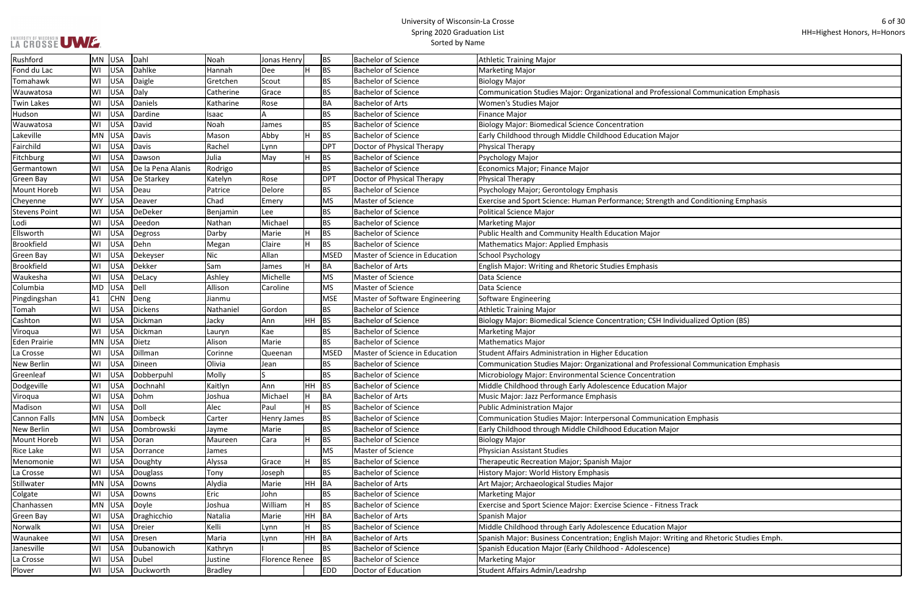$\mathcal{L}_{\mathcal{A}}$ 

| ional Communication Emphasis     |
|----------------------------------|
|                                  |
|                                  |
|                                  |
| рr                               |
|                                  |
|                                  |
|                                  |
|                                  |
|                                  |
|                                  |
| and Conditioning Emphasis        |
|                                  |
|                                  |
|                                  |
|                                  |
|                                  |
|                                  |
|                                  |
|                                  |
|                                  |
|                                  |
|                                  |
|                                  |
| ividualized Option (BS)          |
|                                  |
|                                  |
|                                  |
| ional Communication Emphasis     |
| ١                                |
| ajor                             |
|                                  |
|                                  |
|                                  |
| ion Emphasis                     |
| рr                               |
|                                  |
|                                  |
|                                  |
|                                  |
|                                  |
|                                  |
|                                  |
| s Track                          |
|                                  |
| ajor                             |
| iting and Rhetoric Studies Emph. |
|                                  |
|                                  |
|                                  |

| LA CROSSE UWE        |                                |                |                |    |             | <b>Spring ZOZO Graudation List</b><br>Sorted by Name |                                                                                          |
|----------------------|--------------------------------|----------------|----------------|----|-------------|------------------------------------------------------|------------------------------------------------------------------------------------------|
| Rushford             | Dahl<br>USA<br>MN              | Noah           | Jonas Henry    |    | <b>BS</b>   | <b>Bachelor of Science</b>                           | <b>Athletic Training Major</b>                                                           |
| Fond du Lac          | USA<br>WI<br>Dahlke            | Hannah         | <b>Dee</b>     | H  | <b>BS</b>   | <b>Bachelor of Science</b>                           | <b>Marketing Major</b>                                                                   |
| Tomahawk             | USA<br>WI<br>Daigle            | Gretchen       | Scout          |    | <b>BS</b>   | <b>Bachelor of Science</b>                           | <b>Biology Major</b>                                                                     |
| Wauwatosa            | WI<br>USA<br>Daly              | Catherine      | Grace          |    | <b>BS</b>   | <b>Bachelor of Science</b>                           | Communication Studies Major: Organizational and Professional Communication Emphasis      |
| <b>Twin Lakes</b>    | WI<br>USA<br>Daniels           | Katharine      | Rose           |    | BA          | <b>Bachelor of Arts</b>                              | <b>Women's Studies Major</b>                                                             |
| Hudson               | USA<br>WI<br>Dardine           | Isaac          |                |    | <b>BS</b>   | <b>Bachelor of Science</b>                           | <b>Finance Major</b>                                                                     |
| Wauwatosa            | USA<br>WI<br>David             | Noah           | James          |    | <b>BS</b>   | <b>Bachelor of Science</b>                           | <b>Biology Major: Biomedical Science Concentration</b>                                   |
| Lakeville            | USA<br>MN<br>Davis             | Mason          | Abby           | H. | <b>BS</b>   | <b>Bachelor of Science</b>                           | Early Childhood through Middle Childhood Education Major                                 |
| Fairchild            | USA<br>WI<br>Davis             | Rachel         | Lynn           |    | DPT         | Doctor of Physical Therapy                           | Physical Therapy                                                                         |
| <b>Fitchburg</b>     | USA<br>WI<br>Dawson            | Julia          | May            |    | <b>BS</b>   | <b>Bachelor of Science</b>                           | Psychology Major                                                                         |
| Germantown           | WI<br>USA<br>De la Pena Alanis | Rodrigo        |                |    | <b>BS</b>   | Bachelor of Science                                  | Economics Major; Finance Major                                                           |
| Green Bay            | USA<br>WI<br>De Starkey        | Katelyn        | Rose           |    | DPT         | Doctor of Physical Therapy                           | Physical Therapy                                                                         |
| <b>Mount Horeb</b>   | WI<br>USA<br>Deau              | Patrice        | Delore         |    | <b>BS</b>   | <b>Bachelor of Science</b>                           | Psychology Major; Gerontology Emphasis                                                   |
| Cheyenne             | USA<br><b>WY</b><br>Deaver     | Chad           | Emery          |    | MS          | Master of Science                                    | Exercise and Sport Science: Human Performance; Strength and Conditioning Emphasis        |
| <b>Stevens Point</b> | USA<br>DeDeker<br>WI           | Benjamin       | Lee            |    | <b>BS</b>   | <b>Bachelor of Science</b>                           | <b>Political Science Major</b>                                                           |
| Lodi                 | WI<br>USA<br>Deedon            | Nathan         | Michael        |    | <b>BS</b>   | <b>Bachelor of Science</b>                           | <b>Marketing Major</b>                                                                   |
| Ellsworth            | USA<br>WI<br>Degross           | Darby          | Marie          |    | <b>BS</b>   | <b>Bachelor of Science</b>                           | Public Health and Community Health Education Major                                       |
| <b>Brookfield</b>    | USA<br>Dehn<br>WI              | Megan          | Claire         |    | <b>BS</b>   | <b>Bachelor of Science</b>                           | <b>Mathematics Major: Applied Emphasis</b>                                               |
| Green Bay            | USA<br>WI<br>Dekeyser          | Nic            | Allan          |    | <b>MSED</b> | Master of Science in Education                       | School Psychology                                                                        |
| <b>Brookfield</b>    | Dekker<br>WI<br>USA            | Sam            | James          | Н. | BA          | <b>Bachelor of Arts</b>                              | <b>English Major: Writing and Rhetoric Studies Emphasis</b>                              |
| Waukesha             | USA<br>WI<br>DeLacy            | Ashley         | Michelle       |    | MS          | Master of Science                                    | Data Science                                                                             |
| Columbia             | USA<br>$ $ Dell<br>MD          | Allison        | Caroline       |    | MS          | Master of Science                                    | Data Science                                                                             |
| Pingdingshan         | <b>CHN</b><br>41<br>Deng       | Jianmu         |                |    | MSE         | Master of Software Engineering                       | Software Engineering                                                                     |
| Tomah                | USA<br>WI<br>Dickens           | Nathaniel      | Gordon         |    | <b>BS</b>   | Bachelor of Science                                  | <b>Athletic Training Major</b>                                                           |
| Cashton              | USA<br>WI<br>Dickman           | Jacky          | Ann            | HH | <b>BS</b>   | <b>Bachelor of Science</b>                           | Biology Major: Biomedical Science Concentration; CSH Individualized Option (BS)          |
| Viroqua              | USA<br>WI<br>Dickman           | Lauryn         | Kae            |    | <b>BS</b>   | <b>Bachelor of Science</b>                           | <b>Marketing Major</b>                                                                   |
| <b>Eden Prairie</b>  | USA<br>Dietz<br>MN             | Alison         | Marie          |    | <b>BS</b>   | <b>Bachelor of Science</b>                           | Mathematics Major                                                                        |
| La Crosse            | USA<br>Dillman<br>WI           | Corinne        | Queenan        |    | MSED        | Master of Science in Education                       | Student Affairs Administration in Higher Education                                       |
| <b>New Berlin</b>    | WI<br>USA<br>Dineen            | Olivia         | Jean           |    | <b>BS</b>   | <b>Bachelor of Science</b>                           | Communication Studies Major: Organizational and Professional Communication Emphasis      |
| Greenleaf            | USA<br>Dobberpuhl<br>WI        | Molly          | ls             |    | <b>BS</b>   | <b>Bachelor of Science</b>                           | Microbiology Major: Environmental Science Concentration                                  |
| Dodgeville           | USA<br>Dochnahl<br>WI          | Kaitlyn        | Ann            |    | $HH$ BS     | Bachelor of Science                                  | Middle Childhood through Early Adolescence Education Major                               |
| Viroqua              | USA<br>Dohm<br>WI              | Joshua         | Michael        | H  | <b>BA</b>   | <b>Bachelor of Arts</b>                              | Music Major: Jazz Performance Emphasis                                                   |
| Madison              | USA<br>Doll<br>WI              | Alec           | Paul           | Н. | <b>BS</b>   | <b>Bachelor of Science</b>                           | <b>Public Administration Major</b>                                                       |
| Cannon Falls         | Dombeck<br>MN<br>USA           | Carter         | Henry James    |    | <b>BS</b>   | <b>Bachelor of Science</b>                           | Communication Studies Major: Interpersonal Communication Emphasis                        |
| New Berlin           | USA<br>Dombrowski<br>WI        | Jayme          | Marie          |    | <b>BS</b>   | <b>Bachelor of Science</b>                           | Early Childhood through Middle Childhood Education Major                                 |
| Mount Horeb          | WI<br>USA<br>Doran             | Maureen        | Cara           | H  | <b>BS</b>   | <b>Bachelor of Science</b>                           | <b>Biology Major</b>                                                                     |
| Rice Lake            | USA<br>WI<br>Dorrance          | James          |                |    | MS          | Master of Science                                    | <b>Physician Assistant Studies</b>                                                       |
| Menomonie            | USA<br>WI<br>Doughty           | Alyssa         | Grace          | Н. | <b>BS</b>   | Bachelor of Science                                  | Therapeutic Recreation Major; Spanish Major                                              |
| La Crosse            | WI<br>USA<br>Douglass          | Tony           | Joseph         |    | <b>BS</b>   | <b>Bachelor of Science</b>                           | History Major: World History Emphasis                                                    |
| Stillwater           | USA<br>MN<br>Downs             | Alydia         | Marie          |    | HH BA       | <b>Bachelor of Arts</b>                              | Art Major; Archaeological Studies Major                                                  |
| Colgate              | USA<br>WI<br>Downs             | Eric           | John           |    | <b>BS</b>   | <b>Bachelor of Science</b>                           | Marketing Major                                                                          |
| Chanhassen           | USA<br>MN<br>Doyle             | Joshua         | William        | Н. | <b>BS</b>   | <b>Bachelor of Science</b>                           | Exercise and Sport Science Major: Exercise Science - Fitness Track                       |
| Green Bay            | WI<br>USA<br>Draghicchio       | Natalia        | Marie          | HH | BA          | <b>Bachelor of Arts</b>                              | Spanish Major                                                                            |
| Norwalk              | USA<br>WI<br>Dreier            | Kelli          | Lynn           |    | <b>BS</b>   | <b>Bachelor of Science</b>                           | Middle Childhood through Early Adolescence Education Major                               |
| Waunakee             | USA<br>WI<br>Dresen            | Maria          | Lynn           | HH | BA          | <b>Bachelor of Arts</b>                              | Spanish Major: Business Concentration; English Major: Writing and Rhetoric Studies Emph. |
| Janesville           | USA<br>WI<br>Dubanowich        | Kathryn        |                |    | <b>BS</b>   | <b>Bachelor of Science</b>                           | Spanish Education Major (Early Childhood - Adolescence)                                  |
| La Crosse            | USA<br>WI<br>Dubel             | Justine        | Florence Renee |    | BS          | <b>Bachelor of Science</b>                           | <b>Marketing Major</b>                                                                   |
| Plover               | USA<br>WI<br>Duckworth         | <b>Bradley</b> |                |    | <b>EDD</b>  | Doctor of Education                                  | Student Affairs Admin/Leadrshp                                                           |
|                      |                                |                |                |    |             |                                                      |                                                                                          |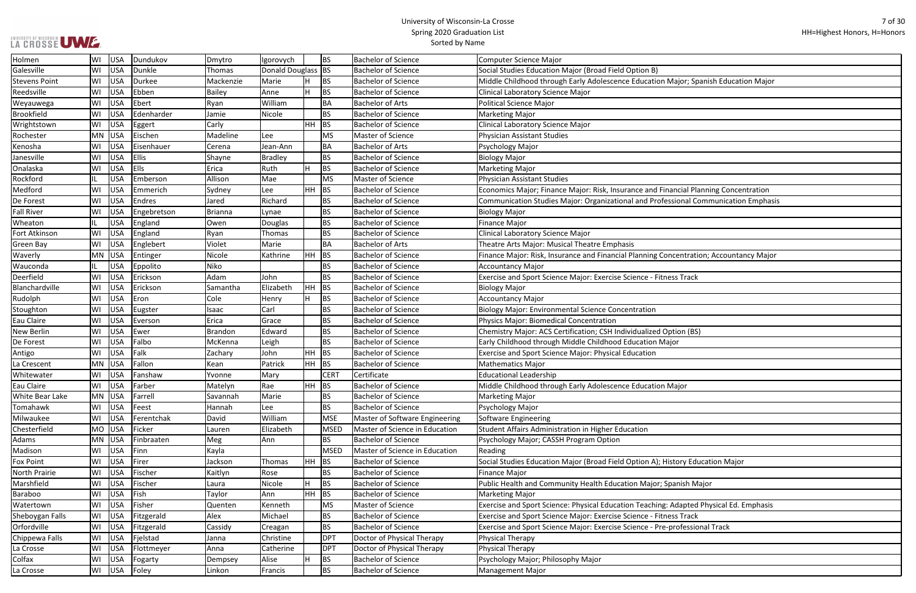| LA CROSSE UWE. |  |
|----------------|--|

┑

| lajor; Spanish Education Major |
|--------------------------------|
|                                |
|                                |
|                                |
|                                |
|                                |
|                                |
|                                |
|                                |
|                                |
|                                |
| ncial Planning Concentration   |
| sional Communication Emphasis  |
|                                |
|                                |
|                                |
|                                |
|                                |
| centration; Accountancy Major  |
|                                |
| ss Track                       |
|                                |
|                                |
|                                |
|                                |
|                                |
| tion (BS)                      |
| эr                             |
|                                |
|                                |
|                                |
|                                |
| lajor                          |
|                                |
|                                |
|                                |
|                                |
|                                |
|                                |
|                                |
| tory Education Major           |
|                                |
| anish Major                    |
|                                |
| dapted Physical Ed. Emphasis   |
| ss Track                       |
|                                |
| rofessional Track              |
|                                |
|                                |
|                                |
|                                |

| Holmen               | WI        | USA        | Dundukov     | Dmytro         | Igorovych          |           | <b>BS</b>   | <b>Bachelor of Science</b>     | <b>Computer Science Major</b>                                                          |
|----------------------|-----------|------------|--------------|----------------|--------------------|-----------|-------------|--------------------------------|----------------------------------------------------------------------------------------|
| Galesville           | WI        | USA        | Dunkle       | Thomas         | Donald Douglass BS |           |             | <b>Bachelor of Science</b>     | Social Studies Education Major (Broad Field Option B)                                  |
| <b>Stevens Point</b> | WI        | USA        | Durkee       | Mackenzie      | Marie              |           | <b>BS</b>   | <b>Bachelor of Science</b>     | Middle Childhood through Early Adolescence Education Major; Spanish Education Major    |
| Reedsville           | WI        | USA        | Ebben        | <b>Bailey</b>  | Anne               | H.        | <b>BS</b>   | <b>Bachelor of Science</b>     | Clinical Laboratory Science Major                                                      |
| Weyauwega            | WI        | USA        | Ebert        | Ryan           | William            |           | BA          | <b>Bachelor of Arts</b>        | Political Science Major                                                                |
| <b>Brookfield</b>    | WI        | USA        | Edenharder   | Jamie          | Nicole             |           | <b>BS</b>   | <b>Bachelor of Science</b>     | <b>Marketing Major</b>                                                                 |
| Wrightstown          | WI        | USA        | Eggert       | Carly          |                    | HH.       | BS          | <b>Bachelor of Science</b>     | Clinical Laboratory Science Major                                                      |
| Rochester            | MN        | USA        | Eischen      | Madeline       | <b>Lee</b>         |           | MS          | Master of Science              | <b>Physician Assistant Studies</b>                                                     |
| Kenosha              | WI        | USA        | Eisenhauer   | Cerena         | Jean-Ann           |           | <b>BA</b>   | <b>Bachelor of Arts</b>        | Psychology Major                                                                       |
| Janesville           | WI        | <b>USA</b> | <b>Ellis</b> | Shayne         | <b>Bradley</b>     |           | <b>BS</b>   | <b>Bachelor of Science</b>     | <b>Biology Major</b>                                                                   |
| Onalaska             | WI        | USA        | Ells         | Erica          | Ruth               | H.        | <b>BS</b>   | <b>Bachelor of Science</b>     | <b>Marketing Major</b>                                                                 |
| Rockford             | IL.       | <b>USA</b> | Emberson     | Allison        | Mae                |           | <b>MS</b>   | Master of Science              | Physician Assistant Studies                                                            |
| Medford              | WI        | USA        | Emmerich     | Sydney         | Lee                | HH.       | BS          | <b>Bachelor of Science</b>     | Economics Major; Finance Major: Risk, Insurance and Financial Planning Concentration   |
| De Forest            | WI        | USA        | Endres       | Jared          | Richard            |           | <b>BS</b>   | <b>Bachelor of Science</b>     | Communication Studies Major: Organizational and Professional Communication Emphasis    |
| <b>Fall River</b>    | WI        | USA        | Engebretson  | <b>Brianna</b> | Lynae              |           | <b>BS</b>   | <b>Bachelor of Science</b>     | <b>Biology Major</b>                                                                   |
| Wheaton              | IL.       | <b>USA</b> | England      | Owen           | Douglas            |           | <b>BS</b>   | <b>Bachelor of Science</b>     | Finance Major                                                                          |
| Fort Atkinson        | WI        | USA        | England      | Ryan           | Thomas             |           | <b>BS</b>   | <b>Bachelor of Science</b>     | Clinical Laboratory Science Major                                                      |
| <b>Green Bay</b>     | WI        | USA        | Englebert    | Violet         | Marie              |           | <b>BA</b>   | <b>Bachelor of Arts</b>        | Theatre Arts Major: Musical Theatre Emphasis                                           |
| Waverly              | MN        | USA        | Entinger     | Nicole         | Kathrine           | HH.       | BS          | <b>Bachelor of Science</b>     | Finance Major: Risk, Insurance and Financial Planning Concentration; Accountancy Major |
| Wauconda             | IL.       | USA        | Eppolito     | Niko           |                    |           | <b>BS</b>   | <b>Bachelor of Science</b>     | <b>Accountancy Major</b>                                                               |
| Deerfield            | WI        | USA        | Erickson     | Adam           | John               |           | <b>BS</b>   | <b>Bachelor of Science</b>     | Exercise and Sport Science Major: Exercise Science - Fitness Track                     |
| Blanchardville       | WI        | USA        | Erickson     | Samantha       | Elizabeth          | <b>HH</b> | BS          | <b>Bachelor of Science</b>     | <b>Biology Major</b>                                                                   |
| Rudolph              | WI        | USA        | Eron         | Cole           | Henry              |           | <b>BS</b>   | <b>Bachelor of Science</b>     | <b>Accountancy Major</b>                                                               |
| Stoughton            | WI        | USA        | Eugster      | Isaac          | Carl               |           | <b>BS</b>   | <b>Bachelor of Science</b>     | Biology Major: Environmental Science Concentration                                     |
| Eau Claire           | WI        | USA        | Everson      | Erica          | Grace              |           | <b>BS</b>   | <b>Bachelor of Science</b>     | Physics Major: Biomedical Concentration                                                |
| <b>New Berlin</b>    | WI        | USA        | Ewer         | <b>Brandon</b> | Edward             |           | <b>BS</b>   | <b>Bachelor of Science</b>     | Chemistry Major: ACS Certification; CSH Individualized Option (BS)                     |
| De Forest            | WI        | USA        | Falbo        | McKenna        | Leigh              |           | <b>BS</b>   | <b>Bachelor of Science</b>     | Early Childhood through Middle Childhood Education Major                               |
| Antigo               | WI        | USA        | Falk         | Zachary        | John               | HH.       | <b>BS</b>   | <b>Bachelor of Science</b>     | <b>Exercise and Sport Science Major: Physical Education</b>                            |
| La Crescent          | MN        | USA        | Fallon       | Kean           | Patrick            | HH.       | <b>BS</b>   | <b>Bachelor of Science</b>     | <b>Mathematics Major</b>                                                               |
| Whitewater           | WI        | USA        | Fanshaw      | Yvonne         | Mary               |           | <b>CERT</b> | Certificate                    | <b>Educational Leadership</b>                                                          |
| Eau Claire           | WI        | USA        | Farber       | Matelyn        | Rae                | HH.       | BS          | <b>Bachelor of Science</b>     | Middle Childhood through Early Adolescence Education Major                             |
| White Bear Lake      | MN        | USA        | Farrell      | Savannah       | Marie              |           | <b>BS</b>   | <b>Bachelor of Science</b>     | Marketing Major                                                                        |
| Tomahawk             | WI        | USA        | Feest        | Hannah         | Lee                |           | <b>BS</b>   | <b>Bachelor of Science</b>     | Psychology Major                                                                       |
| Milwaukee            | WI        | USA        | Ferentchak   | David          | William            |           | MSE         | Master of Software Engineering | Software Engineering                                                                   |
| Chesterfield         | <b>MO</b> | USA        | Ficker       | Lauren         | Elizabeth          |           | MSED        | Master of Science in Education | Student Affairs Administration in Higher Education                                     |
| Adams                | MN        | USA        | Finbraaten   | Meg            | Ann                |           | <b>BS</b>   | <b>Bachelor of Science</b>     | Psychology Major; CASSH Program Option                                                 |
| Madison              | WI        | USA        | Finn         | Kayla          |                    |           | MSED        | Master of Science in Education | Reading                                                                                |
| <b>Fox Point</b>     | WI        | USA        | Firer        | Jackson        | Thomas             | HH        | BS          | <b>Bachelor of Science</b>     | Social Studies Education Major (Broad Field Option A); History Education Major         |
| North Prairie        | WI        | USA        | Fischer      | Kaitlyn        | Rose               |           | <b>BS</b>   | <b>Bachelor of Science</b>     | <b>Finance Major</b>                                                                   |
| Marshfield           | WI        | USA        | Fischer      | Laura          | Nicole             | H.        | <b>BS</b>   | <b>Bachelor of Science</b>     | Public Health and Community Health Education Major; Spanish Major                      |
| Baraboo              | WI        | USA        | Fish         | Taylor         | Ann                | HH.       | <b>BS</b>   | <b>Bachelor of Science</b>     | <b>Marketing Major</b>                                                                 |
| Watertown            | WI        | <b>USA</b> | Fisher       | Quenten        | Kenneth            |           | MS          | Master of Science              | Exercise and Sport Science: Physical Education Teaching: Adapted Physical Ed. Emphasis |
| Sheboygan Falls      | WI        | USA        | Fitzgerald   | Alex           | Michael            |           | <b>BS</b>   | <b>Bachelor of Science</b>     | Exercise and Sport Science Major: Exercise Science - Fitness Track                     |
| Orfordville          | WI        | USA        | Fitzgerald   | Cassidy        | Creagan            |           | <b>BS</b>   | <b>Bachelor of Science</b>     | Exercise and Sport Science Major: Exercise Science - Pre-professional Track            |
| Chippewa Falls       | WI        | USA        | Fjelstad     | Janna          | Christine          |           | DPT         | Doctor of Physical Therapy     | Physical Therapy                                                                       |
| La Crosse            | WI        | USA        | Flottmeyer   | Anna           | Catherine          |           | DPT         | Doctor of Physical Therapy     | Physical Therapy                                                                       |
| Colfax               | WI        | USA        | Fogarty      | Dempsey        | Alise              |           | <b>BS</b>   | <b>Bachelor of Science</b>     | Psychology Major; Philosophy Major                                                     |
| La Crosse            | WI        | USA        | Foley        | Linkon         | Francis            |           | <b>BS</b>   | <b>Bachelor of Science</b>     | <b>Management Major</b>                                                                |
|                      |           |            |              |                |                    |           |             |                                |                                                                                        |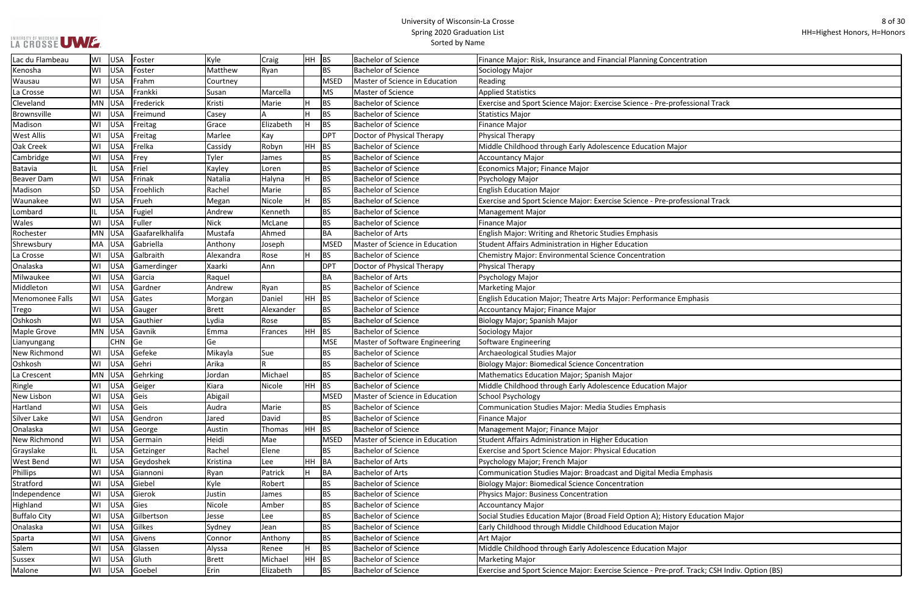| icentration                         |
|-------------------------------------|
|                                     |
|                                     |
|                                     |
| professional Track                  |
|                                     |
|                                     |
|                                     |
| Aajor                               |
|                                     |
|                                     |
|                                     |
|                                     |
| professional Track                  |
|                                     |
|                                     |
|                                     |
|                                     |
|                                     |
|                                     |
|                                     |
| e Emphasis                          |
|                                     |
|                                     |
|                                     |
|                                     |
|                                     |
|                                     |
|                                     |
| <i><b>Aajor</b></i>                 |
|                                     |
|                                     |
|                                     |
|                                     |
|                                     |
|                                     |
| dia Emphasis                        |
|                                     |
|                                     |
|                                     |
| story Education Major               |
| jor                                 |
|                                     |
| <u>Aajor</u>                        |
|                                     |
| prof. Track; CSH Indiv. Option (BS) |
|                                     |

| Lac du Flambeau        | WI  | USA        | Foster          | Kyle        | Craig     | $HH$ BS |             | <b>Bachelor of Science</b>     | Finance Major: Risk, Insurance and Financial Planning Concentration                          |
|------------------------|-----|------------|-----------------|-------------|-----------|---------|-------------|--------------------------------|----------------------------------------------------------------------------------------------|
| Kenosha                | WI  | USA        | Foster          | Matthew     | Ryan      |         | <b>BS</b>   | <b>Bachelor of Science</b>     | Sociology Major                                                                              |
| Wausau                 | WI  | USA        | Frahm           | Courtney    |           |         | <b>MSED</b> | Master of Science in Education | Reading                                                                                      |
| La Crosse              | WI  | <b>USA</b> | Frankki         | Susan       | Marcella  |         | <b>MS</b>   | <b>Master of Science</b>       | <b>Applied Statistics</b>                                                                    |
| Cleveland              | MN  | <b>USA</b> | Frederick       | Kristi      | Marie     |         | <b>BS</b>   | <b>Bachelor of Science</b>     | Exercise and Sport Science Major: Exercise Science - Pre-professional Track                  |
| Brownsville            | WI  | USA        | Freimund        | Casey       |           |         | <b>BS</b>   | <b>Bachelor of Science</b>     | <b>Statistics Major</b>                                                                      |
| Madison                | WI  | <b>USA</b> | Freitag         | Grace       | Elizabeth |         | <b>BS</b>   | <b>Bachelor of Science</b>     | <b>Finance Major</b>                                                                         |
| <b>West Allis</b>      | WI  | USA        | Freitag         | Marlee      | Kay       |         | <b>DPT</b>  | Doctor of Physical Therapy     | Physical Therapy                                                                             |
| Oak Creek              | WI  | <b>USA</b> | Frelka          | Cassidy     | Robyn     | HH.     | <b>BS</b>   | <b>Bachelor of Science</b>     | Middle Childhood through Early Adolescence Education Major                                   |
| Cambridge              | WI  | <b>USA</b> | Frey            | Tyler       | James     |         | <b>BS</b>   | <b>Bachelor of Science</b>     | Accountancy Major                                                                            |
| Batavia                | IL. | <b>USA</b> | Friel           | Kayley      | Loren     |         | <b>BS</b>   | <b>Bachelor of Science</b>     | Economics Major; Finance Major                                                               |
| <b>Beaver Dam</b>      | WI  | <b>USA</b> | Frinak          | Natalia     | Halyna    |         | <b>BS</b>   | <b>Bachelor of Science</b>     | Psychology Major                                                                             |
| Madison                | SD  | <b>USA</b> | Froehlich       | Rachel      | Marie     |         | <b>BS</b>   | <b>Bachelor of Science</b>     | <b>English Education Major</b>                                                               |
| Waunakee               | WI  | <b>USA</b> | Frueh           | Megan       | Nicole    |         | <b>BS</b>   | <b>Bachelor of Science</b>     | Exercise and Sport Science Major: Exercise Science - Pre-professional Track                  |
| Lombard                |     | USA        | Fugiel          | Andrew      | Kenneth   |         | <b>BS</b>   | <b>Bachelor of Science</b>     | Management Major                                                                             |
| Wales                  | WI  | USA        | Fuller          | <b>Nick</b> | McLane    |         | <b>BS</b>   | <b>Bachelor of Science</b>     | <b>Finance Major</b>                                                                         |
| Rochester              | MN  | USA        | Gaafarelkhalifa | Mustafa     | Ahmed     |         | <b>BA</b>   | <b>Bachelor of Arts</b>        | English Major: Writing and Rhetoric Studies Emphasis                                         |
| Shrewsbury             | MA  | USA        | Gabriella       | Anthony     | Joseph    |         | <b>MSED</b> | Master of Science in Education | Student Affairs Administration in Higher Education                                           |
| La Crosse              | WI  | <b>USA</b> | Galbraith       | Alexandra   | Rose      |         | <b>BS</b>   | <b>Bachelor of Science</b>     | <b>Chemistry Major: Environmental Science Concentration</b>                                  |
| Onalaska               | WI  | <b>USA</b> | Gamerdinger     | Xaarki      | Ann       |         | <b>DPT</b>  | Doctor of Physical Therapy     | Physical Therapy                                                                             |
| Milwaukee              | WI  | <b>USA</b> | Garcia          | Raquel      |           |         | <b>BA</b>   | <b>Bachelor of Arts</b>        | Psychology Major                                                                             |
| Middleton              | WI  | USA        | Gardner         | Andrew      | Ryan      |         | <b>BS</b>   | <b>Bachelor of Science</b>     | Marketing Major                                                                              |
| <b>Menomonee Falls</b> | WI  | USA        | Gates           | Morgan      | Daniel    | HH BS   |             | <b>Bachelor of Science</b>     | English Education Major; Theatre Arts Major: Performance Emphasis                            |
| Trego                  | WI  | <b>USA</b> | Gauger          | Brett       | Alexander |         | <b>BS</b>   | <b>Bachelor of Science</b>     | Accountancy Major; Finance Major                                                             |
| Oshkosh                | WI  | USA        | Gauthier        | Lydia       | Rose      |         | <b>BS</b>   | <b>Bachelor of Science</b>     | Biology Major; Spanish Major                                                                 |
| <b>Maple Grove</b>     | MN  | USA        | Gavnik          | Emma        | Frances   | HH.     | <b>BS</b>   | <b>Bachelor of Science</b>     | Sociology Major                                                                              |
| Lianyungang            |     | <b>CHN</b> | Ge              | Ge          |           |         | <b>MSE</b>  | Master of Software Engineering | Software Engineering                                                                         |
| New Richmond           | WI  | USA        | Gefeke          | Mikayla     | Sue       |         | <b>BS</b>   | <b>Bachelor of Science</b>     | Archaeological Studies Major                                                                 |
| Oshkosh                | WI  | USA        | Gehri           | Arika       | R         |         | <b>BS</b>   | <b>Bachelor of Science</b>     | <b>Biology Major: Biomedical Science Concentration</b>                                       |
| La Crescent            | ΜN  | <b>USA</b> | Gehrking        | Jordan      | Michael   |         | <b>BS</b>   | <b>Bachelor of Science</b>     | Mathematics Education Major; Spanish Major                                                   |
| Ringle                 | WI  | USA        | Geiger          | Kiara       | Nicole    | HH BS   |             | <b>Bachelor of Science</b>     | Middle Childhood through Early Adolescence Education Major                                   |
| New Lisbon             | WI  | USA        | Geis            | Abigail     |           |         | MSED        | Master of Science in Education | School Psychology                                                                            |
| Hartland               | WI  | USA        | Geis            | Audra       | Marie     |         | BS          | <b>Bachelor of Science</b>     | <b>Communication Studies Major: Media Studies Emphasis</b>                                   |
| Silver Lake            | WI  | USA        | Gendron         | Jared       | David     |         | <b>BS</b>   | <b>Bachelor of Science</b>     | <b>Finance Major</b>                                                                         |
| Onalaska               | WI  | USA        | George          | Austin      | Thomas    | HH      | BS          | <b>Bachelor of Science</b>     | Management Major; Finance Major                                                              |
| New Richmond           | WI  | USA        | Germain         | Heidi       | Mae       |         | <b>MSED</b> | Master of Science in Education | Student Affairs Administration in Higher Education                                           |
| Grayslake              |     | <b>USA</b> | Getzinger       | Rachel      | Elene     |         | <b>BS</b>   | <b>Bachelor of Science</b>     | <b>Exercise and Sport Science Major: Physical Education</b>                                  |
| <b>West Bend</b>       | WI  | <b>USA</b> | Geydoshek       | Kristina    | Lee       | HH      | BA          | <b>Bachelor of Arts</b>        | Psychology Major; French Major                                                               |
| Phillips               | WI  | <b>USA</b> | Giannoni        | Ryan        | Patrick   |         | BA          | <b>Bachelor of Arts</b>        | Communication Studies Major: Broadcast and Digital Media Emphasis                            |
| Stratford              | WI  | <b>USA</b> | Giebel          | Kyle        | Robert    |         | <b>BS</b>   | <b>Bachelor of Science</b>     | <b>Biology Major: Biomedical Science Concentration</b>                                       |
| Independence           | WI  | USA        | Gierok          | Justin      | James     |         | <b>BS</b>   | <b>Bachelor of Science</b>     | Physics Major: Business Concentration                                                        |
| Highland               | WI  | <b>USA</b> | Gies            | Nicole      | Amber     |         | <b>BS</b>   | <b>Bachelor of Science</b>     | Accountancy Major                                                                            |
| <b>Buffalo City</b>    | WI  | <b>USA</b> | Gilbertson      | Jesse       | Lee       |         | <b>BS</b>   | <b>Bachelor of Science</b>     | Social Studies Education Major (Broad Field Option A); History Education Major               |
| Onalaska               | WI  | USA        | Gilkes          | Sydney      | Jean      |         | <b>BS</b>   | <b>Bachelor of Science</b>     | Early Childhood through Middle Childhood Education Major                                     |
| Sparta                 | WI  | <b>USA</b> | Givens          | Connor      | Anthony   |         | <b>BS</b>   | <b>Bachelor of Science</b>     | Art Major                                                                                    |
| Salem                  | WI  | USA        | Glassen         | Alyssa      | Renee     |         | <b>BS</b>   | <b>Bachelor of Science</b>     | Middle Childhood through Early Adolescence Education Major                                   |
| Sussex                 | WI  | <b>USA</b> | Gluth           | Brett       | Michael   | HH BS   |             | <b>Bachelor of Science</b>     | Marketing Major                                                                              |
| Malone                 | WI  | USA        | Goebel          | Erin        | Elizabeth |         | BS          | <b>Bachelor of Science</b>     | Exercise and Sport Science Major: Exercise Science - Pre-prof. Track; CSH Indiv. Option (BS) |
|                        |     |            |                 |             |           |         |             |                                |                                                                                              |

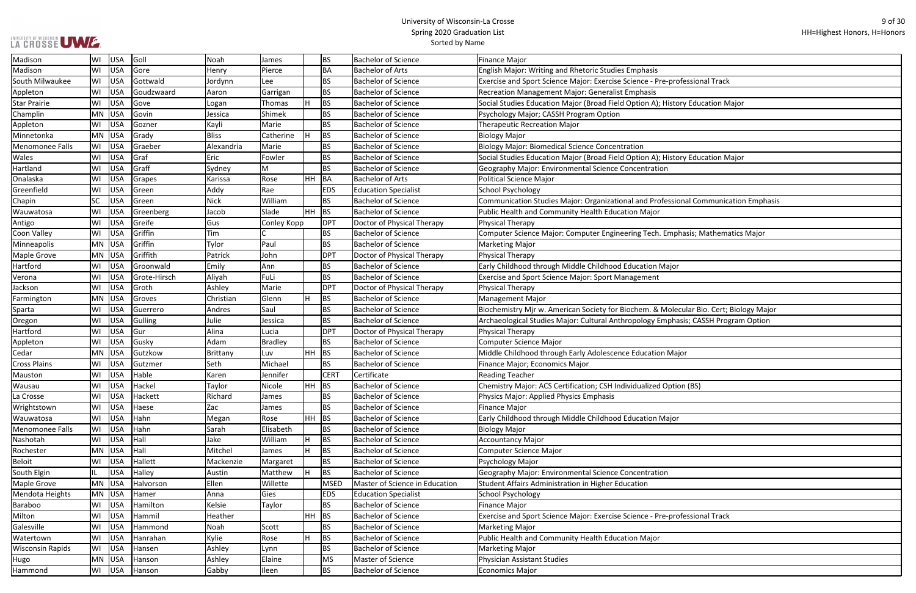| rofessional Track               |
|---------------------------------|
|                                 |
| tory Education Major            |
|                                 |
|                                 |
|                                 |
|                                 |
| tory Education Major            |
|                                 |
|                                 |
|                                 |
| ional Communication Emphasis    |
|                                 |
|                                 |
| phasis; Mathematics Major       |
|                                 |
|                                 |
| рr                              |
|                                 |
|                                 |
|                                 |
| ecular Bio. Cert; Biology Major |
| nasis; CASSH Program Option     |
|                                 |
|                                 |
| ajor                            |
|                                 |
|                                 |
| tion (BS)                       |
|                                 |
|                                 |
| рr                              |
|                                 |
|                                 |
|                                 |
|                                 |
|                                 |
|                                 |
|                                 |
|                                 |
| rofessional Track               |
|                                 |
|                                 |
|                                 |
|                                 |
|                                 |
|                                 |

| Madison                 | WI        | <b>USA</b> | Goll         | Noah         | James         |           | <b>BS</b>   | <b>Bachelor of Science</b>     | <b>Finance Major</b>                                                                   |
|-------------------------|-----------|------------|--------------|--------------|---------------|-----------|-------------|--------------------------------|----------------------------------------------------------------------------------------|
| Madison                 | WI        | <b>USA</b> | Gore         | Henry        | Pierce        |           | <b>BA</b>   | Bachelor of Arts               | English Major: Writing and Rhetoric Studies Emphasis                                   |
| South Milwaukee         | WI        | <b>USA</b> | Gottwald     | Jordynn      | Lee           |           | <b>BS</b>   | <b>Bachelor of Science</b>     | Exercise and Sport Science Major: Exercise Science - Pre-professional Track            |
| Appleton                | WI        | <b>USA</b> | Goudzwaard   | Aaron        | Garrigan      |           | <b>BS</b>   | <b>Bachelor of Science</b>     | <b>Recreation Management Major: Generalist Emphasis</b>                                |
| <b>Star Prairie</b>     | WI        | <b>USA</b> | Gove         | Logan        | <b>Thomas</b> |           | <b>BS</b>   | <b>Bachelor of Science</b>     | Social Studies Education Major (Broad Field Option A); History Education Major         |
| Champlin                | <b>MN</b> | <b>USA</b> | Govin        | Jessica      | Shimek        |           | <b>BS</b>   | <b>Bachelor of Science</b>     | Psychology Major; CASSH Program Option                                                 |
| Appleton                | WI        | <b>USA</b> | Gozner       | Kayli        | Marie         |           | <b>BS</b>   | <b>Bachelor of Science</b>     | <b>Therapeutic Recreation Major</b>                                                    |
| Minnetonka              | MN        | <b>USA</b> | Grady        | <b>Bliss</b> | Catherine     |           | <b>BS</b>   | <b>Bachelor of Science</b>     | <b>Biology Major</b>                                                                   |
| Menomonee Falls         | WI        | <b>USA</b> | Graeber      | Alexandria   | Marie         |           | <b>BS</b>   | Bachelor of Science            | Biology Major: Biomedical Science Concentration                                        |
| Wales                   | WI        | <b>USA</b> | Graf         | Eric         | Fowler        |           | <b>BS</b>   | <b>Bachelor of Science</b>     | Social Studies Education Major (Broad Field Option A); History Education Major         |
| Hartland                | WI        | <b>USA</b> | Graff        | Sydney       | M             |           | <b>BS</b>   | <b>Bachelor of Science</b>     | Geography Major: Environmental Science Concentration                                   |
| Onalaska                | WI        | <b>USA</b> | Grapes       | Karissa      | Rose          | <b>HH</b> | BA          | Bachelor of Arts               | <b>Political Science Major</b>                                                         |
| Greenfield              | WI        | <b>USA</b> | Green        | Addy         | Rae           |           | <b>EDS</b>  | <b>Education Specialist</b>    | <b>School Psychology</b>                                                               |
| Chapin                  | <b>SC</b> | <b>USA</b> | Green        | <b>Nick</b>  | William       |           | <b>BS</b>   | <b>Bachelor of Science</b>     | Communication Studies Major: Organizational and Professional Communication Emphasis    |
| Wauwatosa               | WI        | <b>USA</b> | Greenberg    | Jacob        | Slade         | HH.       | <b>BS</b>   | <b>Bachelor of Science</b>     | Public Health and Community Health Education Major                                     |
| Antigo                  | WI        | <b>USA</b> | Greife       | Gus          | Conley Kopp   |           | <b>DPT</b>  | Doctor of Physical Therapy     | Physical Therapy                                                                       |
| Coon Valley             | WI        | <b>USA</b> | Griffin      | Tim          |               |           | <b>BS</b>   | <b>Bachelor of Science</b>     | Computer Science Major: Computer Engineering Tech. Emphasis; Mathematics Major         |
| Minneapolis             | <b>MN</b> | <b>USA</b> | Griffin      | Tylor        | Paul          |           | <b>BS</b>   | <b>Bachelor of Science</b>     | <b>Marketing Major</b>                                                                 |
| Maple Grove             | <b>MN</b> | <b>USA</b> | Griffith     | Patrick      | John          |           | <b>DPT</b>  | Doctor of Physical Therapy     | Physical Therapy                                                                       |
| Hartford                | WI        | <b>USA</b> | Groonwald    | Emily        | Ann           |           | <b>BS</b>   | <b>Bachelor of Science</b>     | Early Childhood through Middle Childhood Education Major                               |
| Verona                  | WI        | <b>USA</b> | Grote-Hirsch | Aliyah       | FuLi          |           | <b>BS</b>   | <b>Bachelor of Science</b>     | Exercise and Sport Science Major: Sport Management                                     |
| Jackson                 | WI        | <b>USA</b> | Groth        | Ashley       | Marie         |           | <b>DPT</b>  | Doctor of Physical Therapy     | Physical Therapy                                                                       |
| Farmington              | <b>MN</b> | <b>USA</b> | Groves       | Christian    | Glenn         |           | <b>BS</b>   | <b>Bachelor of Science</b>     | <b>Management Major</b>                                                                |
| Sparta                  | WI        | <b>USA</b> | Guerrero     | Andres       | Saul          |           | <b>BS</b>   | <b>Bachelor of Science</b>     | Biochemistry Mjr w. American Society for Biochem. & Molecular Bio. Cert; Biology Major |
| Oregon                  | WI        | <b>USA</b> | Gulling      | Julie        | Jessica       |           | <b>BS</b>   | <b>Bachelor of Science</b>     | Archaeological Studies Major: Cultural Anthropology Emphasis; CASSH Program Option     |
| Hartford                | WI        | <b>USA</b> | Gur          | Alina        | Lucia         |           | <b>DPT</b>  | Doctor of Physical Therapy     | Physical Therapy                                                                       |
| Appleton                | WI        | <b>USA</b> | Gusky        | Adam         | Bradley       |           | <b>BS</b>   | <b>Bachelor of Science</b>     | <b>Computer Science Major</b>                                                          |
| Cedar                   | <b>MN</b> | <b>USA</b> | Gutzkow      | Brittany     | Luv           | <b>HH</b> | BS          | Bachelor of Science            | Middle Childhood through Early Adolescence Education Major                             |
| <b>Cross Plains</b>     | WI        | <b>USA</b> | Gutzmer      | Seth         | Michael       |           | <b>BS</b>   | <b>Bachelor of Science</b>     | Finance Major; Economics Major                                                         |
| Mauston                 | WI        | <b>USA</b> | Hable        | Karen        | Jennifer      |           | <b>CERT</b> | Certificate                    | <b>Reading Teacher</b>                                                                 |
| Wausau                  | WI        | USA        | Hackel       | Taylor       | Nicole        |           | $HH$ BS     | <b>Bachelor of Science</b>     | Chemistry Major: ACS Certification; CSH Individualized Option (BS)                     |
| La Crosse               | WI        | <b>USA</b> | Hackett      | Richard      | James         |           | <b>BS</b>   | <b>Bachelor of Science</b>     | Physics Major: Applied Physics Emphasis                                                |
| Wrightstown             | WI        | <b>USA</b> | Haese        | Zac          | James         |           | <b>BS</b>   | <b>Bachelor of Science</b>     | <b>Finance Major</b>                                                                   |
| Wauwatosa               | WI        | USA        | Hahn         | Megan        | Rose          | <b>HH</b> | <b>BS</b>   | <b>Bachelor of Science</b>     | Early Childhood through Middle Childhood Education Major                               |
| Menomonee Falls         | WI        | USA        | Hahn         | Sarah        | Elisabeth     |           | BS.         | <b>Bachelor of Science</b>     | <b>Biology Major</b>                                                                   |
| Nashotah                | WI        | USA        | Hall         | Jake         | William       |           | <b>BS</b>   | <b>Bachelor of Science</b>     | <b>Accountancy Major</b>                                                               |
| Rochester               | <b>MN</b> | <b>USA</b> | Hall         | Mitchel      | James         |           | <b>BS</b>   | <b>Bachelor of Science</b>     | Computer Science Major                                                                 |
| <b>Beloit</b>           | WI        | <b>USA</b> | Hallett      | Mackenzie    | Margaret      |           | <b>BS</b>   | <b>Bachelor of Science</b>     | <b>Psychology Major</b>                                                                |
| South Elgin             | IL.       | <b>USA</b> | Halley       | Austin       | Matthew       |           | <b>BS</b>   | <b>Bachelor of Science</b>     | Geography Major: Environmental Science Concentration                                   |
| Maple Grove             | <b>MN</b> | <b>USA</b> | Halvorson    | Ellen        | Willette      |           | <b>MSED</b> | Master of Science in Education | Student Affairs Administration in Higher Education                                     |
| Mendota Heights         | MN        | <b>USA</b> | Hamer        | Anna         | Gies          |           | <b>EDS</b>  | <b>Education Specialist</b>    | School Psychology                                                                      |
| Baraboo                 | WI        | USA        | Hamilton     | Kelsie       | Taylor        |           | <b>BS</b>   | <b>Bachelor of Science</b>     | <b>Finance Major</b>                                                                   |
| Milton                  | WI        | USA        | Hammil       | Heather      |               | <b>HH</b> | <b>BS</b>   | <b>Bachelor of Science</b>     | Exercise and Sport Science Major: Exercise Science - Pre-professional Track            |
| Galesville              | WI        | <b>USA</b> | Hammond      | Noah         | Scott         |           | <b>BS</b>   | <b>Bachelor of Science</b>     | <b>Marketing Major</b>                                                                 |
| Watertown               | WI        | <b>USA</b> | Hanrahan     | Kylie        | Rose          |           | <b>BS</b>   | <b>Bachelor of Science</b>     | Public Health and Community Health Education Major                                     |
| <b>Wisconsin Rapids</b> | WI        | <b>USA</b> | Hansen       | Ashley       | Lynn          |           | <b>BS</b>   | <b>Bachelor of Science</b>     | <b>Marketing Major</b>                                                                 |
| Hugo                    | MN        | <b>USA</b> | Hanson       | Ashley       | Elaine        |           | <b>MS</b>   | Master of Science              | <b>Physician Assistant Studies</b>                                                     |
| Hammond                 | WI        | USA        | Hanson       | Gabby        | Ileen         |           | <b>BS</b>   | <b>Bachelor of Science</b>     | <b>Economics Major</b>                                                                 |
|                         |           |            |              |              |               |           |             |                                |                                                                                        |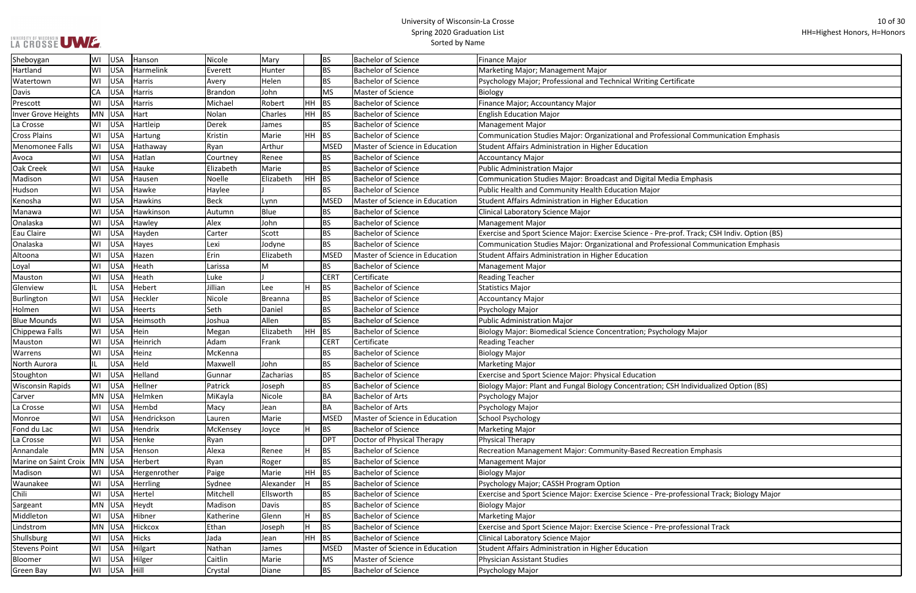ᄀ

| ificate:                            |
|-------------------------------------|
|                                     |
|                                     |
|                                     |
| sional Communication Emphasis       |
|                                     |
|                                     |
|                                     |
| ia Emphasis                         |
|                                     |
|                                     |
|                                     |
|                                     |
| rof. Track; CSH Indiv. Option (BS)  |
| sional Communication Emphasis       |
|                                     |
|                                     |
|                                     |
|                                     |
|                                     |
|                                     |
|                                     |
| ogy Major                           |
|                                     |
|                                     |
|                                     |
| <b>H Individualized Option (BS)</b> |
|                                     |
|                                     |
|                                     |
|                                     |
|                                     |
| ation Emphasis                      |
|                                     |
|                                     |
|                                     |
| rofessional Track; Biology Major    |
|                                     |
|                                     |
| rofessional Track                   |
|                                     |
|                                     |
|                                     |
|                                     |

| Sheboygan               | WI        | USA        | Hanson          | Nicole         | Mary           |           | <b>BS</b>   | <b>Bachelor of Science</b>     | Finance Major                                                                                |
|-------------------------|-----------|------------|-----------------|----------------|----------------|-----------|-------------|--------------------------------|----------------------------------------------------------------------------------------------|
| Hartland                | WI        | <b>USA</b> | Harmelink       | Everett        | Hunter         |           | <b>BS</b>   | <b>Bachelor of Science</b>     | Marketing Major; Management Major                                                            |
| Watertown               | WI        | <b>USA</b> | Harris          | Avery          | Helen          |           | <b>BS</b>   | <b>Bachelor of Science</b>     | Psychology Major; Professional and Technical Writing Certificate                             |
| Davis                   | CA        | <b>USA</b> | Harris          | <b>Brandon</b> | John           |           | <b>MS</b>   | Master of Science              | Biology                                                                                      |
| Prescott                | WI        | <b>USA</b> | Harris          | Michael        | Robert         | <b>HH</b> | <b>BS</b>   | <b>Bachelor of Science</b>     | Finance Major; Accountancy Major                                                             |
| Inver Grove Heights     | MN        | <b>USA</b> | Hart            | Nolan          | Charles        | HH        | <b>BS</b>   | <b>Bachelor of Science</b>     | <b>English Education Major</b>                                                               |
| La Crosse               | WI        | <b>USA</b> | Hartleip        | Derek          | James          |           | BS          | <b>Bachelor of Science</b>     | Management Major                                                                             |
| <b>Cross Plains</b>     | WI        | <b>USA</b> | Hartung         | Kristin        | Marie          | HH.       | <b>BS</b>   | <b>Bachelor of Science</b>     | Communication Studies Major: Organizational and Professional Communication Emphasis          |
| Menomonee Falls         | WI        | <b>USA</b> | Hathaway        | Ryan           | Arthur         |           | <b>MSED</b> | Master of Science in Education | Student Affairs Administration in Higher Education                                           |
| Avoca                   | WI        | <b>USA</b> | Hatlan          | Courtney       | Renee          |           | <b>BS</b>   | <b>Bachelor of Science</b>     | Accountancy Major                                                                            |
| Oak Creek               | WI        | <b>USA</b> | Hauke           | Elizabeth      | Marie          |           | <b>BS</b>   | <b>Bachelor of Science</b>     | Public Administration Major                                                                  |
| Madison                 | WI        | <b>USA</b> | Hausen          | Noelle         | Elizabeth      | <b>HH</b> | <b>BS</b>   | <b>Bachelor of Science</b>     | Communication Studies Major: Broadcast and Digital Media Emphasis                            |
| Hudson                  | WI        | <b>USA</b> | Hawke           | Haylee         |                |           | BS          | <b>Bachelor of Science</b>     | Public Health and Community Health Education Major                                           |
| Kenosha                 | WI        | <b>USA</b> | <b>Hawkins</b>  | <b>Beck</b>    | Lynn           |           | <b>MSED</b> | Master of Science in Education | Student Affairs Administration in Higher Education                                           |
| Manawa                  | WI        | <b>USA</b> | Hawkinson       | Autumn         | Blue           |           | <b>BS</b>   | <b>Bachelor of Science</b>     | Clinical Laboratory Science Major                                                            |
| Onalaska                | WI        | <b>USA</b> | Hawley          | Alex           | John           |           | BS.         | <b>Bachelor of Science</b>     | Management Major                                                                             |
| Eau Claire              | WI        | <b>USA</b> | Hayden          | Carter         | Scott          |           | <b>BS</b>   | <b>Bachelor of Science</b>     | Exercise and Sport Science Major: Exercise Science - Pre-prof. Track; CSH Indiv. Option (BS) |
| Onalaska                | WI        | <b>USA</b> | Hayes           | Lexi           | Jodyne         |           | <b>BS</b>   | <b>Bachelor of Science</b>     | Communication Studies Major: Organizational and Professional Communication Emphasis          |
| Altoona                 | WI        | <b>USA</b> | Hazen           | Erin           | Elizabeth      |           | <b>MSED</b> | Master of Science in Education | Student Affairs Administration in Higher Education                                           |
| Loyal                   | WI        | <b>USA</b> | Heath           | Larissa        | M              |           | BS.         | <b>Bachelor of Science</b>     | Management Major                                                                             |
| Mauston                 | WI        | <b>USA</b> | Heath           | Luke           |                |           | <b>CERT</b> | Certificate                    | <b>Reading Teacher</b>                                                                       |
| Glenview                | IL.       | USA        | Hebert          | Jillian        | Lee            |           | <b>BS</b>   | <b>Bachelor of Science</b>     | Statistics Major                                                                             |
| Burlington              | WI        | <b>USA</b> | Heckler         | Nicole         | <b>Breanna</b> |           | BS          | <b>Bachelor of Science</b>     | Accountancy Major                                                                            |
| Holmen                  | WI        | <b>USA</b> | Heerts          | Seth           | Daniel         |           | <b>BS</b>   | <b>Bachelor of Science</b>     | Psychology Major                                                                             |
| <b>Blue Mounds</b>      | WI        | <b>USA</b> | Heimsoth        | Joshua         | Allen          |           | <b>BS</b>   | <b>Bachelor of Science</b>     | Public Administration Major                                                                  |
| Chippewa Falls          | WI        | <b>USA</b> | Hein            | Megan          | Elizabeth      | HH        | BS          | <b>Bachelor of Science</b>     | Biology Major: Biomedical Science Concentration; Psychology Major                            |
| Mauston                 | WI        | <b>USA</b> | Heinrich        | Adam           | Frank          |           | <b>CERT</b> | Certificate                    | <b>Reading Teacher</b>                                                                       |
| Warrens                 | WI        | <b>USA</b> | Heinz           | McKenna        |                |           | <b>BS</b>   | <b>Bachelor of Science</b>     | Biology Major                                                                                |
| North Aurora            | IL.       | <b>USA</b> | Held            | Maxwell        | John           |           | <b>BS</b>   | <b>Bachelor of Science</b>     | Marketing Major                                                                              |
| Stoughton               | WI        | <b>USA</b> | Helland         | Gunnar         | Zacharias      |           | <b>BS</b>   | <b>Bachelor of Science</b>     | <b>Exercise and Sport Science Major: Physical Education</b>                                  |
| <b>Wisconsin Rapids</b> |           | WI USA     | Hellner         | Patrick        | Joseph         |           | BS.         | <b>Bachelor of Science</b>     | Biology Major: Plant and Fungal Biology Concentration; CSH Individualized Option (BS)        |
| Carver                  | MN        | USA        | Helmken         | MiKayla        | Nicole         |           | BA          | <b>Bachelor of Arts</b>        | Psychology Major                                                                             |
| La Crosse               | WI        | USA        | Hembd           | Macy           | Jean           |           | BA          | <b>Bachelor of Arts</b>        | Psychology Major                                                                             |
| Monroe                  | WI        | USA        | Hendrickson     | Lauren         | Marie          |           | <b>MSED</b> | Master of Science in Education | School Psychology                                                                            |
| Fond du Lac             | WI        | USA        | Hendrix         | McKensey       | Joyce          |           | <b>BS</b>   | <b>Bachelor of Science</b>     | Marketing Major                                                                              |
| La Crosse               | WI        | USA        | Henke           | Ryan           |                |           | <b>DPT</b>  | Doctor of Physical Therapy     | Physical Therapy                                                                             |
| Annandale               | <b>MN</b> | USA        | Henson          | Alexa          | Renee          |           | <b>BS</b>   | <b>Bachelor of Science</b>     | Recreation Management Major: Community-Based Recreation Emphasis                             |
| Marine on Saint Croix   | <b>MN</b> | USA        | Herbert         | Ryan           | Roger          |           | <b>BS</b>   | <b>Bachelor of Science</b>     | Management Major                                                                             |
| Madison                 | WI        | USA        | Hergenrother    | Paige          | Marie          | <b>HH</b> | BS          | <b>Bachelor of Science</b>     | <b>Biology Major</b>                                                                         |
| Waunakee                | WI        | USA        | <b>Herrling</b> | Sydnee         | Alexander      |           | <b>BS</b>   | <b>Bachelor of Science</b>     | Psychology Major; CASSH Program Option                                                       |
| Chili                   | WI        | USA        | Hertel          | Mitchell       | Ellsworth      |           | BS          | <b>Bachelor of Science</b>     | Exercise and Sport Science Major: Exercise Science - Pre-professional Track; Biology Major   |
| Sargeant                | <b>MN</b> | USA        | Heydt           | Madison        | Davis          |           | BS.         | <b>Bachelor of Science</b>     | <b>Biology Major</b>                                                                         |
| Middleton               | WI        | USA        | Hibner          | Katherine      | Glenn          | lН        | <b>BS</b>   | <b>Bachelor of Science</b>     | Marketing Major                                                                              |
| Lindstrom               | MN        | USA        | Hickcox         | Ethan          | Joseph         |           | <b>BS</b>   | <b>Bachelor of Science</b>     | Exercise and Sport Science Major: Exercise Science - Pre-professional Track                  |
| Shullsburg              | WI        | <b>USA</b> | <b>Hicks</b>    | Jada           | Jean           | HH.       | BS          | <b>Bachelor of Science</b>     | Clinical Laboratory Science Major                                                            |
| <b>Stevens Point</b>    | WI        | <b>USA</b> | Hilgart         | Nathan         | James          |           | <b>MSED</b> | Master of Science in Education | Student Affairs Administration in Higher Education                                           |
| Bloomer                 | WI        | <b>USA</b> | Hilger          | Caitlin        | Marie          |           | MS          | Master of Science              | Physician Assistant Studies                                                                  |
| Green Bay               | WI        | USA        | Hill            | Crystal        | Diane          |           | <b>BS</b>   | <b>Bachelor of Science</b>     | Psychology Major                                                                             |
|                         |           |            |                 |                |                |           |             |                                |                                                                                              |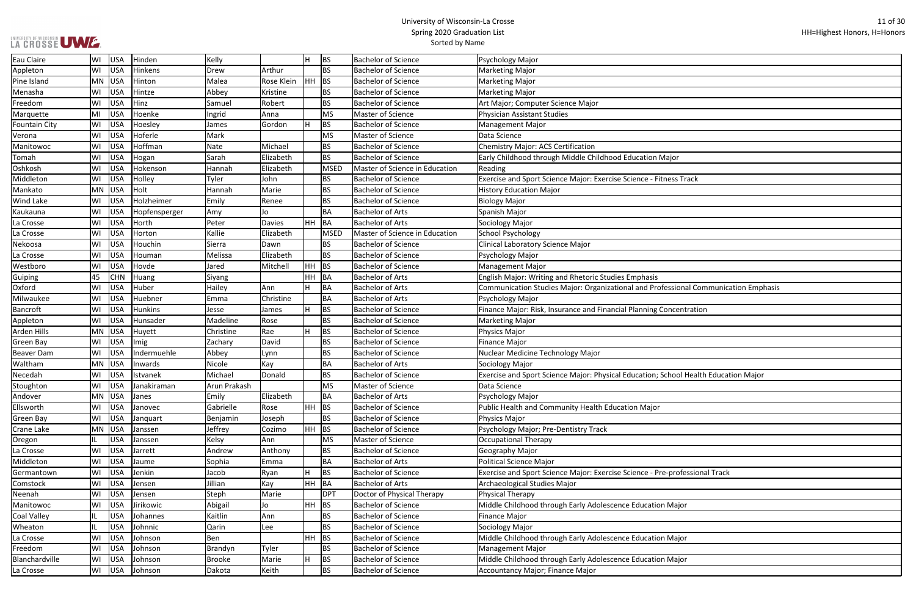| $\mathsf{pr}$                 |
|-------------------------------|
|                               |
| ss Track                      |
|                               |
|                               |
|                               |
|                               |
|                               |
|                               |
|                               |
|                               |
|                               |
|                               |
|                               |
| sional Communication Emphasis |
|                               |
|                               |
| centration                    |
|                               |
|                               |
|                               |
|                               |
|                               |
|                               |
| pol Health Education Major    |
|                               |
|                               |
|                               |
|                               |
|                               |
|                               |
|                               |
|                               |
|                               |
|                               |
| rofessional Track             |
|                               |
|                               |
|                               |
| lajor                         |
|                               |
|                               |
|                               |
| lajor                         |
|                               |
| lajor                         |
|                               |
|                               |

| Eau Claire           | WI  | USA        | Hinden         | Kelly         |            |     | <b>BS</b> | <b>Bachelor of Science</b>     | Psychology Major                                                                    |
|----------------------|-----|------------|----------------|---------------|------------|-----|-----------|--------------------------------|-------------------------------------------------------------------------------------|
| Appleton             | WI  | <b>USA</b> | Hinkens        | Drew          | Arthur     |     | <b>BS</b> | <b>Bachelor of Science</b>     | <b>Marketing Major</b>                                                              |
| Pine Island          | MN  | <b>USA</b> | Hinton         | Malea         | Rose Klein | HH. | <b>BS</b> | <b>Bachelor of Science</b>     | Marketing Major                                                                     |
| Menasha              | WI  | <b>USA</b> | Hintze         | Abbey         | Kristine   |     | <b>BS</b> | <b>Bachelor of Science</b>     | <b>Marketing Major</b>                                                              |
| Freedom              | WI  | <b>USA</b> | Hinz           | Samuel        | Robert     |     | <b>BS</b> | <b>Bachelor of Science</b>     | Art Major; Computer Science Major                                                   |
| Marquette            | MI  | <b>USA</b> | Hoenke         | Ingrid        | Anna       |     | MS        | Master of Science              | <b>Physician Assistant Studies</b>                                                  |
| <b>Fountain City</b> | WI  | <b>USA</b> | Hoesley        | James         | Gordon     |     | <b>BS</b> | <b>Bachelor of Science</b>     | <b>Management Major</b>                                                             |
| Verona               | WI  | <b>USA</b> | Hoferle        | Mark          |            |     | MS        | Master of Science              | Data Science                                                                        |
| Manitowoc            | WI  | <b>USA</b> | Hoffman        | Nate          | Michael    |     | <b>BS</b> | <b>Bachelor of Science</b>     | <b>Chemistry Major: ACS Certification</b>                                           |
| Tomah                | WI  | <b>USA</b> | Hogan          | Sarah         | Elizabeth  |     | <b>BS</b> | Bachelor of Science            | Early Childhood through Middle Childhood Education Major                            |
| Oshkosh              | WI  | <b>USA</b> | Hokenson       | Hannah        | Elizabeth  |     | MSED      | Master of Science in Education | Reading                                                                             |
| Middleton            | WI  | <b>USA</b> | Holley         | Tyler         | John       |     | <b>BS</b> | <b>Bachelor of Science</b>     | Exercise and Sport Science Major: Exercise Science - Fitness Track                  |
| Mankato              | MN  | <b>USA</b> | Holt           | Hannah        | Marie      |     | <b>BS</b> | <b>Bachelor of Science</b>     | <b>History Education Major</b>                                                      |
| <b>Wind Lake</b>     | WI  | <b>USA</b> | Holzheimer     | Emily         | Renee      |     | <b>BS</b> | <b>Bachelor of Science</b>     | <b>Biology Major</b>                                                                |
| Kaukauna             | WI  | <b>USA</b> | Hopfensperger  | Amy           | Jo         |     | BA        | <b>Bachelor of Arts</b>        | Spanish Major                                                                       |
| La Crosse            | WI  | <b>USA</b> | Horth          | Peter         | Davies     |     | HH BA     | Bachelor of Arts               | Sociology Major                                                                     |
| La Crosse            | WI  | <b>USA</b> | Horton         | Kallie        | Elizabeth  |     | MSED      | Master of Science in Education | School Psychology                                                                   |
| Nekoosa              | WI  | <b>USA</b> | Houchin        | Sierra        | Dawn       |     | <b>BS</b> | <b>Bachelor of Science</b>     | Clinical Laboratory Science Major                                                   |
| La Crosse            | WI  | <b>USA</b> | Houman         | Melissa       | Elizabeth  |     | <b>BS</b> | <b>Bachelor of Science</b>     | Psychology Major                                                                    |
| Westboro             | WI  | <b>USA</b> | Hovde          | Jared         | Mitchell   | HH. | <b>BS</b> | <b>Bachelor of Science</b>     | <b>Management Major</b>                                                             |
| Guiping              | 45  | <b>CHN</b> | Huang          | Siyang        |            | HH. | <b>BA</b> | <b>Bachelor of Arts</b>        | English Major: Writing and Rhetoric Studies Emphasis                                |
| Oxford               | WI  | <b>USA</b> | Huber          | Hailey        | Ann        |     | BA        | <b>Bachelor of Arts</b>        | Communication Studies Major: Organizational and Professional Communication Emphasis |
| Milwaukee            | WI  | <b>USA</b> | Huebner        | Emma          | Christine  |     | BA        | Bachelor of Arts               | Psychology Major                                                                    |
| Bancroft             | WI  | <b>USA</b> | <b>Hunkins</b> | Jesse         | James      |     | <b>BS</b> | <b>Bachelor of Science</b>     | Finance Major: Risk, Insurance and Financial Planning Concentration                 |
| Appleton             | WI  | <b>USA</b> | Hunsader       | Madeline      | Rose       |     | <b>BS</b> | <b>Bachelor of Science</b>     | <b>Marketing Major</b>                                                              |
| <b>Arden Hills</b>   | MN  | <b>USA</b> | Huyett         | Christine     | Rae        |     | <b>BS</b> | <b>Bachelor of Science</b>     | <b>Physics Major</b>                                                                |
| <b>Green Bay</b>     | WI  | <b>USA</b> | Imig           | Zachary       | David      |     | <b>BS</b> | <b>Bachelor of Science</b>     | <b>Finance Major</b>                                                                |
| <b>Beaver Dam</b>    | WI  | <b>USA</b> | Indermuehle    | Abbey         | Lynn       |     | <b>BS</b> | <b>Bachelor of Science</b>     | Nuclear Medicine Technology Major                                                   |
| Waltham              | MN  | <b>USA</b> | Inwards        | Nicole        | Kay        |     | BA        | <b>Bachelor of Arts</b>        | Sociology Major                                                                     |
| Necedah              | WI  | <b>USA</b> | Istvanek       | Michael       | Donald     |     | <b>BS</b> | <b>Bachelor of Science</b>     | Exercise and Sport Science Major: Physical Education; School Health Education Major |
| Stoughton            | WI  | USA        | Janakiraman    | Arun Prakash  |            |     | MS        | Master of Science              | Data Science                                                                        |
| Andover              | MN  | USA        | Janes          | Emily         | Elizabeth  |     | BA        | <b>Bachelor of Arts</b>        | Psychology Major                                                                    |
| Ellsworth            | WI  | USA        | Janovec        | Gabrielle     | Rose       |     | HH BS     | <b>Bachelor of Science</b>     | Public Health and Community Health Education Major                                  |
| Green Bay            | WI  | USA        | Janquart       | Benjamin      | Joseph     |     | <b>BS</b> | <b>Bachelor of Science</b>     | <b>Physics Major</b>                                                                |
| Crane Lake           | MN  | USA        | Janssen        | Jeffrey       | Cozimo     |     | HH BS     | <b>Bachelor of Science</b>     | Psychology Major; Pre-Dentistry Track                                               |
| Oregon               | IL. | USA        | Janssen        | Kelsy         | Ann        |     | MS        | Master of Science              | Occupational Therapy                                                                |
| La Crosse            | WI  | <b>USA</b> | Jarrett        | Andrew        | Anthony    |     | <b>BS</b> | <b>Bachelor of Science</b>     | Geography Major                                                                     |
| Middleton            | WI  | <b>USA</b> | Jaume          | Sophia        | Emma       |     | BA        | <b>Bachelor of Arts</b>        | <b>Political Science Major</b>                                                      |
| Germantown           | WI  | <b>USA</b> | Jenkin         | Jacob         | Ryan       |     | <b>BS</b> | <b>Bachelor of Science</b>     | Exercise and Sport Science Major: Exercise Science - Pre-professional Track         |
| Comstock             | WI  | <b>USA</b> | Jensen         | Jillian       | Kay        |     | HH BA     | <b>Bachelor of Arts</b>        | Archaeological Studies Major                                                        |
| Neenah               | WI  | USA        | Jensen         | Steph         | Marie      |     | DPT       | Doctor of Physical Therapy     | Physical Therapy                                                                    |
| Manitowoc            | WI  | <b>USA</b> | Jirikowic      | Abigail       | Jo         |     | HH BS     | <b>Bachelor of Science</b>     | Middle Childhood through Early Adolescence Education Major                          |
| <b>Coal Valley</b>   | IL. | <b>USA</b> | Johannes       | Kaitlin       | Ann        |     | <b>BS</b> | <b>Bachelor of Science</b>     | Finance Major                                                                       |
| Wheaton              | IL. | <b>USA</b> | Johnnic        | Qarin         | Lee        |     | <b>BS</b> | <b>Bachelor of Science</b>     | Sociology Major                                                                     |
| La Crosse            | WI  | <b>USA</b> | Johnson        | Ben           |            |     | $HH$ BS   | <b>Bachelor of Science</b>     | Middle Childhood through Early Adolescence Education Major                          |
| Freedom              | WI  | <b>USA</b> | Johnson        | Brandyn       | Tyler      |     | <b>BS</b> | <b>Bachelor of Science</b>     | <b>Management Major</b>                                                             |
| Blanchardville       | WI  | <b>USA</b> | Johnson        | <b>Brooke</b> | Marie      |     | <b>BS</b> | <b>Bachelor of Science</b>     | Middle Childhood through Early Adolescence Education Major                          |
| La Crosse            | WI  | USA        | Johnson        | Dakota        | Keith      |     | <b>BS</b> | <b>Bachelor of Science</b>     | Accountancy Major; Finance Major                                                    |
|                      |     |            |                |               |            |     |           |                                |                                                                                     |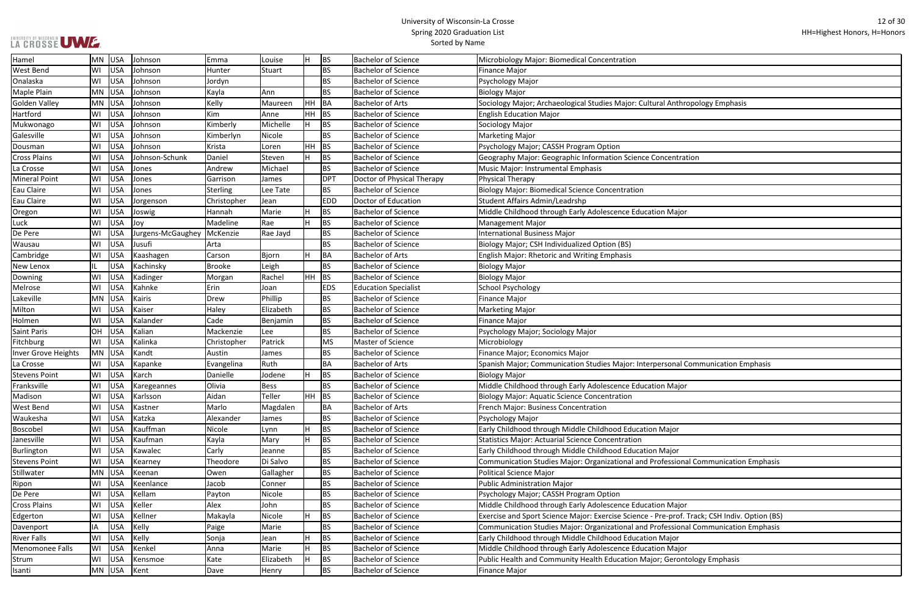| nthropology Emphasis               |
|------------------------------------|
|                                    |
|                                    |
|                                    |
|                                    |
|                                    |
| ntration                           |
|                                    |
|                                    |
|                                    |
|                                    |
|                                    |
| lajor                              |
|                                    |
|                                    |
|                                    |
|                                    |
|                                    |
|                                    |
|                                    |
|                                    |
|                                    |
|                                    |
|                                    |
|                                    |
|                                    |
|                                    |
| nal Communication Emphasis         |
|                                    |
|                                    |
| lajor                              |
|                                    |
|                                    |
|                                    |
| or                                 |
|                                    |
| or                                 |
| sional Communication Emphasis      |
|                                    |
|                                    |
|                                    |
|                                    |
| lajor                              |
| rof. Track; CSH Indiv. Option (BS) |
| sional Communication Emphasis      |
| or                                 |
|                                    |
| lajor                              |
| rontology Emphasis                 |
|                                    |

| Hamel                  | MN        | USA        | Johnson                      | Emma            | Louise    | lн        | <b>BS</b>  | <b>Bachelor of Science</b>  | Microbiology Major: Biomedical Concentration                                                 |
|------------------------|-----------|------------|------------------------------|-----------------|-----------|-----------|------------|-----------------------------|----------------------------------------------------------------------------------------------|
| <b>West Bend</b>       | WI        | <b>USA</b> | Johnson                      | Hunter          | Stuart    |           | <b>BS</b>  | <b>Bachelor of Science</b>  | Finance Major                                                                                |
| Onalaska               | WI        | USA        | Johnson                      | Jordyn          |           |           | <b>BS</b>  | <b>Bachelor of Science</b>  | Psychology Major                                                                             |
| Maple Plain            | MN        | USA        | Johnson                      | Kayla           | lAnn.     |           | <b>BS</b>  | <b>Bachelor of Science</b>  | <b>Biology Major</b>                                                                         |
| Golden Valley          | MN        | USA        | Johnson                      | Kelly           | Maureen   | HH BA     |            | <b>Bachelor of Arts</b>     | Sociology Major; Archaeological Studies Major: Cultural Anthropology Emphasis                |
| Hartford               | WI        | <b>USA</b> | Johnson                      | Kim             | Anne      | <b>HH</b> | <b>BS</b>  | <b>Bachelor of Science</b>  | <b>English Education Major</b>                                                               |
| Mukwonago              | WI        | <b>USA</b> | Johnson                      | Kimberly        | Michelle  | H         | <b>BS</b>  | <b>Bachelor of Science</b>  | Sociology Major                                                                              |
| Galesville             | WI        | <b>USA</b> | Johnson                      | Kimberlyn       | Nicole    |           | <b>BS</b>  | <b>Bachelor of Science</b>  | Marketing Major                                                                              |
| Dousman                | WI        | <b>USA</b> | Johnson                      | Krista          | Loren     | <b>HH</b> | BS         | <b>Bachelor of Science</b>  | Psychology Major; CASSH Program Option                                                       |
| <b>Cross Plains</b>    | WI        | <b>USA</b> | Johnson-Schunk               | Daniel          | Steven    |           | <b>BS</b>  | <b>Bachelor of Science</b>  | Geography Major: Geographic Information Science Concentration                                |
| La Crosse              | WI        | <b>USA</b> | Jones                        | Andrew          | Michael   |           | BS         | <b>Bachelor of Science</b>  | Music Major: Instrumental Emphasis                                                           |
| <b>Mineral Point</b>   | WI        | <b>USA</b> | Jones                        | Garrison        | James     |           | <b>DPT</b> | Doctor of Physical Therapy  | Physical Therapy                                                                             |
| Eau Claire             | WI        | <b>USA</b> | Jones                        | <b>Sterling</b> | Lee Tate  |           | BS.        | <b>Bachelor of Science</b>  | <b>Biology Major: Biomedical Science Concentration</b>                                       |
| Eau Claire             | WI        | <b>USA</b> | Jorgenson                    | Christopher     | Jean      |           | <b>EDD</b> | Doctor of Education         | Student Affairs Admin/Leadrshp                                                               |
| Oregon                 | WI        | <b>USA</b> | Joswig                       | Hannah          | Marie     |           | <b>BS</b>  | <b>Bachelor of Science</b>  | Middle Childhood through Early Adolescence Education Major                                   |
| Luck                   | WI        | <b>USA</b> | Joy                          | Madeline        | Rae       |           | <b>BS</b>  | <b>Bachelor of Science</b>  | Management Major                                                                             |
| De Pere                | WI        | USA        | Jurgens-McGaughey   McKenzie |                 | Rae Jayd  |           | <b>BS</b>  | <b>Bachelor of Science</b>  | International Business Major                                                                 |
| Wausau                 | WI        | <b>USA</b> | Jusufi                       | Arta            |           |           | <b>BS</b>  | <b>Bachelor of Science</b>  | Biology Major; CSH Individualized Option (BS)                                                |
| Cambridge              | WI        | <b>USA</b> | Kaashagen                    | Carson          | Bjorn     |           | BA         | <b>Bachelor of Arts</b>     | <b>English Major: Rhetoric and Writing Emphasis</b>                                          |
| New Lenox              | IL.       | <b>USA</b> | Kachinsky                    | <b>Brooke</b>   | Leigh     |           | <b>BS</b>  | <b>Bachelor of Science</b>  | Biology Major                                                                                |
| Downing                | WI        | <b>USA</b> | Kadinger                     | Morgan          | Rachel    | HH        | <b>BS</b>  | <b>Bachelor of Science</b>  | <b>Biology Major</b>                                                                         |
| Melrose                | WI        | <b>USA</b> | Kahnke                       | Erin            | Joan      |           | <b>EDS</b> | <b>Education Specialist</b> | School Psychology                                                                            |
| Lakeville              | <b>MN</b> | <b>USA</b> | Kairis                       | Drew            | Phillip   |           | BS.        | <b>Bachelor of Science</b>  | <b>Finance Major</b>                                                                         |
| Milton                 | WI        | <b>USA</b> | Kaiser                       | Haley           | Elizabeth |           | <b>BS</b>  | <b>Bachelor of Science</b>  | Marketing Major                                                                              |
| Holmen                 | WI        | <b>USA</b> | Kalander                     | Cade            | Benjamin  |           | BS.        | <b>Bachelor of Science</b>  | Finance Major                                                                                |
| <b>Saint Paris</b>     | OH        | <b>USA</b> | Kalian                       | Mackenzie       | Lee       |           | <b>BS</b>  | <b>Bachelor of Science</b>  | Psychology Major; Sociology Major                                                            |
| Fitchburg              | WI        | <b>USA</b> | Kalinka                      | Christopher     | Patrick   |           | <b>MS</b>  | Master of Science           | Microbiology                                                                                 |
| Inver Grove Heights    | MN        | USA        | Kandt                        | Austin          | James     |           | BS         | <b>Bachelor of Science</b>  | Finance Major; Economics Major                                                               |
| La Crosse              | WI        | USA        | Kapanke                      | Evangelina      | Ruth      |           | BA         | <b>Bachelor of Arts</b>     | Spanish Major; Communication Studies Major: Interpersonal Communication Emphasis             |
| <b>Stevens Point</b>   | WI        | USA        | Karch                        | Danielle        | Jodene    |           | <b>BS</b>  | <b>Bachelor of Science</b>  | Biology Major                                                                                |
| Franksville            | WI        | USA        | Karegeannes                  | Olivia          | Bess      |           | BS         | <b>Bachelor of Science</b>  | Middle Childhood through Early Adolescence Education Major                                   |
| Madison                | WI        | <b>USA</b> | Karlsson                     | Aidan           | Teller    | HH BS     |            | <b>Bachelor of Science</b>  | <b>Biology Major: Aquatic Science Concentration</b>                                          |
| <b>West Bend</b>       | WI        | <b>USA</b> | Kastner                      | Marlo           | Magdalen  |           | BA         | <b>Bachelor of Arts</b>     | <b>French Major: Business Concentration</b>                                                  |
| Waukesha               | WI        | <b>USA</b> | Katzka                       | Alexander       | James     |           | <b>BS</b>  | <b>Bachelor of Science</b>  | Psychology Major                                                                             |
| Boscobel               | WI        | <b>USA</b> | Kauffman                     | Nicole          | Lynn      |           | BS         | <b>Bachelor of Science</b>  | Early Childhood through Middle Childhood Education Major                                     |
| Janesville             | WI        | <b>USA</b> | Kaufman                      | Kayla           | Mary      | Iн        | <b>BS</b>  | <b>Bachelor of Science</b>  | Statistics Major: Actuarial Science Concentration                                            |
| Burlington             | WI        | USA        | Kawalec                      | Carly           | Jeanne    |           | BS.        | <b>Bachelor of Science</b>  | Early Childhood through Middle Childhood Education Major                                     |
| <b>Stevens Point</b>   | WI        | <b>USA</b> | Kearney                      | Theodore        | Di Salvo  |           | BS.        | <b>Bachelor of Science</b>  | Communication Studies Major: Organizational and Professional Communication Emphasis          |
| Stillwater             | <b>MN</b> | USA        | Keenan                       | Owen            | Gallagher |           | BS.        | <b>Bachelor of Science</b>  | Political Science Major                                                                      |
| Ripon                  | WI        | <b>USA</b> | Keenlance                    | Jacob           | Conner    |           | <b>BS</b>  | <b>Bachelor of Science</b>  | Public Administration Major                                                                  |
| De Pere                | WI        | <b>USA</b> | Kellam                       | Payton          | Nicole    |           | BS.        | <b>Bachelor of Science</b>  | Psychology Major; CASSH Program Option                                                       |
| <b>Cross Plains</b>    | WI        | <b>USA</b> | Keller                       | Alex            | John      |           | <b>BS</b>  | <b>Bachelor of Science</b>  | Middle Childhood through Early Adolescence Education Major                                   |
| Edgerton               | WI        | <b>USA</b> | Kellner                      | Makayla         | Nicole    | Iн        | <b>BS</b>  | <b>Bachelor of Science</b>  | Exercise and Sport Science Major: Exercise Science - Pre-prof. Track; CSH Indiv. Option (BS) |
| Davenport              | IA.       | <b>USA</b> | Kelly                        | Paige           | Marie     |           | BS.        | <b>Bachelor of Science</b>  | Communication Studies Major: Organizational and Professional Communication Emphasis          |
| <b>River Falls</b>     | WI        | <b>USA</b> | Kelly                        | Sonja           | Jean      | H         | <b>BS</b>  | <b>Bachelor of Science</b>  | Early Childhood through Middle Childhood Education Major                                     |
| <b>Menomonee Falls</b> | WI        | <b>USA</b> | Kenkel                       | Anna            | Marie     |           | <b>BS</b>  | <b>Bachelor of Science</b>  | Middle Childhood through Early Adolescence Education Major                                   |
| Strum                  | WI        | <b>USA</b> | Kensmoe                      | Kate            | Elizabeth |           | <b>BS</b>  | <b>Bachelor of Science</b>  | Public Health and Community Health Education Major; Gerontology Emphasis                     |
| Isanti                 | MN        | USA        | Kent                         | Dave            | Henry     |           | <b>BS</b>  | <b>Bachelor of Science</b>  | <b>Finance Major</b>                                                                         |
|                        |           |            |                              |                 |           |           |            |                             |                                                                                              |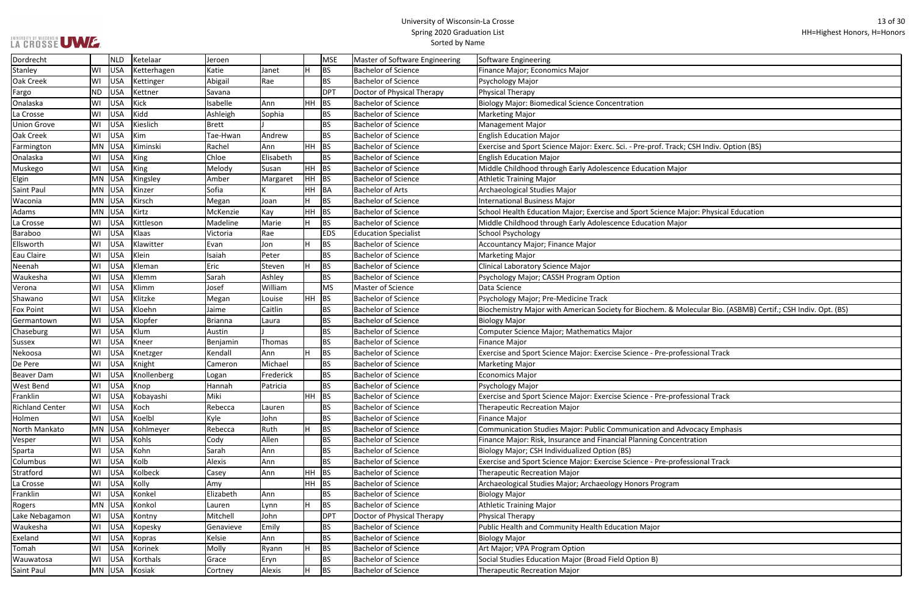┑

| ack; CSH Indiv. Option (BS)                          |
|------------------------------------------------------|
|                                                      |
| lajor                                                |
|                                                      |
|                                                      |
|                                                      |
|                                                      |
|                                                      |
| e Major: Physical Education                          |
| lajor                                                |
|                                                      |
|                                                      |
|                                                      |
|                                                      |
|                                                      |
|                                                      |
|                                                      |
|                                                      |
|                                                      |
| Molecular Bio. (ASBMB) Certif.; CSH Indiv. Opt. (BS) |
|                                                      |
|                                                      |
|                                                      |
|                                                      |
| rofessional Track                                    |
|                                                      |
|                                                      |
|                                                      |
|                                                      |
| rofessional Track                                    |
|                                                      |
|                                                      |
|                                                      |
| d Advocacy Emphasis                                  |
| centration                                           |
|                                                      |
|                                                      |
| rofessional Track                                    |
|                                                      |
| m                                                    |
|                                                      |
|                                                      |
|                                                      |
|                                                      |
|                                                      |
|                                                      |
|                                                      |
|                                                      |
|                                                      |
|                                                      |
|                                                      |

| Dordrecht              |           | <b>NLD</b> | Ketelaar      | Jeroen    |           |         | <b>MSE</b> | Master of Software Engineering | Software Engineering                                                                                         |
|------------------------|-----------|------------|---------------|-----------|-----------|---------|------------|--------------------------------|--------------------------------------------------------------------------------------------------------------|
| Stanley                | WI        | USA        | Ketterhagen   | Katie     | Janet     |         | <b>BS</b>  | <b>Bachelor of Science</b>     | Finance Major; Economics Major                                                                               |
| <b>Oak Creek</b>       | WI        | USA        | Kettinger     | Abigail   | Rae       |         | <b>BS</b>  | <b>Bachelor of Science</b>     | Psychology Major                                                                                             |
| Fargo                  | <b>ND</b> | USA        | Kettner       | Savana    |           |         | <b>DPT</b> | Doctor of Physical Therapy     | Physical Therapy                                                                                             |
| Onalaska               | WI        | USA        | Kick          | Isabelle  | Ann       | HН      | <b>BS</b>  | Bachelor of Science            | <b>Biology Major: Biomedical Science Concentration</b>                                                       |
| La Crosse              | WI        | USA        | Kidd          | Ashleigh  | Sophia    |         | BS         | <b>Bachelor of Science</b>     | <b>Marketing Major</b>                                                                                       |
| <b>Union Grove</b>     | WI        | USA        | Kieslich      | Brett     |           |         | <b>BS</b>  | <b>Bachelor of Science</b>     | Management Major                                                                                             |
| Oak Creek              | WI        | USA        | Kim           | Tae-Hwan  | Andrew    |         | <b>BS</b>  | Bachelor of Science            | <b>English Education Major</b>                                                                               |
| Farmington             | MN        | USA        | Kiminski      | Rachel    | l Ann     | HH      | BS         | <b>Bachelor of Science</b>     | Exercise and Sport Science Major: Exerc. Sci. - Pre-prof. Track; CSH Indiv. Option (BS)                      |
| Onalaska               | WI        | USA        | King          | Chloe     | Elisabeth |         | <b>BS</b>  | <b>Bachelor of Science</b>     | <b>English Education Major</b>                                                                               |
| Muskego                | WI        | USA        | King          | Melody    | Susan     | HH      | <b>BS</b>  | <b>Bachelor of Science</b>     | Middle Childhood through Early Adolescence Education Major                                                   |
| Elgin                  | <b>MN</b> | USA        | Kingsley      | Amber     | Margaret  | $HH$ BS |            | <b>Bachelor of Science</b>     | <b>Athletic Training Major</b>                                                                               |
| Saint Paul             | MN        | USA        | Kinzer        | Sofia     |           | HH      | BA         | <b>Bachelor of Arts</b>        | Archaeological Studies Major                                                                                 |
| Waconia                | MN        | USA        | Kirsch        | Megan     | Joan      |         | <b>BS</b>  | <b>Bachelor of Science</b>     | <b>International Business Major</b>                                                                          |
| Adams                  | MN        | USA        | Kirtz         | McKenzie  | Kay       | HH      | <b>BS</b>  | <b>Bachelor of Science</b>     | School Health Education Major; Exercise and Sport Science Major: Physical Education                          |
| La Crosse              | WI        | USA        | Kittleson     | Madeline  | Marie     |         | <b>BS</b>  | Bachelor of Science            | Middle Childhood through Early Adolescence Education Major                                                   |
| Baraboo                | WI        | USA        | Klaas         | Victoria  | Rae       |         | <b>EDS</b> | <b>Education Specialist</b>    | School Psychology                                                                                            |
| Ellsworth              | WI        | USA        | Klawitter     | Evan      | Jon       |         | <b>BS</b>  | <b>Bachelor of Science</b>     | Accountancy Major; Finance Major                                                                             |
| Eau Claire             | WI        | USA        | Klein         | Isaiah    | Peter     |         | <b>BS</b>  | <b>Bachelor of Science</b>     | <b>Marketing Major</b>                                                                                       |
| Neenah                 | WI        | <b>USA</b> | Kleman        | Eric      | Steven    |         | <b>BS</b>  | <b>Bachelor of Science</b>     | Clinical Laboratory Science Major                                                                            |
| Waukesha               | WI        | <b>USA</b> | Klemm         | Sarah     | Ashley    |         | <b>BS</b>  | Bachelor of Science            | Psychology Major; CASSH Program Option                                                                       |
| Verona                 | WI        | USA        | Klimm         | Josef     | William   |         | <b>MS</b>  | Master of Science              | Data Science                                                                                                 |
| Shawano                | WI        | USA        | Klitzke       | Megan     | Louise    | HН      | BS         | <b>Bachelor of Science</b>     | Psychology Major; Pre-Medicine Track                                                                         |
| <b>Fox Point</b>       | WI        | USA        | Kloehn        | Jaime     | Caitlin   |         | <b>BS</b>  | <b>Bachelor of Science</b>     | Biochemistry Major with American Society for Biochem. & Molecular Bio. (ASBMB) Certif.; CSH Indiv. Opt. (BS) |
| Germantown             | WI        | USA        | Klopfer       | Brianna   | Laura     |         | <b>BS</b>  | <b>Bachelor of Science</b>     | <b>Biology Major</b>                                                                                         |
| Chaseburg              | WI        | USA        | Klum          | Austin    |           |         | <b>BS</b>  | <b>Bachelor of Science</b>     | Computer Science Major; Mathematics Major                                                                    |
| Sussex                 | WI        | <b>USA</b> | Kneer         | Benjamin  | Thomas    |         | BS         | <b>Bachelor of Science</b>     | <b>Finance Major</b>                                                                                         |
| Nekoosa                | WI        | <b>USA</b> | Knetzger      | Kendall   | l Ann     |         | <b>BS</b>  | Bachelor of Science            | Exercise and Sport Science Major: Exercise Science - Pre-professional Track                                  |
| De Pere                | WI        | USA        | Knight        | Cameron   | Michael   |         | <b>BS</b>  | <b>Bachelor of Science</b>     | <b>Marketing Major</b>                                                                                       |
| Beaver Dam             | WI        | USA        | Knollenberg   | Logan     | Frederick |         | <b>BS</b>  | Bachelor of Science            | <b>Economics Major</b>                                                                                       |
| <b>West Bend</b>       | WI        |            | USA Knop      | Hannah    | Patricia  |         | <b>BS</b>  | <b>Bachelor of Science</b>     | Psychology Major                                                                                             |
| Franklin               | WI        | USA        | Kobayashi     | Miki      |           | HH.     | BS         | <b>Bachelor of Science</b>     | Exercise and Sport Science Major: Exercise Science - Pre-professional Track                                  |
| <b>Richland Center</b> | WI        | USA        | Koch          | Rebecca   | Lauren    |         | <b>BS</b>  | Bachelor of Science            | <b>Therapeutic Recreation Major</b>                                                                          |
| Holmen                 | WI        | USA        | Koelbl        | Kyle      | John      |         | <b>BS</b>  | <b>Bachelor of Science</b>     | <b>Finance Major</b>                                                                                         |
| North Mankato          | MN        | USA        | Kohlmeyer     | Rebecca   | Ruth      |         | <b>BS</b>  | Bachelor of Science            | Communication Studies Major: Public Communication and Advocacy Emphasis                                      |
| Vesper                 | WI        | USA        | Kohls         | Cody      | Allen     |         | <b>BS</b>  | <b>Bachelor of Science</b>     | Finance Major: Risk, Insurance and Financial Planning Concentration                                          |
| Sparta                 | WI        | USA        | Kohn          | Sarah     | Ann       |         | <b>BS</b>  | <b>Bachelor of Science</b>     | Biology Major; CSH Individualized Option (BS)                                                                |
| Columbus               | WI        | USA        | Kolb          | Alexis    | Ann       |         | <b>BS</b>  | Bachelor of Science            | Exercise and Sport Science Major: Exercise Science - Pre-professional Track                                  |
| Stratford              | WI        | USA        | Kolbeck       | Casey     | Ann       | HH      | <b>BS</b>  | <b>Bachelor of Science</b>     | <b>Therapeutic Recreation Major</b>                                                                          |
| La Crosse              | WI        | USA        | Kolly         | Amy       |           | HH.     | BS         | <b>Bachelor of Science</b>     | Archaeological Studies Major; Archaeology Honors Program                                                     |
| Franklin               | WI        | USA        | Konkel        | Elizabeth | Ann       |         | <b>BS</b>  | <b>Bachelor of Science</b>     | <b>Biology Major</b>                                                                                         |
| Rogers                 | <b>MN</b> | USA        | Konkol        | Lauren    | Lynn      |         | <b>BS</b>  | Bachelor of Science            | <b>Athletic Training Major</b>                                                                               |
| Lake Nebagamon         | WI        | <b>USA</b> | Kontny        | Mitchell  | John      |         | DPT        | Doctor of Physical Therapy     | <b>Physical Therapy</b>                                                                                      |
| Waukesha               | WI        | USA        | Kopesky       | Genavieve | Emily     |         | BS         | <b>Bachelor of Science</b>     | Public Health and Community Health Education Major                                                           |
| Exeland                | WI        | USA        | Kopras        | Kelsie    | Ann       |         | <b>BS</b>  | Bachelor of Science            | <b>Biology Major</b>                                                                                         |
| Tomah                  | WI        | USA        | Korinek       | Molly     | Ryann     |         | <b>BS</b>  | <b>Bachelor of Science</b>     | Art Major; VPA Program Option                                                                                |
| Wauwatosa              | WI        | USA        | Korthals      | Grace     | Eryn      |         | BS         | <b>Bachelor of Science</b>     | Social Studies Education Major (Broad Field Option B)                                                        |
| Saint Paul             |           |            | MN USA Kosiak | Cortney   | Alexis    |         | BS         | <b>Bachelor of Science</b>     | <b>Therapeutic Recreation Major</b>                                                                          |
|                        |           |            |               |           |           |         |            |                                |                                                                                                              |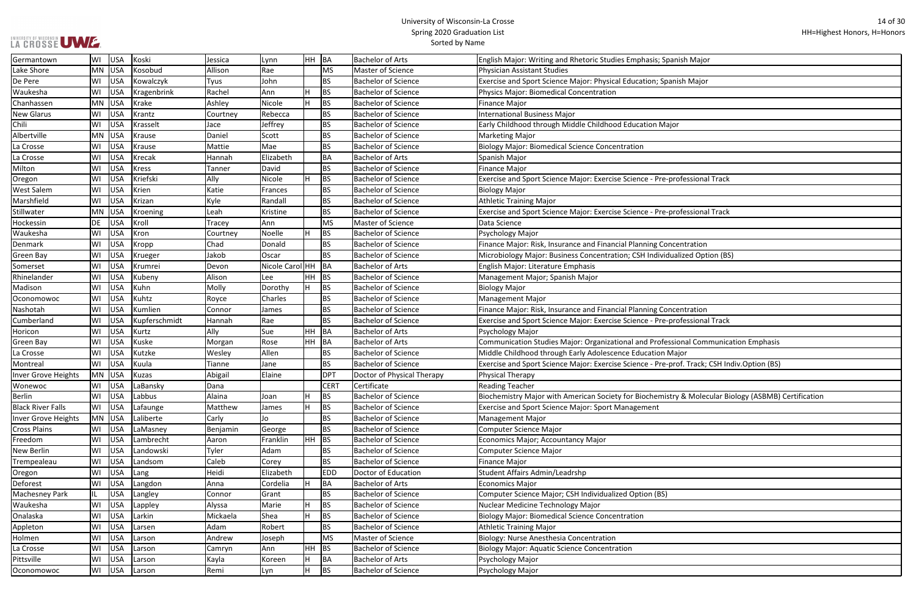|  |  | LA CROSSE UME |  |
|--|--|---------------|--|

| nish Major                                   |
|----------------------------------------------|
| nish Major                                   |
|                                              |
|                                              |
| or                                           |
|                                              |
|                                              |
|                                              |
| rofessional Track                            |
|                                              |
| rofessional Track                            |
|                                              |
|                                              |
| centration<br>alized Option (BS)             |
|                                              |
|                                              |
|                                              |
| centration                                   |
| rofessional Track                            |
| sional Communication Emphasis                |
| lajor                                        |
| rof. Track; CSH Indiv.Option (BS)            |
|                                              |
| ry & Molecular Biology (ASBMB) Certification |
|                                              |
|                                              |
|                                              |
|                                              |
|                                              |
|                                              |
|                                              |
|                                              |
|                                              |
|                                              |
|                                              |
|                                              |

| Germantown               | WI | USA        | Koski         | Jessica  | Lynn            | HH. | BA          | <b>Bachelor of Arts</b>    | English Major: Writing and Rhetoric Studies Emphasis; Spanish Major                                 |
|--------------------------|----|------------|---------------|----------|-----------------|-----|-------------|----------------------------|-----------------------------------------------------------------------------------------------------|
| Lake Shore               |    | MN USA     | Kosobud       | Allison  | Rae             |     | <b>MS</b>   | Master of Science          | Physician Assistant Studies                                                                         |
| De Pere                  | WI | <b>USA</b> | Kowalczyk     | Tyus     | John            |     | <b>BS</b>   | <b>Bachelor of Science</b> | Exercise and Sport Science Major: Physical Education; Spanish Major                                 |
| Waukesha                 | WI | <b>USA</b> | Kragenbrink   | Rachel   | Ann             |     | BS          | <b>Bachelor of Science</b> | Physics Major: Biomedical Concentration                                                             |
| Chanhassen               |    | $MN$ USA   | Krake         | Ashley   | Nicole          | H   | BS          | <b>Bachelor of Science</b> | Finance Major                                                                                       |
| <b>New Glarus</b>        | WI | <b>USA</b> | Krantz        | Courtney | Rebecca         |     | <b>BS</b>   | <b>Bachelor of Science</b> | <b>International Business Major</b>                                                                 |
| Chili                    | WI | <b>USA</b> | Krasselt      | Jace     | Jeffrey         |     | BS.         | <b>Bachelor of Science</b> | Early Childhood through Middle Childhood Education Major                                            |
| Albertville              | MN | <b>USA</b> | Krause        | Daniel   | Scott           |     | BS          | <b>Bachelor of Science</b> | <b>Marketing Major</b>                                                                              |
| La Crosse                | WI | <b>USA</b> | Krause        | Mattie   | Mae             |     | <b>BS</b>   | <b>Bachelor of Science</b> | <b>Biology Major: Biomedical Science Concentration</b>                                              |
| La Crosse                | WI | <b>USA</b> | <b>Krecak</b> | Hannah   | Elizabeth       |     | <b>BA</b>   | <b>Bachelor of Arts</b>    | Spanish Major                                                                                       |
| Milton                   | WI | <b>USA</b> | <b>Kress</b>  | Tanner   | David           |     | <b>BS</b>   | <b>Bachelor of Science</b> | <b>Finance Major</b>                                                                                |
| Oregon                   | WI | <b>USA</b> | Kriefski      | Ally     | Nicole          |     | BS          | <b>Bachelor of Science</b> | Exercise and Sport Science Major: Exercise Science - Pre-professional Track                         |
| <b>West Salem</b>        | WI | <b>USA</b> | Krien         | Katie    | Frances         |     | <b>BS</b>   | <b>Bachelor of Science</b> | Biology Major                                                                                       |
| Marshfield               | WI | <b>USA</b> | Krizan        | Kyle     | Randall         |     | BS.         | <b>Bachelor of Science</b> | <b>Athletic Training Major</b>                                                                      |
| Stillwater               | ΜN | USA        | Kroening      | Leah     | Kristine        |     | BS          | <b>Bachelor of Science</b> | Exercise and Sport Science Major: Exercise Science - Pre-professional Track                         |
| Hockessin                | DE | <b>USA</b> | Kroll         | Tracey   | Ann             |     | <b>MS</b>   | Master of Science          | Data Science                                                                                        |
| Waukesha                 | WI | <b>USA</b> | Kron          | Courtney | Noelle          | H   | BS          | <b>Bachelor of Science</b> | Psychology Major                                                                                    |
| Denmark                  | WI | <b>USA</b> | Kropp         | Chad     | Donald          |     | BS.         | <b>Bachelor of Science</b> | Finance Major: Risk, Insurance and Financial Planning Concentration                                 |
| <b>Green Bay</b>         | WI | <b>USA</b> | Krueger       | Jakob    | Oscar           |     | BS.         | <b>Bachelor of Science</b> | Microbiology Major: Business Concentration; CSH Individualized Option (BS)                          |
| Somerset                 | WI | USA        | Krumrei       | Devon    | Nicole Carol HH |     | BA          | <b>Bachelor of Arts</b>    | English Major: Literature Emphasis                                                                  |
| Rhinelander              | WI | <b>USA</b> | Kubeny        | Alison   | Lee             | HH  | BS          | <b>Bachelor of Science</b> | Management Major; Spanish Major                                                                     |
| Madison                  | WI | <b>USA</b> | Kuhn          | Molly    | Dorothy         | H   | <b>BS</b>   | <b>Bachelor of Science</b> | <b>Biology Major</b>                                                                                |
| Oconomowoc               | WI | <b>USA</b> | Kuhtz         | Royce    | Charles         |     | BS          | <b>Bachelor of Science</b> | <b>Management Major</b>                                                                             |
| Nashotah                 | WI | <b>USA</b> | Kumlien       | Connor   | James           |     | <b>BS</b>   | <b>Bachelor of Science</b> | Finance Major: Risk, Insurance and Financial Planning Concentration                                 |
| Cumberland               | WI | <b>USA</b> | Kupferschmidt | Hannah   | Rae             |     | <b>BS</b>   | <b>Bachelor of Science</b> | Exercise and Sport Science Major: Exercise Science - Pre-professional Track                         |
| Horicon                  | WI | <b>USA</b> | Kurtz         | Ally     | Sue             | HH  | <b>BA</b>   | Bachelor of Arts           | Psychology Major                                                                                    |
| <b>Green Bay</b>         | WI | USA        | Kuske         | Morgan   | Rose            | HH  | BA          | <b>Bachelor of Arts</b>    | Communication Studies Major: Organizational and Professional Communication Emphasis                 |
| La Crosse                | WI | <b>USA</b> | Kutzke        | Wesley   | Allen           |     | BS          | <b>Bachelor of Science</b> | Middle Childhood through Early Adolescence Education Major                                          |
| Montreal                 | WI | <b>USA</b> | Kuula         | Tianne   | Jane            |     | <b>BS</b>   | <b>Bachelor of Science</b> | Exercise and Sport Science Major: Exercise Science - Pre-prof. Track; CSH Indiv.Option (BS)         |
| Inver Grove Heights      |    | MN USA     | Kuzas         | Abigail  | Elaine          |     | <b>DPT</b>  | Doctor of Physical Therapy | Physical Therapy                                                                                    |
| Wonewoc                  | WI | USA        | LaBansky      | Dana     |                 |     | <b>CERT</b> | Certificate                | Reading Teacher                                                                                     |
| Berlin                   | WI | USA        | Labbus        | Alaina   | Joan            | H   | BS          | <b>Bachelor of Science</b> | Biochemistry Major with American Society for Biochemistry & Molecular Biology (ASBMB) Certification |
| <b>Black River Falls</b> | WI | <b>USA</b> | Lafaunge      | Matthew  | James           |     | BS          | <b>Bachelor of Science</b> | <b>Exercise and Sport Science Major: Sport Management</b>                                           |
| Inver Grove Heights      |    | MN USA     | Laliberte     | Carly    | Jo              |     | BS          | <b>Bachelor of Science</b> | <b>Management Major</b>                                                                             |
| <b>Cross Plains</b>      | WI | <b>USA</b> | LaMasney      | Benjamin | George          |     | <b>BS</b>   | <b>Bachelor of Science</b> | <b>Computer Science Major</b>                                                                       |
| Freedom                  | WI | <b>USA</b> | Lambrecht     | Aaron    | Franklin        | HH. | BS          | <b>Bachelor of Science</b> | Economics Major; Accountancy Major                                                                  |
| New Berlin               | WI | <b>USA</b> | Landowski     | Tyler    | Adam            |     | <b>BS</b>   | <b>Bachelor of Science</b> | Computer Science Major                                                                              |
| Trempealeau              | WI | <b>USA</b> | Landsom       | Caleb    | Corey           |     | <b>BS</b>   | <b>Bachelor of Science</b> | Finance Major                                                                                       |
| Oregon                   | WI | USA        | Lang          | Heidi    | Elizabeth       |     | <b>EDD</b>  | Doctor of Education        | Student Affairs Admin/Leadrshp                                                                      |
| Deforest                 | WI | <b>USA</b> | Langdon       | Anna     | Cordelia        |     | BA          | <b>Bachelor of Arts</b>    | Economics Major                                                                                     |
| <b>Machesney Park</b>    | IL | <b>USA</b> | Langley       | Connor   | Grant           |     | <b>BS</b>   | <b>Bachelor of Science</b> | Computer Science Major; CSH Individualized Option (BS)                                              |
| Waukesha                 | WI | <b>USA</b> | Lappley       | Alyssa   | Marie           |     | BS          | <b>Bachelor of Science</b> | Nuclear Medicine Technology Major                                                                   |
| Onalaska                 | WI | <b>USA</b> | Larkin        | Mickaela | Shea            |     | BS          | <b>Bachelor of Science</b> | Biology Major: Biomedical Science Concentration                                                     |
| Appleton                 | WI | <b>USA</b> | Larsen        | Adam     | Robert          |     | <b>BS</b>   | <b>Bachelor of Science</b> | <b>Athletic Training Major</b>                                                                      |
| Holmen                   | WI | <b>USA</b> | Larson        | Andrew   | Joseph          |     | <b>MS</b>   | Master of Science          | Biology: Nurse Anesthesia Concentration                                                             |
| La Crosse                | WI | USA        | Larson        | Camryn   | Ann             | HH  | <b>BS</b>   | <b>Bachelor of Science</b> | <b>Biology Major: Aquatic Science Concentration</b>                                                 |
| Pittsville               | WI | <b>USA</b> | Larson        | Kayla    | Koreen          | H   | BA          | <b>Bachelor of Arts</b>    | Psychology Major                                                                                    |
| Oconomowoc               | WI | USA        | Larson        | Remi     | Lyn             |     | <b>BS</b>   | <b>Bachelor of Science</b> | Psychology Major                                                                                    |
|                          |    |            |               |          |                 |     |             |                            |                                                                                                     |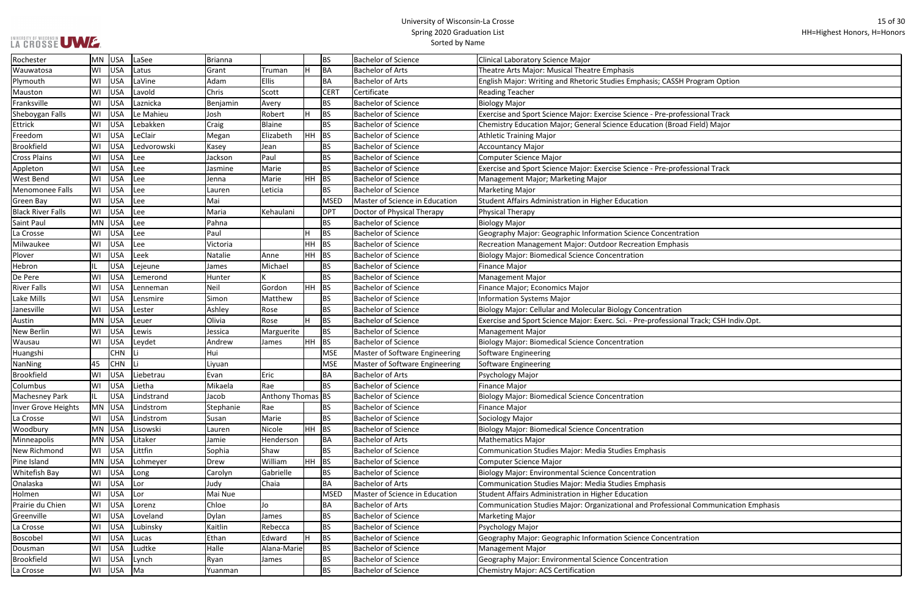Ξ

| SH Program Option            |
|------------------------------|
|                              |
|                              |
|                              |
| rofessional Track            |
| oad Field) Major             |
|                              |
|                              |
|                              |
|                              |
| rofessional Track            |
|                              |
|                              |
|                              |
|                              |
|                              |
|                              |
| htration                     |
| hasis                        |
|                              |
|                              |
|                              |
|                              |
|                              |
|                              |
| on                           |
| onal Track; CSH Indiv.Opt.   |
|                              |
|                              |
|                              |
|                              |
|                              |
|                              |
|                              |
|                              |
|                              |
|                              |
|                              |
|                              |
|                              |
|                              |
|                              |
|                              |
|                              |
|                              |
|                              |
|                              |
| ional Communication Emphasis |
|                              |
|                              |
| ntration                     |
|                              |
|                              |
|                              |
|                              |

| Rochester                | MN        | USA        | LaSee       | Brianna   |                   |       | <b>BS</b>   | <b>Bachelor of Science</b>     | Clinical Laboratory Science Major                                                      |
|--------------------------|-----------|------------|-------------|-----------|-------------------|-------|-------------|--------------------------------|----------------------------------------------------------------------------------------|
| Wauwatosa                | WI        | USA        | Latus       | Grant     | Truman            |       | <b>BA</b>   | Bachelor of Arts               | Theatre Arts Major: Musical Theatre Emphasis                                           |
| Plymouth                 | WI        | <b>USA</b> | LaVine      | Adam      | <b>Ellis</b>      |       | BA          | Bachelor of Arts               | English Major: Writing and Rhetoric Studies Emphasis; CASSH Program Option             |
| Mauston                  | WI        | <b>USA</b> | Lavold      | Chris     | Scott             |       | <b>CERT</b> | Certificate                    | <b>Reading Teacher</b>                                                                 |
| Franksville              | WI        | <b>USA</b> | Laznicka    | Benjamin  | Avery             |       | <b>BS</b>   | <b>Bachelor of Science</b>     | Biology Major                                                                          |
| Sheboygan Falls          | WI        | <b>USA</b> | Le Mahieu   | Josh      | Robert            |       | <b>BS</b>   | <b>Bachelor of Science</b>     | Exercise and Sport Science Major: Exercise Science - Pre-professional Track            |
| <b>Ettrick</b>           | WI        | <b>USA</b> | Lebakken    | Craig     | Blaine            |       | <b>BS</b>   | <b>Bachelor of Science</b>     | Chemistry Education Major; General Science Education (Broad Field) Major               |
| Freedom                  | WI        | <b>USA</b> | LeClair     | Megan     | Elizabeth         | HH    | BS          | <b>Bachelor of Science</b>     | <b>Athletic Training Major</b>                                                         |
| Brookfield               | WI        | <b>USA</b> | Ledvorowski | Kasey     | Jean              |       | <b>BS</b>   | <b>Bachelor of Science</b>     | <b>Accountancy Major</b>                                                               |
| <b>Cross Plains</b>      | WI        | <b>USA</b> | Lee         | Jackson   | Paul              |       | <b>BS</b>   | <b>Bachelor of Science</b>     | Computer Science Major                                                                 |
| Appleton                 | WI        | <b>USA</b> | Lee         | Jasmine   | Marie             |       | <b>BS</b>   | <b>Bachelor of Science</b>     | Exercise and Sport Science Major: Exercise Science - Pre-professional Track            |
| <b>West Bend</b>         | WI        | <b>USA</b> | Lee         | Jenna     | Marie             | HH    | <b>BS</b>   | <b>Bachelor of Science</b>     | Management Major; Marketing Major                                                      |
| Menomonee Falls          | WI        | <b>USA</b> | Lee         | Lauren    | Leticia           |       | <b>BS</b>   | <b>Bachelor of Science</b>     | <b>Marketing Major</b>                                                                 |
| <b>Green Bay</b>         | WI        | <b>USA</b> | Lee         | Mai       |                   |       | MSED        | Master of Science in Education | Student Affairs Administration in Higher Education                                     |
| <b>Black River Falls</b> | WI        | <b>USA</b> | Lee         | Maria     | Kehaulani         |       | DPT         | Doctor of Physical Therapy     | Physical Therapy                                                                       |
| <b>Saint Paul</b>        | MN        | <b>USA</b> | Lee         | Pahna     |                   |       | <b>BS</b>   | <b>Bachelor of Science</b>     | <b>Biology Major</b>                                                                   |
| La Crosse                | WI        | <b>USA</b> | Lee         | Paul      |                   |       | <b>BS</b>   | <b>Bachelor of Science</b>     | Geography Major: Geographic Information Science Concentration                          |
| Milwaukee                | WI        | <b>USA</b> | Lee         | Victoria  |                   | HH    | <b>BS</b>   | <b>Bachelor of Science</b>     | Recreation Management Major: Outdoor Recreation Emphasis                               |
| Plover                   | WI        | <b>USA</b> | Leek        | Natalie   | Anne              | HH    | BS          | <b>Bachelor of Science</b>     | <b>Biology Major: Biomedical Science Concentration</b>                                 |
| Hebron                   | IL        | <b>USA</b> | Lejeune     | James     | Michael           |       | <b>BS</b>   | <b>Bachelor of Science</b>     | <b>Finance Major</b>                                                                   |
| De Pere                  | WI        | <b>USA</b> | Lemerond    | Hunter    |                   |       | <b>BS</b>   | <b>Bachelor of Science</b>     | <b>Management Major</b>                                                                |
| <b>River Falls</b>       | WI        | <b>USA</b> | Lenneman    | Neil      | Gordon            | HH BS |             | <b>Bachelor of Science</b>     | Finance Major; Economics Major                                                         |
| Lake Mills               | WI        | <b>USA</b> | Lensmire    | Simon     | Matthew           |       | <b>BS</b>   | <b>Bachelor of Science</b>     | <b>Information Systems Major</b>                                                       |
| Janesville               | WI        | <b>USA</b> | Lester      | Ashley    | Rose              |       | <b>BS</b>   | <b>Bachelor of Science</b>     | Biology Major: Cellular and Molecular Biology Concentration                            |
| Austin                   | <b>MN</b> | <b>USA</b> | Leuer       | Olivia    | Rose              |       | <b>BS</b>   | <b>Bachelor of Science</b>     | Exercise and Sport Science Major: Exerc. Sci. - Pre-professional Track; CSH Indiv.Opt. |
| New Berlin               | WI        | <b>USA</b> | Lewis       | Jessica   | Marguerite        |       | <b>BS</b>   | <b>Bachelor of Science</b>     | <b>Management Major</b>                                                                |
| Wausau                   | WI        | <b>USA</b> | Leydet      | Andrew    | <b>James</b>      | HH    | <b>BS</b>   | <b>Bachelor of Science</b>     | Biology Major: Biomedical Science Concentration                                        |
| Huangshi                 |           | <b>CHN</b> | lLi         | Hui       |                   |       | MSE         | Master of Software Engineering | Software Engineering                                                                   |
| NanNing                  | 45        | <b>CHN</b> | ΙLi         | Liyuan    |                   |       | <b>MSE</b>  | Master of Software Engineering | Software Engineering                                                                   |
| <b>Brookfield</b>        | WI        | <b>USA</b> | Liebetrau   | Evan      | Eric              |       | BA          | <b>Bachelor of Arts</b>        | Psychology Major                                                                       |
| Columbus                 | WI        | USA        | Lietha      | Mikaela   | Rae               |       | <b>BS</b>   | <b>Bachelor of Science</b>     | <b>Finance Major</b>                                                                   |
| <b>Machesney Park</b>    | IL.       | USA        | Lindstrand  | Jacob     | Anthony Thomas BS |       |             | <b>Bachelor of Science</b>     | <b>Biology Major: Biomedical Science Concentration</b>                                 |
| Inver Grove Heights      | MN        | USA        | Lindstrom   | Stephanie | Rae               |       | <b>BS</b>   | <b>Bachelor of Science</b>     | <b>Finance Major</b>                                                                   |
| La Crosse                | WI        | USA        | Lindstrom   | Susan     | Marie             |       | <b>BS</b>   | <b>Bachelor of Science</b>     | Sociology Major                                                                        |
| Woodbury                 | MN        | USA        | Lisowski    | Lauren    | Nicole            |       | HH BS       | <b>Bachelor of Science</b>     | <b>Biology Major: Biomedical Science Concentration</b>                                 |
| Minneapolis              | MN        | USA        | Litaker     | Jamie     | Henderson         |       | BA          | Bachelor of Arts               | Mathematics Major                                                                      |
| <b>New Richmond</b>      | WI        | USA        | Littfin     | Sophia    | Shaw              |       | <b>BS</b>   | <b>Bachelor of Science</b>     | Communication Studies Major: Media Studies Emphasis                                    |
| Pine Island              | MN        | <b>USA</b> | Lohmeyer    | Drew      | William           |       | HH BS       | <b>Bachelor of Science</b>     | Computer Science Major                                                                 |
| <b>Whitefish Bay</b>     | WI        | USA        | Long        | Carolyn   | Gabrielle         |       | <b>BS</b>   | <b>Bachelor of Science</b>     | <b>Biology Major: Environmental Science Concentration</b>                              |
| Onalaska                 | WI        | USA        | Lor         | Judy      | Chaia             |       | BA          | Bachelor of Arts               | Communication Studies Major: Media Studies Emphasis                                    |
| Holmen                   | WI        | USA        | Lor         | Mai Nue   |                   |       | <b>MSED</b> | Master of Science in Education | Student Affairs Administration in Higher Education                                     |
| Prairie du Chien         | WI        | USA        | Lorenz      | Chloe     | Jo                |       | BA          | Bachelor of Arts               | Communication Studies Major: Organizational and Professional Communication Emphasis    |
| Greenville               | WI        | <b>USA</b> | Loveland    | Dylan     | James             |       | <b>BS</b>   | <b>Bachelor of Science</b>     | Marketing Major                                                                        |
| La Crosse                | WI        | <b>USA</b> | Lubinsky    | Kaitlin   | Rebecca           |       | <b>BS</b>   | <b>Bachelor of Science</b>     | Psychology Major                                                                       |
| Boscobel                 | WI        | <b>USA</b> | Lucas       | Ethan     | Edward            |       | <b>BS</b>   | <b>Bachelor of Science</b>     | Geography Major: Geographic Information Science Concentration                          |
| Dousman                  | WI        | USA        | Ludtke      | Halle     | Alana-Marie       |       | <b>BS</b>   | <b>Bachelor of Science</b>     | Management Major                                                                       |
| <b>Brookfield</b>        | WI        | USA        | Lynch       | Ryan      | James             |       | <b>BS</b>   | <b>Bachelor of Science</b>     | Geography Major: Environmental Science Concentration                                   |
| La Crosse                | WI        | USA        | Ma          | Yuanman   |                   |       | <b>BS</b>   | <b>Bachelor of Science</b>     | Chemistry Major: ACS Certification                                                     |
|                          |           |            |             |           |                   |       |             |                                |                                                                                        |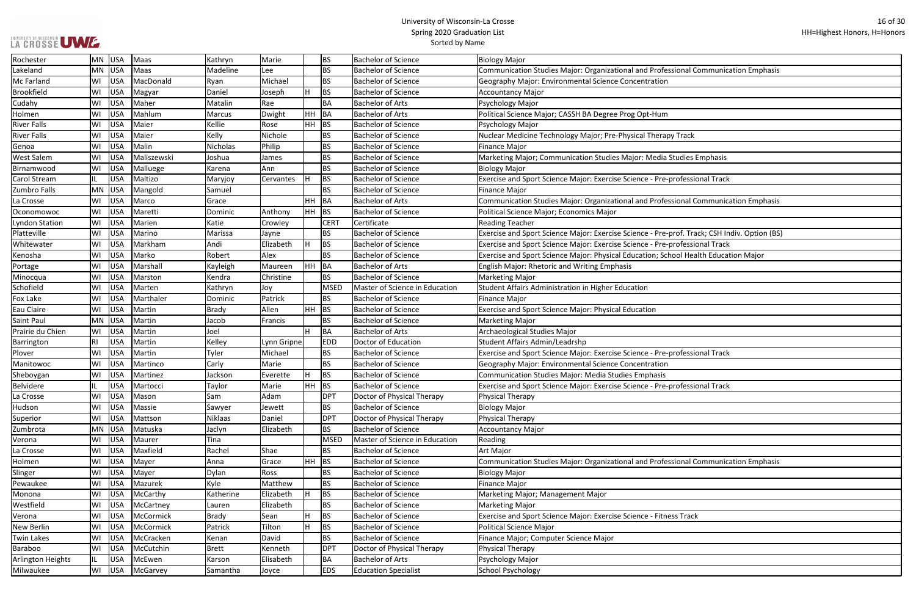|  |  | LA CROSSE UWE |  |
|--|--|---------------|--|
|  |  |               |  |

Ξ

| ional Communication Emphasis       |
|------------------------------------|
|                                    |
|                                    |
|                                    |
|                                    |
|                                    |
|                                    |
|                                    |
| Track                              |
|                                    |
|                                    |
| tudies Emphasis                    |
|                                    |
|                                    |
| rofessional Track                  |
|                                    |
| ional Communication Emphasis       |
|                                    |
|                                    |
|                                    |
| rof. Track; CSH Indiv. Option (BS) |
|                                    |
| rofessional Track                  |
| ool Health Education Major         |
|                                    |
|                                    |
|                                    |
|                                    |
|                                    |
|                                    |
|                                    |
|                                    |
|                                    |
|                                    |
|                                    |
| rofessional Track                  |
|                                    |
|                                    |
|                                    |
| rofessional Track                  |
|                                    |
|                                    |
|                                    |
|                                    |
|                                    |
|                                    |
|                                    |
|                                    |
|                                    |
| ional Communication Emphasis       |
|                                    |
|                                    |
|                                    |
|                                    |
|                                    |
| s Track                            |
|                                    |
|                                    |
|                                    |
|                                    |
|                                    |
|                                    |
|                                    |

| Rochester          | <b>MN</b> | <b>USA</b> | Maas        | Kathryn        | Marie       |     | <b>BS</b>   | <b>Bachelor of Science</b>     | Biology Major                                                                                |
|--------------------|-----------|------------|-------------|----------------|-------------|-----|-------------|--------------------------------|----------------------------------------------------------------------------------------------|
| Lakeland           | <b>MN</b> | USA        | Maas        | Madeline       | Lee         |     | <b>BS</b>   | <b>Bachelor of Science</b>     | Communication Studies Major: Organizational and Professional Communication Emphasis          |
| Mc Farland         | WI        | <b>USA</b> | MacDonald   | Ryan           | Michael     |     | <b>BS</b>   | <b>Bachelor of Science</b>     | Geography Major: Environmental Science Concentration                                         |
| <b>Brookfield</b>  | WI        | <b>USA</b> | Magyar      | Daniel         | Joseph      |     | BS          | <b>Bachelor of Science</b>     | Accountancy Major                                                                            |
| Cudahy             | WI        | <b>USA</b> | Maher       | Matalin        | Rae         |     | BA          | <b>Bachelor of Arts</b>        | Psychology Major                                                                             |
| Holmen             | WI        | <b>USA</b> | Mahlum      | Marcus         | Dwight      | HH. | BA          | <b>Bachelor of Arts</b>        | Political Science Major; CASSH BA Degree Prog Opt-Hum                                        |
| <b>River Falls</b> | WI        | <b>USA</b> | Maier       | Kellie         | Rose        | HH. | BS          | <b>Bachelor of Science</b>     | Psychology Major                                                                             |
| <b>River Falls</b> | WI        | <b>USA</b> | Maier       | Kelly          | Nichole     |     | BS          | <b>Bachelor of Science</b>     | Nuclear Medicine Technology Major; Pre-Physical Therapy Track                                |
| Genoa              | WI        | <b>USA</b> | Malin       | Nicholas       | Philip      |     | <b>BS</b>   | <b>Bachelor of Science</b>     | Finance Major                                                                                |
| <b>West Salem</b>  | WI        | <b>USA</b> | Maliszewski | Joshua         | James       |     | <b>BS</b>   | <b>Bachelor of Science</b>     | Marketing Major; Communication Studies Major: Media Studies Emphasis                         |
| Birnamwood         | WI        | <b>USA</b> | Malluege    | Karena         | l Ann       |     | BS          | <b>Bachelor of Science</b>     | <b>Biology Major</b>                                                                         |
| Carol Stream       | IL        | <b>USA</b> | Maltizo     | Maryjoy        | Cervantes   |     | BS          | <b>Bachelor of Science</b>     | Exercise and Sport Science Major: Exercise Science - Pre-professional Track                  |
| Zumbro Falls       | <b>MN</b> | <b>USA</b> | Mangold     | Samuel         |             |     | <b>BS</b>   | <b>Bachelor of Science</b>     | Finance Major                                                                                |
| La Crosse          | WI        | <b>USA</b> | Marco       | Grace          |             | HH. | BA          | <b>Bachelor of Arts</b>        | Communication Studies Major: Organizational and Professional Communication Emphasis          |
| Oconomowoc         | WI        | <b>USA</b> | Maretti     | Dominic        | Anthony     | HH  | BS          | <b>Bachelor of Science</b>     | Political Science Major; Economics Major                                                     |
| Lyndon Station     | WI        | <b>USA</b> | Marien      | Katie          | Crowley     |     | <b>CERT</b> | Certificate                    | Reading Teacher                                                                              |
| Platteville        | WI        | <b>USA</b> | Marino      | Marissa        | Jayne       |     | BS.         | <b>Bachelor of Science</b>     | Exercise and Sport Science Major: Exercise Science - Pre-prof. Track; CSH Indiv. Option (BS) |
| Whitewater         | WI        | <b>USA</b> | Markham     | Andi           | Elizabeth   |     | <b>BS</b>   | <b>Bachelor of Science</b>     | Exercise and Sport Science Major: Exercise Science - Pre-professional Track                  |
| Kenosha            | WI        | <b>USA</b> | Marko       | Robert         | Alex        |     | BS          | <b>Bachelor of Science</b>     | Exercise and Sport Science Major: Physical Education; School Health Education Major          |
| Portage            | WI        | <b>USA</b> | Marshall    | Kayleigh       | Maureen     | HH  | <b>BA</b>   | <b>Bachelor of Arts</b>        | <b>English Major: Rhetoric and Writing Emphasis</b>                                          |
| Minocqua           | WI        | <b>USA</b> | Marston     | Kendra         | Christine   |     | BS.         | <b>Bachelor of Science</b>     | Marketing Major                                                                              |
| Schofield          | WI        | <b>USA</b> | Marten      | Kathryn        | Joy         |     | <b>MSED</b> | Master of Science in Education | Student Affairs Administration in Higher Education                                           |
| Fox Lake           | WI        | <b>USA</b> | Marthaler   | Dominic        | Patrick     |     | BS.         | <b>Bachelor of Science</b>     | Finance Major                                                                                |
| Eau Claire         | WI        | <b>USA</b> | Martin      | <b>Brady</b>   | Allen       | HH  | <b>BS</b>   | <b>Bachelor of Science</b>     | <b>Exercise and Sport Science Major: Physical Education</b>                                  |
| Saint Paul         | <b>MN</b> | <b>USA</b> | Martin      | Jacob          | Francis     |     | BS          | <b>Bachelor of Science</b>     | Marketing Major                                                                              |
| Prairie du Chien   | WI        | <b>USA</b> | Martin      | Joel           |             |     | ВA          | <b>Bachelor of Arts</b>        | Archaeological Studies Major                                                                 |
| <b>Barrington</b>  | RI        | <b>USA</b> | Martin      | Kelley         | Lynn Gripne |     | <b>EDD</b>  | Doctor of Education            | Student Affairs Admin/Leadrshp                                                               |
| Plover             | WI        | <b>USA</b> | Martin      | Tyler          | Michael     |     | BS          | <b>Bachelor of Science</b>     | Exercise and Sport Science Major: Exercise Science - Pre-professional Track                  |
| Manitowoc          | WI        | <b>USA</b> | Martinco    | Carly          | Marie       |     | <b>BS</b>   | <b>Bachelor of Science</b>     | Geography Major: Environmental Science Concentration                                         |
| Sheboygan          | WI        | <b>USA</b> | Martinez    | Jackson        | Everette    |     | BS          | <b>Bachelor of Science</b>     | Communication Studies Major: Media Studies Emphasis                                          |
| <b>Belvidere</b>   | IL        | <b>USA</b> | Martocci    | Taylor         | Marie       | HH  | <b>BS</b>   | <b>Bachelor of Science</b>     | Exercise and Sport Science Major: Exercise Science - Pre-professional Track                  |
| La Crosse          | WI        | <b>USA</b> | Mason       | Sam            | Adam        |     | <b>DPT</b>  | Doctor of Physical Therapy     | Physical Therapy                                                                             |
| Hudson             | WI        | <b>USA</b> | Massie      | Sawyer         | Jewett      |     | <b>BS</b>   | <b>Bachelor of Science</b>     | <b>Biology Major</b>                                                                         |
| Superior           | WI        | <b>USA</b> | Mattson     | <b>Niklaas</b> | Daniel      |     | <b>DPT</b>  | Doctor of Physical Therapy     | Physical Therapy                                                                             |
| Zumbrota           | <b>MN</b> | <b>USA</b> | Matuska     | Jaclyn         | Elizabeth   |     | BS          | <b>Bachelor of Science</b>     | Accountancy Major                                                                            |
| Verona             | WI        | <b>USA</b> | Maurer      | Tina           |             |     | <b>MSED</b> | Master of Science in Education | Reading                                                                                      |
| La Crosse          | WI        | <b>USA</b> | Maxfield    | Rachel         | Shae        |     | BS.         | <b>Bachelor of Science</b>     | Art Major                                                                                    |
| Holmen             | WI        | <b>USA</b> | Mayer       | Anna           | Grace       | HH. | <b>BS</b>   | <b>Bachelor of Science</b>     | Communication Studies Major: Organizational and Professional Communication Emphasis          |
| Slinger            | WI        | <b>USA</b> | Mayer       | <b>Dylan</b>   | Ross        |     | BS          | <b>Bachelor of Science</b>     | Biology Major                                                                                |
| Pewaukee           | WI        | <b>USA</b> | Mazurek     | Kyle           | Matthew     |     | BS.         | <b>Bachelor of Science</b>     | Finance Major                                                                                |
| Monona             | WI        | <b>USA</b> | McCarthy    | Katherine      | Elizabeth   |     | <b>BS</b>   | <b>Bachelor of Science</b>     | Marketing Major; Management Major                                                            |
| Westfield          | WI        | <b>USA</b> | McCartney   | Lauren         | Elizabeth   |     | BS.         | <b>Bachelor of Science</b>     | Marketing Major                                                                              |
| Verona             | WI        | <b>USA</b> | McCormick   | <b>Brady</b>   | Sean        |     | BS          | <b>Bachelor of Science</b>     | Exercise and Sport Science Major: Exercise Science - Fitness Track                           |
| New Berlin         | WI        | <b>USA</b> | McCormick   | Patrick        | Tilton      |     | BS          | <b>Bachelor of Science</b>     | Political Science Major                                                                      |
| <b>Twin Lakes</b>  | WI        | <b>USA</b> | McCracken   | Kenan          | David       |     | BS          | <b>Bachelor of Science</b>     | Finance Major; Computer Science Major                                                        |
| Baraboo            | WI        | <b>USA</b> | McCutchin   | <b>Brett</b>   | Kenneth     |     | <b>DPT</b>  | Doctor of Physical Therapy     | Physical Therapy                                                                             |
| Arlington Heights  | IL.       | <b>USA</b> | McEwen      | Karson         | Elisabeth   |     | BA          | <b>Bachelor of Arts</b>        | Psychology Major                                                                             |
| Milwaukee          | WI        | <b>USA</b> | McGarvey    | Samantha       | Joyce       |     | <b>EDS</b>  | <b>Education Specialist</b>    | School Psychology                                                                            |
|                    |           |            |             |                |             |     |             |                                |                                                                                              |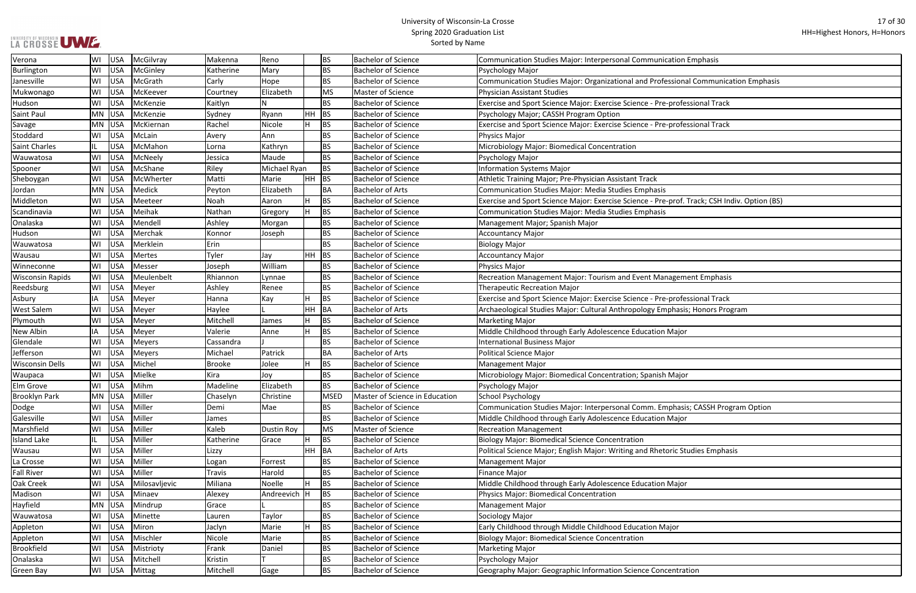|  |  | LA CROSSE UWE. |
|--|--|----------------|

| ion Emphasis                       |
|------------------------------------|
|                                    |
| ional Communication Emphasis       |
| rofessional Track                  |
|                                    |
| rofessional Track                  |
|                                    |
|                                    |
|                                    |
|                                    |
|                                    |
| rof. Track; CSH Indiv. Option (BS) |
|                                    |
|                                    |
|                                    |
|                                    |
|                                    |
| gement Emphasis                    |
|                                    |
| rofessional Track                  |
| nasis; Honors Program              |
|                                    |
| ajor                               |
|                                    |
|                                    |
| lajor                              |
|                                    |
|                                    |
| hasis; CASSH Program Option        |
| ajor                               |
|                                    |
| ic Studies Emphasis                |
|                                    |
|                                    |
| ajor                               |
|                                    |
|                                    |
|                                    |
| эr                                 |
|                                    |
|                                    |
| htration                           |

| Verona                  | WI        | USA        | McGilvray     | Makenna       | Reno              |       | BS          | <b>Bachelor of Science</b>     | Communication Studies Major: Interpersonal Communication Emphasis                            |
|-------------------------|-----------|------------|---------------|---------------|-------------------|-------|-------------|--------------------------------|----------------------------------------------------------------------------------------------|
| Burlington              | WI        | USA        | McGinley      | Katherine     | Mary              |       | <b>BS</b>   | <b>Bachelor of Science</b>     | Psychology Major                                                                             |
| Janesville              | WI        | USA        | McGrath       | Carly         | Hope              |       | <b>BS</b>   | <b>Bachelor of Science</b>     | Communication Studies Major: Organizational and Professional Communication Emphasis          |
| Mukwonago               | WI        | USA        | McKeever      | Courtney      | Elizabeth         |       | <b>MS</b>   | Master of Science              | <b>Physician Assistant Studies</b>                                                           |
| Hudson                  | WI        | USA        | McKenzie      | Kaitlyn       | ${\sf N}$         |       | <b>BS</b>   | <b>Bachelor of Science</b>     | Exercise and Sport Science Major: Exercise Science - Pre-professional Track                  |
| <b>Saint Paul</b>       | <b>MN</b> | USA        | McKenzie      | Sydney        | Ryann             | HH .  | BS          | <b>Bachelor of Science</b>     | Psychology Major; CASSH Program Option                                                       |
| Savage                  | MN        | <b>USA</b> | McKiernan     | Rachel        | Nicole            |       | BS          | <b>Bachelor of Science</b>     | Exercise and Sport Science Major: Exercise Science - Pre-professional Track                  |
| Stoddard                | WI        | <b>USA</b> | McLain        | Avery         | Ann               |       | BS          | <b>Bachelor of Science</b>     | Physics Major                                                                                |
| <b>Saint Charles</b>    | IL.       | USA        | McMahon       | Lorna         | Kathryn           |       | <b>BS</b>   | <b>Bachelor of Science</b>     | Microbiology Major: Biomedical Concentration                                                 |
| Wauwatosa               | WI        | USA        | McNeely       | Jessica       | Maude             |       | <b>BS</b>   | <b>Bachelor of Science</b>     | Psychology Major                                                                             |
| Spooner                 | WI        | USA        | McShane       | Riley         | Michael Ryan      |       | <b>BS</b>   | <b>Bachelor of Science</b>     | <b>Information Systems Major</b>                                                             |
| Sheboygan               | WI        | USA        | McWherter     | Matti         | Marie             | HH BS |             | <b>Bachelor of Science</b>     | Athletic Training Major; Pre-Physician Assistant Track                                       |
| Jordan                  | <b>MN</b> | <b>USA</b> | Medick        | Peyton        | Elizabeth         |       | BA          | <b>Bachelor of Arts</b>        | Communication Studies Major: Media Studies Emphasis                                          |
| Middleton               | WI        | USA        | Meeteer       | Noah          | Aaron             |       | <b>BS</b>   | <b>Bachelor of Science</b>     | Exercise and Sport Science Major: Exercise Science - Pre-prof. Track; CSH Indiv. Option (BS) |
| Scandinavia             | WI        | USA        | Meihak        | Nathan        | Gregory           |       | <b>BS</b>   | <b>Bachelor of Science</b>     | Communication Studies Major: Media Studies Emphasis                                          |
| Onalaska                | WI        | USA        | Mendell       | Ashley        | Morgan            |       | <b>BS</b>   | <b>Bachelor of Science</b>     | Management Major; Spanish Major                                                              |
| Hudson                  | WI        | USA        | Merchak       | Konnor        | Joseph            |       | <b>BS</b>   | <b>Bachelor of Science</b>     | Accountancy Major                                                                            |
| Wauwatosa               | WI        | USA        | Merklein      | Erin          |                   |       | <b>BS</b>   | <b>Bachelor of Science</b>     | <b>Biology Major</b>                                                                         |
| Wausau                  | WI        | <b>USA</b> | Mertes        | Tyler         | Jay               |       | HH BS       | <b>Bachelor of Science</b>     | Accountancy Major                                                                            |
| Winneconne              | WI        | <b>USA</b> | Messer        | Joseph        | William           |       | BS          | <b>Bachelor of Science</b>     | Physics Major                                                                                |
| <b>Wisconsin Rapids</b> | WI        | USA        | Meulenbelt    | Rhiannon      | Lynnae            |       | <b>BS</b>   | <b>Bachelor of Science</b>     | Recreation Management Major: Tourism and Event Management Emphasis                           |
| Reedsburg               | WI        | <b>USA</b> | Meyer         | Ashley        | Renee             |       | <b>BS</b>   | <b>Bachelor of Science</b>     | <b>Therapeutic Recreation Major</b>                                                          |
| Asbury                  | IA        | <b>USA</b> | Meyer         | Hanna         | Kay               | н     | <b>BS</b>   | <b>Bachelor of Science</b>     | Exercise and Sport Science Major: Exercise Science - Pre-professional Track                  |
| <b>West Salem</b>       | WI        | <b>USA</b> | Meyer         | Haylee        |                   | HH    | BA          | <b>Bachelor of Arts</b>        | Archaeological Studies Major: Cultural Anthropology Emphasis; Honors Program                 |
| Plymouth                | WI        | <b>USA</b> | Meyer         | Mitchell      | James             |       | <b>BS</b>   | <b>Bachelor of Science</b>     | <b>Marketing Major</b>                                                                       |
| New Albin               | IA        | <b>USA</b> | Meyer         | Valerie       | Anne              |       | BS          | <b>Bachelor of Science</b>     | Middle Childhood through Early Adolescence Education Major                                   |
| Glendale                | WI        | <b>USA</b> | Meyers        | Cassandra     |                   |       | BS          | <b>Bachelor of Science</b>     | <b>International Business Major</b>                                                          |
| Jefferson               | WI        | USA        | Meyers        | Michael       | Patrick           |       | BA          | <b>Bachelor of Arts</b>        | Political Science Major                                                                      |
| <b>Wisconsin Dells</b>  | WI        | <b>USA</b> | Michel        | <b>Brooke</b> | Jolee             |       | <b>BS</b>   | <b>Bachelor of Science</b>     | Management Major                                                                             |
| Waupaca                 | WI        | USA        | Mielke        | Kira          | Jov               |       | <b>BS</b>   | <b>Bachelor of Science</b>     | Microbiology Major: Biomedical Concentration; Spanish Major                                  |
| <b>Elm Grove</b>        | WI        | USA        | Mihm          | Madeline      | Elizabeth         |       | <b>BS</b>   | <b>Bachelor of Science</b>     | Psychology Major                                                                             |
| <b>Brooklyn Park</b>    | MN        | <b>USA</b> | Miller        | Chaselyn      | Christine         |       | <b>MSED</b> | Master of Science in Education | School Psychology                                                                            |
| Dodge                   | WI        | USA        | Miller        | Demi          | Mae               |       | <b>BS</b>   | <b>Bachelor of Science</b>     | Communication Studies Major: Interpersonal Comm. Emphasis; CASSH Program Option              |
| Galesville              | WI        | USA        | Miller        | James         |                   |       | <b>BS</b>   | <b>Bachelor of Science</b>     | Middle Childhood through Early Adolescence Education Major                                   |
| Marshfield              | WI        | <b>USA</b> | Miller        | Kaleb         | <b>Dustin Roy</b> |       | <b>MS</b>   | Master of Science              | <b>Recreation Management</b>                                                                 |
| <b>Island Lake</b>      | IL        | <b>USA</b> | Miller        | Katherine     | Grace             |       | BS          | <b>Bachelor of Science</b>     | <b>Biology Major: Biomedical Science Concentration</b>                                       |
| Wausau                  | WI        | USA        | Miller        | Lizzy         |                   |       | HH BA       | <b>Bachelor of Arts</b>        | Political Science Major; English Major: Writing and Rhetoric Studies Emphasis                |
| La Crosse               | WI        | <b>USA</b> | Miller        | Logan         | Forrest           |       | <b>BS</b>   | <b>Bachelor of Science</b>     | Management Major                                                                             |
| <b>Fall River</b>       | WI        | <b>USA</b> | Miller        | Travis        | Harold            |       | BS          | <b>Bachelor of Science</b>     | <b>Finance Major</b>                                                                         |
| Oak Creek               | WI        | <b>USA</b> | Milosavljevic | Miliana       | Noelle            |       | <b>BS</b>   | <b>Bachelor of Science</b>     | Middle Childhood through Early Adolescence Education Major                                   |
| Madison                 | WI        | USA        | Minaev        | Alexey        | Andreevich H      |       | <b>BS</b>   | <b>Bachelor of Science</b>     | Physics Major: Biomedical Concentration                                                      |
| Hayfield                | MN        | USA        | Mindrup       | Grace         |                   |       | BS          | <b>Bachelor of Science</b>     | <b>Management Major</b>                                                                      |
| Wauwatosa               | WI        | USA        | Minette       | Lauren        | Taylor            |       | <b>BS</b>   | <b>Bachelor of Science</b>     | Sociology Major                                                                              |
| Appleton                | WI        | <b>USA</b> | Miron         | Jaclyn        | Marie             |       | BS          | <b>Bachelor of Science</b>     | Early Childhood through Middle Childhood Education Major                                     |
| Appleton                | WI        | <b>USA</b> | Mischler      | Nicole        | Marie             |       | BS          | <b>Bachelor of Science</b>     | <b>Biology Major: Biomedical Science Concentration</b>                                       |
| <b>Brookfield</b>       | WI        | <b>USA</b> | Mistrioty     | Frank         | Daniel            |       | BS          | <b>Bachelor of Science</b>     | Marketing Major                                                                              |
| Onalaska                | WI        | USA        | Mitchell      | Kristin       |                   |       | BS          | <b>Bachelor of Science</b>     | Psychology Major                                                                             |
| Green Bay               | WI        | USA        | Mittag        | Mitchell      | Gage              |       | BS          | <b>Bachelor of Science</b>     | Geography Major: Geographic Information Science Concentration                                |
|                         |           |            |               |               |                   |       |             |                                |                                                                                              |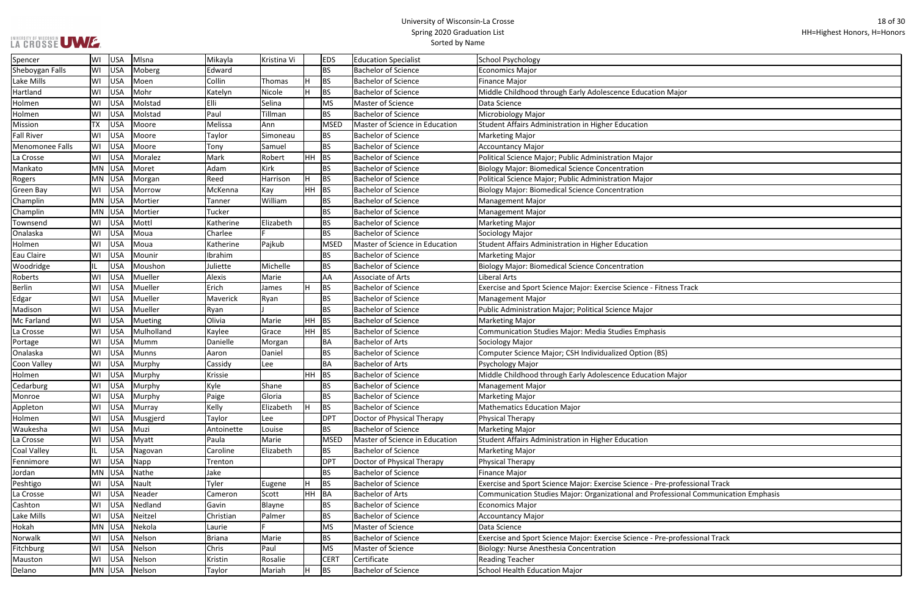| LA CROSSE UWE. |  |
|----------------|--|
|                |  |

| <u>lajor</u>                  |
|-------------------------------|
|                               |
|                               |
|                               |
|                               |
|                               |
|                               |
|                               |
|                               |
|                               |
|                               |
|                               |
|                               |
|                               |
|                               |
|                               |
|                               |
|                               |
|                               |
|                               |
| ss Track                      |
|                               |
|                               |
|                               |
|                               |
|                               |
|                               |
|                               |
| lajor                         |
|                               |
|                               |
|                               |
|                               |
|                               |
|                               |
|                               |
|                               |
|                               |
|                               |
| rofessional Track             |
| sional Communication Emphasis |
|                               |
|                               |
|                               |
| rofessional Track             |
|                               |
|                               |
|                               |
|                               |

| Spencer            | WI        | USA        | Mlsna        | Mikayla       | Kristina Vi |     | <b>EDS</b>  | <b>Education Specialist</b>    | School Psychology                                                                   |
|--------------------|-----------|------------|--------------|---------------|-------------|-----|-------------|--------------------------------|-------------------------------------------------------------------------------------|
| Sheboygan Falls    | WI        | USA        | Moberg       | Edward        |             |     | <b>BS</b>   | <b>Bachelor of Science</b>     | <b>Economics Major</b>                                                              |
| Lake Mills         | WI        | USA        | Moen         | Collin        | Thomas      | H.  | <b>BS</b>   | <b>Bachelor of Science</b>     | <b>Finance Major</b>                                                                |
| Hartland           | WI        | USA        | Mohr         | Katelyn       | Nicole      |     | <b>BS</b>   | <b>Bachelor of Science</b>     | Middle Childhood through Early Adolescence Education Major                          |
| Holmen             | WI        | USA        | Molstad      | Elli          | Selina      |     | MS          | Master of Science              | Data Science                                                                        |
| Holmen             | WI        | USA        | Molstad      | Paul          | Tillman     |     | <b>BS</b>   | <b>Bachelor of Science</b>     | Microbiology Major                                                                  |
| Mission            | <b>TX</b> | USA        | Moore        | Melissa       | Ann         |     | MSED        | Master of Science in Education | Student Affairs Administration in Higher Education                                  |
| <b>Fall River</b>  | WI        | <b>USA</b> | Moore        | Taylor        | Simoneau    |     | <b>BS</b>   | <b>Bachelor of Science</b>     | <b>Marketing Major</b>                                                              |
| Menomonee Falls    | WI        | USA        | Moore        | Tony          | Samuel      |     | <b>BS</b>   | <b>Bachelor of Science</b>     | <b>Accountancy Major</b>                                                            |
| La Crosse          | WI        | USA        | Moralez      | Mark          | Robert      | HH. | BS          | <b>Bachelor of Science</b>     | Political Science Major; Public Administration Major                                |
| Mankato            | <b>MN</b> | USA        | Moret        | Adam          | Kirk        |     | <b>BS</b>   | <b>Bachelor of Science</b>     | Biology Major: Biomedical Science Concentration                                     |
| Rogers             | MN        | USA        | Morgan       | Reed          | Harrison    | H.  | <b>BS</b>   | <b>Bachelor of Science</b>     | Political Science Major; Public Administration Major                                |
| <b>Green Bay</b>   | WI        | USA        | Morrow       | McKenna       | Kay         | HH. | <b>BS</b>   | <b>Bachelor of Science</b>     | <b>Biology Major: Biomedical Science Concentration</b>                              |
| Champlin           | <b>MN</b> | USA        | Mortier      | Tanner        | William     |     | <b>BS</b>   | <b>Bachelor of Science</b>     | <b>Management Major</b>                                                             |
| Champlin           | MN        | USA        | Mortier      | Tucker        |             |     | <b>BS</b>   | <b>Bachelor of Science</b>     | <b>Management Major</b>                                                             |
| Townsend           | WI        | USA        | Mottl        | Katherine     | Elizabeth   |     | <b>BS</b>   | <b>Bachelor of Science</b>     | <b>Marketing Major</b>                                                              |
| Onalaska           | WI        | USA        | Moua         | Charlee       |             |     | <b>BS</b>   | <b>Bachelor of Science</b>     | Sociology Major                                                                     |
| Holmen             | WI        | USA        | Moua         | Katherine     | Pajkub      |     | MSED        | Master of Science in Education | Student Affairs Administration in Higher Education                                  |
| Eau Claire         | WI        | USA        | Mounir       | Ibrahim       |             |     | <b>BS</b>   | <b>Bachelor of Science</b>     | <b>Marketing Major</b>                                                              |
| Woodridge          | IL.       | <b>USA</b> | Moushon      | Juliette      | Michelle    |     | <b>BS</b>   | <b>Bachelor of Science</b>     | <b>Biology Major: Biomedical Science Concentration</b>                              |
| Roberts            | WI        | <b>USA</b> | Mueller      | Alexis        | Marie       |     | AA          | Associate of Arts              | <b>Liberal Arts</b>                                                                 |
| <b>Berlin</b>      | WI        | USA        | Mueller      | Erich         | James       | H.  | <b>BS</b>   | <b>Bachelor of Science</b>     | Exercise and Sport Science Major: Exercise Science - Fitness Track                  |
| Edgar              | WI        | USA        | Mueller      | Maverick      | Ryan        |     | <b>BS</b>   | <b>Bachelor of Science</b>     | <b>Management Major</b>                                                             |
| Madison            | WI        | USA        | Mueller      | Ryan          |             |     | <b>BS</b>   | <b>Bachelor of Science</b>     | Public Administration Major; Political Science Major                                |
| Mc Farland         | WI        | USA        | Mueting      | Olivia        | Marie       | HH. | <b>BS</b>   | <b>Bachelor of Science</b>     | <b>Marketing Major</b>                                                              |
| La Crosse          | WI        | USA        | Mulholland   | Kaylee        | Grace       | HH. | <b>BS</b>   | <b>Bachelor of Science</b>     | Communication Studies Major: Media Studies Emphasis                                 |
| Portage            | WI        | USA        | Mumm         | Danielle      | Morgan      |     | <b>BA</b>   | <b>Bachelor of Arts</b>        | Sociology Major                                                                     |
| Onalaska           | WI        | USA        | <b>Munns</b> | Aaron         | Daniel      |     | <b>BS</b>   | <b>Bachelor of Science</b>     | Computer Science Major; CSH Individualized Option (BS)                              |
| <b>Coon Valley</b> | WI        | USA        | Murphy       | Cassidy       | Lee         |     | <b>BA</b>   | <b>Bachelor of Arts</b>        | Psychology Major                                                                    |
| Holmen             | WI        | USA        | Murphy       | Krissie       |             | HH. | <b>BS</b>   | <b>Bachelor of Science</b>     | Middle Childhood through Early Adolescence Education Major                          |
| Cedarburg          | WI        | USA        | Murphy       | Kyle          | Shane       |     | <b>BS</b>   | <b>Bachelor of Science</b>     | Management Major                                                                    |
| Monroe             | WI        | USA        | Murphy       | Paige         | Gloria      |     | <b>BS</b>   | <b>Bachelor of Science</b>     | <b>Marketing Major</b>                                                              |
| Appleton           | WI        | USA        | Murray       | Kelly         | Elizabeth   |     | <b>BS</b>   | <b>Bachelor of Science</b>     | <b>Mathematics Education Major</b>                                                  |
| Holmen             | WI        | <b>USA</b> | Musgjerd     | Taylor        | Lee         |     | DPT         | Doctor of Physical Therapy     | Physical Therapy                                                                    |
| Waukesha           | WI        | USA        | Muzi         | Antoinette    | Louise      |     | <b>BS</b>   | <b>Bachelor of Science</b>     | Marketing Major                                                                     |
| La Crosse          | WI        | USA        | Myatt        | Paula         | Marie       |     | MSED        | Master of Science in Education | Student Affairs Administration in Higher Education                                  |
| <b>Coal Valley</b> | IL        | USA        | Nagovan      | Caroline      | Elizabeth   |     | <b>BS</b>   | <b>Bachelor of Science</b>     | <b>Marketing Major</b>                                                              |
| Fennimore          | WI        | USA        | Napp         | Trenton       |             |     | DPT         | Doctor of Physical Therapy     | Physical Therapy                                                                    |
| Jordan             | MN        | USA        | Nathe        | Jake          |             |     | <b>BS</b>   | <b>Bachelor of Science</b>     | <b>Finance Major</b>                                                                |
| Peshtigo           | WI        | USA        | Nault        | Tyler         | Eugene      |     | <b>BS</b>   | <b>Bachelor of Science</b>     | Exercise and Sport Science Major: Exercise Science - Pre-professional Track         |
| La Crosse          | WI        | USA        | Neader       | Cameron       | Scott       | HH. | <b>BA</b>   | Bachelor of Arts               | Communication Studies Major: Organizational and Professional Communication Emphasis |
| Cashton            | WI        | USA        | Nedland      | Gavin         | Blayne      |     | <b>BS</b>   | <b>Bachelor of Science</b>     | <b>Economics Major</b>                                                              |
| Lake Mills         | WI        | USA        | Neitzel      | Christian     | Palmer      |     | <b>BS</b>   | <b>Bachelor of Science</b>     | Accountancy Major                                                                   |
| Hokah              | MN        | USA        | Nekola       | Laurie        |             |     | <b>MS</b>   | Master of Science              | Data Science                                                                        |
| Norwalk            | WI        | USA        | Nelson       | <b>Briana</b> | Marie       |     | <b>BS</b>   | <b>Bachelor of Science</b>     | Exercise and Sport Science Major: Exercise Science - Pre-professional Track         |
| Fitchburg          | WI        | USA        | Nelson       | Chris         | Paul        |     | MS          | Master of Science              | Biology: Nurse Anesthesia Concentration                                             |
| Mauston            | WI        | USA        | Nelson       | Kristin       | Rosalie     |     | <b>CERT</b> | Certificate                    | <b>Reading Teacher</b>                                                              |
| Delano             | MN        | USA        | Nelson       | Taylor        | Mariah      |     | <b>BS</b>   | <b>Bachelor of Science</b>     | School Health Education Major                                                       |
|                    |           |            |              |               |             |     |             |                                |                                                                                     |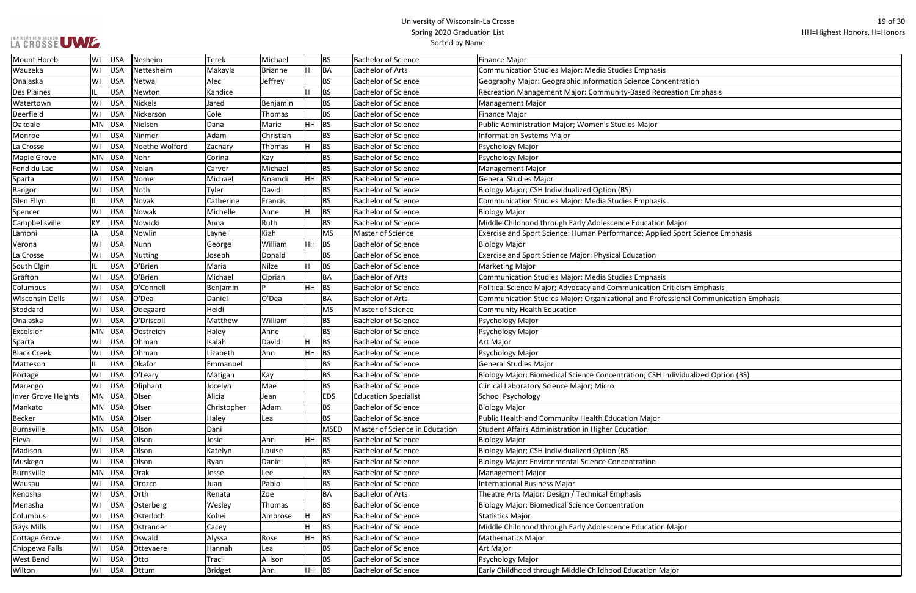|  |  |  | LA GROSSE UWE |
|--|--|--|---------------|

Ξ

| ntration                     |
|------------------------------|
| ation Emphasis               |
|                              |
|                              |
|                              |
|                              |
|                              |
|                              |
|                              |
|                              |
|                              |
|                              |
|                              |
| lajor                        |
| Sport Science Emphasis       |
|                              |
|                              |
|                              |
|                              |
|                              |
| icism Emphasis               |
| ional Communication Emphasis |
|                              |
|                              |
|                              |
|                              |
|                              |
|                              |
| ividualized Option (BS)      |
|                              |
|                              |
|                              |
|                              |
|                              |
|                              |
|                              |
|                              |
|                              |
|                              |
|                              |
|                              |
|                              |
|                              |
| lajor                        |
|                              |
|                              |
|                              |
| эr                           |

| <b>Mount Horeb</b>           | WI        | <b>USA</b> | Nesheim        | <b>Terek</b>         | Michael        |           | <b>BS</b>   | <b>Bachelor of Science</b>     | <b>Finance Major</b>                                                                |
|------------------------------|-----------|------------|----------------|----------------------|----------------|-----------|-------------|--------------------------------|-------------------------------------------------------------------------------------|
| Wauzeka                      | lwı       | <b>USA</b> | Nettesheim     | Makayla              | <b>Brianne</b> |           | <b>BA</b>   | <b>Bachelor of Arts</b>        | Communication Studies Major: Media Studies Emphasis                                 |
| Onalaska                     | WI        | <b>USA</b> | Netwal         | Alec                 | Jeffrey        |           | <b>BS</b>   | <b>Bachelor of Science</b>     | Geography Major: Geographic Information Science Concentration                       |
| <b>Des Plaines</b>           | IL.       | <b>USA</b> | Newton         | Kandice              |                |           | <b>BS</b>   | <b>Bachelor of Science</b>     | Recreation Management Major: Community-Based Recreation Emphasis                    |
| Watertown                    | WI        | <b>USA</b> | <b>Nickels</b> | Jared                | Benjamin       |           | <b>BS</b>   | <b>Bachelor of Science</b>     | <b>Management Major</b>                                                             |
| Deerfield                    | WI        | <b>USA</b> | Nickerson      | Cole                 | Thomas         |           | <b>BS</b>   | <b>Bachelor of Science</b>     | <b>Finance Major</b>                                                                |
| Oakdale                      | <b>MN</b> | <b>USA</b> | Nielsen        | Dana                 | Marie          | $HH$ BS   |             | <b>Bachelor of Science</b>     | Public Administration Major; Women's Studies Major                                  |
| Monroe                       | WI        | <b>USA</b> | Ninmer         | Adam                 | Christian      |           | <b>BS</b>   | <b>Bachelor of Science</b>     | <b>Information Systems Major</b>                                                    |
| La Crosse                    | WI        | <b>USA</b> | Noethe Wolford | Zachary              | Thomas         |           | <b>BS</b>   | <b>Bachelor of Science</b>     | Psychology Major                                                                    |
| <b>Maple Grove</b>           | MN        | <b>USA</b> | Nohr           | Corina               | Kay            |           | <b>BS</b>   | <b>Bachelor of Science</b>     | Psychology Major                                                                    |
| Fond du Lac                  | WI        | <b>USA</b> | Nolan          | Carver               | Michael        |           | <b>BS</b>   | <b>Bachelor of Science</b>     | <b>Management Major</b>                                                             |
| Sparta                       | WI        | <b>USA</b> | Nome           | Michael              | Nnamdi         | HH        | BS          | <b>Bachelor of Science</b>     | <b>General Studies Major</b>                                                        |
| <b>Bangor</b>                | WI        | <b>USA</b> | Noth           | Tyler                | David          |           | <b>BS</b>   | <b>Bachelor of Science</b>     | Biology Major; CSH Individualized Option (BS)                                       |
| Glen Ellyn                   | IL.       | <b>USA</b> | Novak          | Catherine            | Francis        |           | <b>BS</b>   | <b>Bachelor of Science</b>     | <b>Communication Studies Major: Media Studies Emphasis</b>                          |
| Spencer                      | WI        | <b>USA</b> | Nowak          | Michelle             | Anne           |           | <b>BS</b>   | <b>Bachelor of Science</b>     | <b>Biology Major</b>                                                                |
| Campbellsville               | KY        | <b>USA</b> | Nowicki        | Anna                 | Ruth           |           | <b>BS</b>   | <b>Bachelor of Science</b>     | Middle Childhood through Early Adolescence Education Major                          |
| Lamoni                       | IA        | <b>USA</b> | Nowlin         | Layne                | Kiah           |           | <b>MS</b>   | Master of Science              | Exercise and Sport Science: Human Performance; Applied Sport Science Emphasis       |
| Verona                       | WI        | <b>USA</b> | Nunn           | George               | William        | HH        | <b>BS</b>   | <b>Bachelor of Science</b>     | <b>Biology Major</b>                                                                |
| La Crosse                    | WI        | <b>USA</b> | <b>Nutting</b> | Joseph               | Donald         |           | <b>BS</b>   | <b>Bachelor of Science</b>     | Exercise and Sport Science Major: Physical Education                                |
| South Elgin                  | IL.       | <b>USA</b> | O'Brien        | Maria                | <b>Nilze</b>   |           | <b>BS</b>   | <b>Bachelor of Science</b>     | <b>Marketing Major</b>                                                              |
| Grafton                      | WI        | <b>USA</b> | O'Brien        | Michael              | Ciprian        |           | <b>BA</b>   | <b>Bachelor of Arts</b>        | <b>Communication Studies Major: Media Studies Emphasis</b>                          |
| Columbus                     | WI        | <b>USA</b> | O'Connell      | Benjamin             | D              | <b>HH</b> | BS          | <b>Bachelor of Science</b>     | Political Science Major; Advocacy and Communication Criticism Emphasis              |
| <b>Wisconsin Dells</b>       | WI        | <b>USA</b> | O'Dea          | Daniel               | O'Dea          |           | <b>BA</b>   | <b>Bachelor of Arts</b>        | Communication Studies Major: Organizational and Professional Communication Emphasis |
| Stoddard                     | WI        | <b>USA</b> | Odegaard       | Heidi                |                |           | MS          | Master of Science              | <b>Community Health Education</b>                                                   |
| Onalaska                     | WI        | <b>USA</b> | O'Driscoll     | Matthew              | William        |           | <b>BS</b>   | <b>Bachelor of Science</b>     | Psychology Major                                                                    |
| Excelsior                    | <b>MN</b> | <b>USA</b> | Oestreich      | Haley                | Anne           |           | <b>BS</b>   | <b>Bachelor of Science</b>     | Psychology Major                                                                    |
|                              | WI        | <b>USA</b> | Ohman          | Isaiah               | David          |           | <b>BS</b>   | <b>Bachelor of Science</b>     | Art Major                                                                           |
| Sparta<br><b>Black Creek</b> | WI        | <b>USA</b> | Ohman          |                      | Ann            | HH.       | <b>BS</b>   | <b>Bachelor of Science</b>     |                                                                                     |
|                              |           | <b>USA</b> | Okafor         | Lizabeth<br>Emmanuel |                |           | <b>BS</b>   | <b>Bachelor of Science</b>     | Psychology Major<br><b>General Studies Major</b>                                    |
| Matteson                     |           |            |                |                      |                |           |             |                                |                                                                                     |
| Portage                      | WI        | <b>USA</b> | O'Leary        | Matigan              | Kay            |           | <b>BS</b>   | <b>Bachelor of Science</b>     | Biology Major: Biomedical Science Concentration; CSH Individualized Option (BS)     |
| Marengo                      | WI        | <b>USA</b> | Oliphant       | Jocelyn              | Mae            |           | <b>BS</b>   | <b>Bachelor of Science</b>     | Clinical Laboratory Science Major; Micro                                            |
| Inver Grove Heights          |           | MN USA     | Olsen          | Alicia               | Jean           |           | <b>EDS</b>  | <b>Education Specialist</b>    | School Psychology                                                                   |
| Mankato                      |           | MN USA     | Olsen          | Christopher          | Adam           |           | <b>BS</b>   | <b>Bachelor of Science</b>     | <b>Biology Major</b>                                                                |
| <b>Becker</b>                | MN        | USA        | Olsen          | Haley                | Lea            |           | <b>BS</b>   | <b>Bachelor of Science</b>     | Public Health and Community Health Education Major                                  |
| Burnsville                   | MN        | <b>USA</b> | Olson          | Dani                 |                |           | <b>MSED</b> | Master of Science in Education | Student Affairs Administration in Higher Education                                  |
| Eleva                        | WI        | <b>USA</b> | Olson          | Josie                | Ann            | <b>HH</b> | <b>BS</b>   | <b>Bachelor of Science</b>     | <b>Biology Major</b>                                                                |
| Madison                      | WI        | <b>USA</b> | Olson          | Katelyn              | Louise         |           | <b>BS</b>   | <b>Bachelor of Science</b>     | Biology Major; CSH Individualized Option (BS                                        |
| Muskego                      | WI        | <b>USA</b> | Olson          | Ryan                 | Daniel         |           | <b>BS</b>   | <b>Bachelor of Science</b>     | <b>Biology Major: Environmental Science Concentration</b>                           |
| Burnsville                   | <b>MN</b> | <b>USA</b> | Orak           | Jesse                | Lee            |           | <b>BS</b>   | <b>Bachelor of Science</b>     | <b>Management Major</b>                                                             |
| Wausau                       | WI        | <b>USA</b> | Orozco         | Juan                 | Pablo          |           | <b>BS</b>   | <b>Bachelor of Science</b>     | International Business Major                                                        |
| Kenosha                      | WI        | <b>USA</b> | Orth           | Renata               | Zoe            |           | <b>BA</b>   | <b>Bachelor of Arts</b>        | Theatre Arts Major: Design / Technical Emphasis                                     |
| Menasha                      | WI        | <b>USA</b> | Osterberg      | Wesley               | Thomas         |           | <b>BS</b>   | <b>Bachelor of Science</b>     | <b>Biology Major: Biomedical Science Concentration</b>                              |
| Columbus                     | WI        | <b>USA</b> | Osterloth      | Kohei                | Ambrose        |           | <b>BS</b>   | <b>Bachelor of Science</b>     | <b>Statistics Major</b>                                                             |
| <b>Gays Mills</b>            | WI        | <b>USA</b> | Ostrander      | Cacey                |                |           | <b>BS</b>   | <b>Bachelor of Science</b>     | Middle Childhood through Early Adolescence Education Major                          |
| <b>Cottage Grove</b>         | WI        | <b>USA</b> | Oswald         | Alyssa               | Rose           | HH.       | BS          | <b>Bachelor of Science</b>     | <b>Mathematics Major</b>                                                            |
| Chippewa Falls               | WI        | <b>USA</b> | Ottevaere      | Hannah               | Lea            |           | <b>BS</b>   | <b>Bachelor of Science</b>     | Art Major                                                                           |
| West Bend                    | WI        | <b>USA</b> | Otto           | Traci                | Allison        |           | <b>BS</b>   | <b>Bachelor of Science</b>     | Psychology Major                                                                    |
| Wilton                       | WI        | <b>USA</b> | Ottum          | Bridget              | Ann            | $HH$ BS   |             | <b>Bachelor of Science</b>     | Early Childhood through Middle Childhood Education Major                            |
|                              |           |            |                |                      |                |           |             |                                |                                                                                     |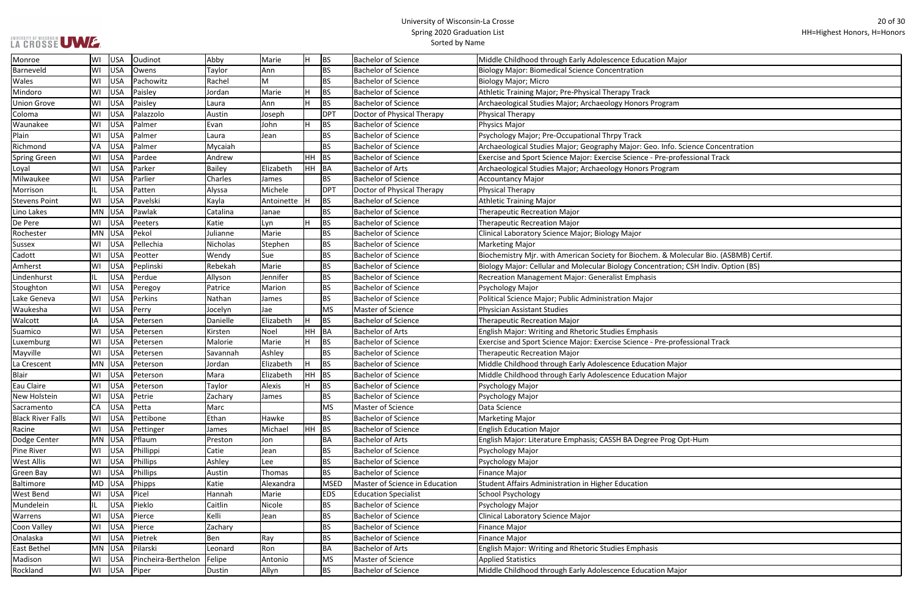| lajor                          |
|--------------------------------|
|                                |
|                                |
|                                |
| m                              |
|                                |
|                                |
|                                |
| . Science Concentration        |
| rofessional Track              |
| m                              |
|                                |
|                                |
|                                |
|                                |
|                                |
|                                |
|                                |
|                                |
| Aolecular Bio. (ASBMB) Certif. |
| on; CSH Indiv. Option (BS)     |
|                                |
|                                |
|                                |
|                                |
|                                |
|                                |
| rofessional Track              |
|                                |
|                                |
| lajor                          |
| lajor                          |
|                                |
|                                |
|                                |
|                                |
|                                |
| g Opt-Hum                      |
|                                |
|                                |
|                                |
|                                |
|                                |
|                                |
|                                |
|                                |
|                                |
|                                |
|                                |
|                                |
| lajor                          |

| Monroe                   | WI        | <b>USA</b> | Oudinot             | Abby          | Marie        | IH.   | <b>BS</b>   | <b>Bachelor of Science</b>     | Middle Childhood through Early Adolescence Education Major                           |
|--------------------------|-----------|------------|---------------------|---------------|--------------|-------|-------------|--------------------------------|--------------------------------------------------------------------------------------|
| Barneveld                | WI        | <b>USA</b> | Owens               | Taylor        | Ann          |       | <b>BS</b>   | <b>Bachelor of Science</b>     | <b>Biology Major: Biomedical Science Concentration</b>                               |
| Wales                    | WI        | <b>USA</b> | Pachowitz           | Rachel        | M            |       | <b>BS</b>   | <b>Bachelor of Science</b>     | <b>Biology Major; Micro</b>                                                          |
| Mindoro                  | WI        | <b>USA</b> | Paisley             | Jordan        | Marie        | H     | <b>BS</b>   | <b>Bachelor of Science</b>     | Athletic Training Major; Pre-Physical Therapy Track                                  |
| <b>Union Grove</b>       | WI        | <b>USA</b> | Paisley             | Laura         | Ann          | lH.   | <b>BS</b>   | <b>Bachelor of Science</b>     | Archaeological Studies Major; Archaeology Honors Program                             |
| Coloma                   | WI        | <b>USA</b> | Palazzolo           | Austin        | Joseph       |       | DPT         | Doctor of Physical Therapy     | Physical Therapy                                                                     |
| Waunakee                 | WI        | <b>USA</b> | Palmer              | Evan          | John         | IH.   | <b>BS</b>   | <b>Bachelor of Science</b>     | Physics Major                                                                        |
| Plain                    | WI        | <b>USA</b> | Palmer              | Laura         | Jean         |       | BS          | <b>Bachelor of Science</b>     | Psychology Major; Pre-Occupational Thrpy Track                                       |
| Richmond                 | VA        | <b>USA</b> | Palmer              | Mycaiah       |              |       | <b>BS</b>   | <b>Bachelor of Science</b>     | Archaeological Studies Major; Geography Major: Geo. Info. Science Concentration      |
| Spring Green             | WI        | <b>USA</b> | Pardee              | Andrew        |              | HH.   | <b>BS</b>   | <b>Bachelor of Science</b>     | Exercise and Sport Science Major: Exercise Science - Pre-professional Track          |
| Loyal                    | WI        | <b>USA</b> | Parker              | <b>Bailey</b> | Elizabeth    | HH.   | BA          | <b>Bachelor of Arts</b>        | Archaeological Studies Major; Archaeology Honors Program                             |
| Milwaukee                | WI        | <b>USA</b> | Parlier             | Charles       | James        |       | BS          | <b>Bachelor of Science</b>     | <b>Accountancy Major</b>                                                             |
| Morrison                 |           | <b>USA</b> | Patten              | Alyssa        | Michele      |       | DPT         | Doctor of Physical Therapy     | Physical Therapy                                                                     |
| <b>Stevens Point</b>     | WI        | USA        | Pavelski            | Kayla         | Antoinette   | IН    | <b>BS</b>   | <b>Bachelor of Science</b>     | <b>Athletic Training Major</b>                                                       |
| Lino Lakes               | MN        | USA        | Pawlak              | Catalina      | Janae        |       | <b>BS</b>   | <b>Bachelor of Science</b>     | <b>Therapeutic Recreation Major</b>                                                  |
| De Pere                  | WI        | <b>USA</b> | Peeters             | Katie         | Lyn          | IH.   | <b>BS</b>   | <b>Bachelor of Science</b>     | <b>Therapeutic Recreation Major</b>                                                  |
| Rochester                | <b>MN</b> | <b>USA</b> | Pekol               | Julianne      | Marie        |       | <b>BS</b>   | <b>Bachelor of Science</b>     | Clinical Laboratory Science Major; Biology Major                                     |
| <b>Sussex</b>            | WI        | <b>USA</b> | Pellechia           | Nicholas      | Stephen      |       | <b>BS</b>   | <b>Bachelor of Science</b>     | <b>Marketing Major</b>                                                               |
| Cadott                   | WI        | <b>USA</b> | Peotter             | Wendy         | Sue          |       | <b>BS</b>   | <b>Bachelor of Science</b>     | Biochemistry Mjr. with American Society for Biochem. & Molecular Bio. (ASBMB) Certif |
| Amherst                  | WI        | <b>USA</b> | Peplinski           | Rebekah       | Marie        |       | <b>BS</b>   | <b>Bachelor of Science</b>     | Biology Major: Cellular and Molecular Biology Concentration; CSH Indiv. Option (BS)  |
| Lindenhurst              | IL        | <b>USA</b> | Perdue              | Allyson       | Jennifer     |       | <b>BS</b>   | <b>Bachelor of Science</b>     | Recreation Management Major: Generalist Emphasis                                     |
| Stoughton                | WI        | <b>USA</b> | Peregoy             | Patrice       | Marion       |       | <b>BS</b>   | <b>Bachelor of Science</b>     | Psychology Major                                                                     |
| Lake Geneva              | WI        | <b>USA</b> | Perkins             | Nathan        | James        |       | <b>BS</b>   | <b>Bachelor of Science</b>     | Political Science Major; Public Administration Major                                 |
| Waukesha                 | WI        | <b>USA</b> | Perry               | Jocelyn       | Jae          |       | <b>MS</b>   | Master of Science              | <b>Physician Assistant Studies</b>                                                   |
| Walcott                  | IA        | <b>USA</b> | Petersen            | Danielle      | Elizabeth    | H.    | <b>BS</b>   | <b>Bachelor of Science</b>     | <b>Therapeutic Recreation Major</b>                                                  |
| Suamico                  | WI        | <b>USA</b> | Petersen            | Kirsten       | Noel         | HH    | BA          | <b>Bachelor of Arts</b>        | English Major: Writing and Rhetoric Studies Emphasis                                 |
| Luxemburg                | WI        | <b>USA</b> | Petersen            | Malorie       | Marie        | IH.   | <b>BS</b>   | <b>Bachelor of Science</b>     | Exercise and Sport Science Major: Exercise Science - Pre-professional Track          |
| Mayville                 | WI        | <b>USA</b> | Petersen            | Savannah      | Ashley       |       | <b>BS</b>   | <b>Bachelor of Science</b>     | <b>Therapeutic Recreation Major</b>                                                  |
| La Crescent              | MN        | <b>USA</b> | Peterson            | Jordan        | Elizabeth    | IH.   | <b>BS</b>   | <b>Bachelor of Science</b>     | Middle Childhood through Early Adolescence Education Major                           |
| <b>Blair</b>             | WI        | <b>USA</b> | Peterson            | Mara          | Elizabeth    | HH    | <b>BS</b>   | <b>Bachelor of Science</b>     | Middle Childhood through Early Adolescence Education Major                           |
| Eau Claire               | WI        | USA        | Peterson            | Taylor        | Alexis       | ١H.   | <b>BS</b>   | <b>Bachelor of Science</b>     | Psychology Major                                                                     |
| New Holstein             | WI        | USA        | Petrie              | Zachary       | <b>James</b> |       | <b>BS</b>   | <b>Bachelor of Science</b>     | Psychology Major                                                                     |
| Sacramento               | <b>CA</b> | USA        | Petta               | Marc          |              |       | <b>MS</b>   | Master of Science              | Data Science                                                                         |
| <b>Black River Falls</b> | WI        | USA        | Pettibone           | Ethan         | Hawke        |       | <b>BS</b>   | <b>Bachelor of Science</b>     | <b>Marketing Major</b>                                                               |
| Racine                   | WI        | USA        | Pettinger           | James         | Michael      | HH BS |             | <b>Bachelor of Science</b>     | <b>English Education Major</b>                                                       |
| Dodge Center             | <b>MN</b> | USA        | Pflaum              | Preston       | Jon          |       | BA          | <b>Bachelor of Arts</b>        | English Major: Literature Emphasis; CASSH BA Degree Prog Opt-Hum                     |
| Pine River               | WI        | <b>USA</b> | Phillippi           | Catie         | Jean         |       | <b>BS</b>   | <b>Bachelor of Science</b>     | Psychology Major                                                                     |
| <b>West Allis</b>        | WI        | <b>USA</b> | Phillips            | Ashley        | Lee          |       | <b>BS</b>   | <b>Bachelor of Science</b>     | Psychology Major                                                                     |
| Green Bay                | WI        | <b>USA</b> | Phillips            | Austin        | Thomas       |       | <b>BS</b>   | <b>Bachelor of Science</b>     | <b>Finance Major</b>                                                                 |
| Baltimore                | MD        | USA        | Phipps              | Katie         | Alexandra    |       | <b>MSED</b> | Master of Science in Education | Student Affairs Administration in Higher Education                                   |
| <b>West Bend</b>         | WI        | USA        | Picel               | Hannah        | Marie        |       | <b>EDS</b>  | <b>Education Specialist</b>    | <b>School Psychology</b>                                                             |
| Mundelein                | IL.       | <b>USA</b> | Pieklo              | Caitlin       | Nicole       |       | <b>BS</b>   | <b>Bachelor of Science</b>     | Psychology Major                                                                     |
| Warrens                  | WI        | <b>USA</b> | Pierce              | Kelli         | Jean         |       | <b>BS</b>   | <b>Bachelor of Science</b>     | Clinical Laboratory Science Major                                                    |
| Coon Valley              | WI        | <b>USA</b> | Pierce              | Zachary       |              |       | <b>BS</b>   | <b>Bachelor of Science</b>     | <b>Finance Major</b>                                                                 |
| Onalaska                 | WI        | USA        | Pietrek             | Ben           | Ray          |       | <b>BS</b>   | <b>Bachelor of Science</b>     | <b>Finance Major</b>                                                                 |
| <b>East Bethel</b>       | <b>MN</b> | USA        | Pilarski            | Leonard       | Ron          |       | <b>BA</b>   | <b>Bachelor of Arts</b>        | English Major: Writing and Rhetoric Studies Emphasis                                 |
| Madison                  | WI        | <b>USA</b> | Pincheira-Berthelon | Felipe        | Antonio      |       | <b>MS</b>   | Master of Science              | <b>Applied Statistics</b>                                                            |
| Rockland                 | WI        | USA        | Piper               | Dustin        | Allyn        |       | <b>BS</b>   | <b>Bachelor of Science</b>     | Middle Childhood through Early Adolescence Education Major                           |
|                          |           |            |                     |               |              |       |             |                                |                                                                                      |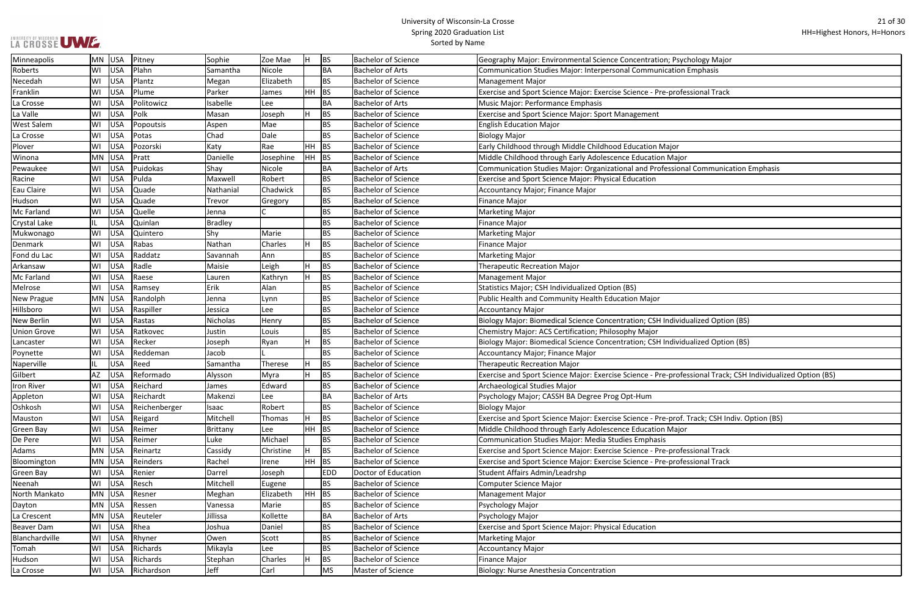|  |  | LA CROSSE UWE |
|--|--|---------------|

| Psychology Major                                  |
|---------------------------------------------------|
| tion Emphasis                                     |
|                                                   |
| rofessional Track                                 |
|                                                   |
|                                                   |
|                                                   |
|                                                   |
|                                                   |
| Эr                                                |
| ajor                                              |
| ional Communication Emphasis                      |
|                                                   |
|                                                   |
|                                                   |
|                                                   |
|                                                   |
|                                                   |
|                                                   |
|                                                   |
|                                                   |
|                                                   |
|                                                   |
|                                                   |
|                                                   |
| ividualized Option (BS)                           |
|                                                   |
| ividualized Option (BS)                           |
|                                                   |
|                                                   |
|                                                   |
| rofessional Track; CSH Individualized Option (BS) |
|                                                   |
|                                                   |
|                                                   |
| rof. Track; CSH Indiv. Option (BS)                |
| ajor                                              |
|                                                   |
| rofessional Track                                 |
| rofessional Track                                 |
|                                                   |
|                                                   |
|                                                   |
|                                                   |
|                                                   |
|                                                   |
|                                                   |
|                                                   |
|                                                   |
|                                                   |
|                                                   |

| Minneapolis         | MN USA |            | Pitney        | Sophie         | Zoe Mae   |           | <b>BS</b>  | <b>Bachelor of Science</b> | Geography Major: Environmental Science Concentration; Psychology Major                                      |
|---------------------|--------|------------|---------------|----------------|-----------|-----------|------------|----------------------------|-------------------------------------------------------------------------------------------------------------|
| Roberts             | WI     | USA        | Plahn         | Samantha       | Nicole    |           | BA         | Bachelor of Arts           | Communication Studies Major: Interpersonal Communication Emphasis                                           |
| Necedah             | WI     | USA        | Plantz        | Megan          | Elizabeth |           | <b>BS</b>  | <b>Bachelor of Science</b> | <b>Management Major</b>                                                                                     |
| Franklin            | WI     | USA        | Plume         | Parker         | James     | $HH$ BS   |            | <b>Bachelor of Science</b> | Exercise and Sport Science Major: Exercise Science - Pre-professional Track                                 |
| La Crosse           | WI     | USA        | Politowicz    | Isabelle       | Lee       |           | BA         | Bachelor of Arts           | Music Major: Performance Emphasis                                                                           |
| La Valle            | WI     | USA        | Polk          | Masan          | Joseph    |           | <b>BS</b>  | <b>Bachelor of Science</b> | Exercise and Sport Science Major: Sport Management                                                          |
| <b>West Salem</b>   | WI     | USA        | Popoutsis     | Aspen          | Mae       |           | <b>BS</b>  | <b>Bachelor of Science</b> | <b>English Education Major</b>                                                                              |
| La Crosse           | WI     | USA        | Potas         | Chad           | Dale      |           | <b>BS</b>  | Bachelor of Science        | <b>Biology Major</b>                                                                                        |
| Plover              | WI     | USA        | Pozorski      | Katy           | Rae       | $HH$ BS   |            | Bachelor of Science        | Early Childhood through Middle Childhood Education Major                                                    |
| Winona              | MN USA |            | Pratt         | Danielle       | Josephine | $HH$ BS   |            | <b>Bachelor of Science</b> | Middle Childhood through Early Adolescence Education Major                                                  |
| Pewaukee            | WI     | USA        | Puidokas      | Shay           | Nicole    |           | BA         | <b>Bachelor of Arts</b>    | Communication Studies Major: Organizational and Professional Communication Emphasis                         |
| Racine              | WI     | USA        | Pulda         | Maxwell        | Robert    |           | <b>BS</b>  | <b>Bachelor of Science</b> | Exercise and Sport Science Major: Physical Education                                                        |
| Eau Claire          | WI     | USA        | Quade         | Nathanial      | Chadwick  |           | <b>BS</b>  | <b>Bachelor of Science</b> | <b>Accountancy Major; Finance Major</b>                                                                     |
| Hudson              | WI     | USA        | Quade         | Trevor         | Gregory   |           | <b>BS</b>  | <b>Bachelor of Science</b> | <b>Finance Major</b>                                                                                        |
| Mc Farland          | WI     | USA        | Quelle        | Jenna          |           |           | <b>BS</b>  | <b>Bachelor of Science</b> | <b>Marketing Major</b>                                                                                      |
| <b>Crystal Lake</b> |        | USA        | Quinlan       | <b>Bradley</b> |           |           | <b>BS</b>  | Bachelor of Science        | <b>Finance Major</b>                                                                                        |
| Mukwonago           | WI     | USA        | Quintero      | Shy            | Marie     |           | <b>BS</b>  | Bachelor of Science        | <b>Marketing Major</b>                                                                                      |
| Denmark             | WI     | USA        | Rabas         | Nathan         | Charles   |           | <b>BS</b>  | <b>Bachelor of Science</b> | <b>Finance Major</b>                                                                                        |
| Fond du Lac         | WI     | USA        | Raddatz       | Savannah       | Ann       |           | <b>BS</b>  | Bachelor of Science        | <b>Marketing Major</b>                                                                                      |
| Arkansaw            | WI     | USA        | Radle         | Maisie         | Leigh     |           | <b>BS</b>  | <b>Bachelor of Science</b> | <b>Therapeutic Recreation Major</b>                                                                         |
| Mc Farland          | WI     | USA        | Raese         | Lauren         | Kathryn   |           | <b>BS</b>  | <b>Bachelor of Science</b> | <b>Management Major</b>                                                                                     |
| Melrose             | WI     | USA        | Ramsey        | Erik           | Alan      |           | <b>BS</b>  | <b>Bachelor of Science</b> | Statistics Major; CSH Individualized Option (BS)                                                            |
| New Prague          | MN USA |            | Randolph      | Jenna          | Lynn      |           | <b>BS</b>  | <b>Bachelor of Science</b> | Public Health and Community Health Education Major                                                          |
| Hillsboro           | WI     | USA        | Raspiller     | Jessica        | Lee       |           | <b>BS</b>  | <b>Bachelor of Science</b> | <b>Accountancy Major</b>                                                                                    |
| New Berlin          | WI     | USA        | Rastas        | Nicholas       | Henry     |           | <b>BS</b>  | <b>Bachelor of Science</b> | Biology Major: Biomedical Science Concentration; CSH Individualized Option (BS)                             |
| <b>Union Grove</b>  | WI     | USA        | Ratkovec      | Justin         | Louis     |           | <b>BS</b>  | <b>Bachelor of Science</b> | Chemistry Major: ACS Certification; Philosophy Major                                                        |
| Lancaster           | WI     | USA        | Recker        | Joseph         | Ryan      |           | BS         | <b>Bachelor of Science</b> | Biology Major: Biomedical Science Concentration; CSH Individualized Option (BS)                             |
| Poynette            | WI     | USA        | Reddeman      | Jacob          |           |           | <b>BS</b>  | <b>Bachelor of Science</b> | Accountancy Major; Finance Major                                                                            |
| Naperville          |        | USA        | Reed          | Samantha       | Therese   |           | <b>BS</b>  | <b>Bachelor of Science</b> | <b>Therapeutic Recreation Major</b>                                                                         |
| Gilbert             | AZ     | <b>USA</b> | Reformado     | Alysson        | Myra      |           | <b>BS</b>  | <b>Bachelor of Science</b> | Exercise and Sport Science Major: Exercise Science - Pre-professional Track; CSH Individualized Option (BS) |
| <b>Iron River</b>   | WI     | USA        | Reichard      | James          | Edward    |           | <b>BS</b>  | <b>Bachelor of Science</b> | Archaeological Studies Major                                                                                |
| Appleton            | WI     | USA        | Reichardt     | Makenzi        | Lee       |           | BA         | <b>Bachelor of Arts</b>    | Psychology Major; CASSH BA Degree Prog Opt-Hum                                                              |
| Oshkosh             | WI     | USA        | Reichenberger | Isaac          | Robert    |           | <b>BS</b>  | Bachelor of Science        | <b>Biology Major</b>                                                                                        |
| Mauston             | WI     | USA        | Reigard       | Mitchell       | Thomas    |           | <b>BS</b>  | <b>Bachelor of Science</b> | Exercise and Sport Science Major: Exercise Science - Pre-prof. Track; CSH Indiv. Option (BS)                |
| Green Bay           | WI     | USA        | Reimer        | Brittany       | Lee       | $HH$ BS   |            | <b>Bachelor of Science</b> | Middle Childhood through Early Adolescence Education Major                                                  |
| De Pere             | WI     | USA        | Reimer        | Luke           | Michael   |           | <b>BS</b>  | Bachelor of Science        | <b>Communication Studies Major: Media Studies Emphasis</b>                                                  |
| Adams               | MN USA |            | Reinartz      | Cassidy        | Christine |           | <b>BS</b>  | <b>Bachelor of Science</b> | Exercise and Sport Science Major: Exercise Science - Pre-professional Track                                 |
| Bloomington         | MN USA |            | Reinders      | Rachel         | Irene     | <b>HH</b> | BS         | Bachelor of Science        | Exercise and Sport Science Major: Exercise Science - Pre-professional Track                                 |
| Green Bay           | WI     | USA        | Renier        | Darrel         | Joseph    |           | <b>EDD</b> | Doctor of Education        | <b>Student Affairs Admin/Leadrshp</b>                                                                       |
| Neenah              | WI     | USA        | Resch         | Mitchell       | Eugene    |           | <b>BS</b>  | <b>Bachelor of Science</b> | Computer Science Major                                                                                      |
| North Mankato       | MN USA |            | Resner        | Meghan         | Elizabeth | $HH$ BS   |            | <b>Bachelor of Science</b> | <b>Management Major</b>                                                                                     |
| Dayton              | MN USA |            | Ressen        | Vanessa        | Marie     |           | <b>BS</b>  | <b>Bachelor of Science</b> | Psychology Major                                                                                            |
| La Crescent         | MN USA |            | Reuteler      | Jillissa       | Kollette  |           | <b>BA</b>  | <b>Bachelor of Arts</b>    | Psychology Major                                                                                            |
| <b>Beaver Dam</b>   | WI     | USA        | Rhea          | Joshua         | Daniel    |           | <b>BS</b>  | <b>Bachelor of Science</b> | Exercise and Sport Science Major: Physical Education                                                        |
| Blanchardville      | WI     | USA        | Rhyner        | Owen           | Scott     |           | <b>BS</b>  | <b>Bachelor of Science</b> | <b>Marketing Major</b>                                                                                      |
| Tomah               | WI     | USA        | Richards      | Mikayla        | Lee       |           | <b>BS</b>  | <b>Bachelor of Science</b> | <b>Accountancy Major</b>                                                                                    |
| Hudson              | WI     | USA        | Richards      | Stephan        | Charles   |           | BS         | <b>Bachelor of Science</b> | <b>Finance Major</b>                                                                                        |
| La Crosse           | WI     | USA        | Richardson    | Jeff           | Carl      |           | MS         | Master of Science          | Biology: Nurse Anesthesia Concentration                                                                     |
|                     |        |            |               |                |           |           |            |                            |                                                                                                             |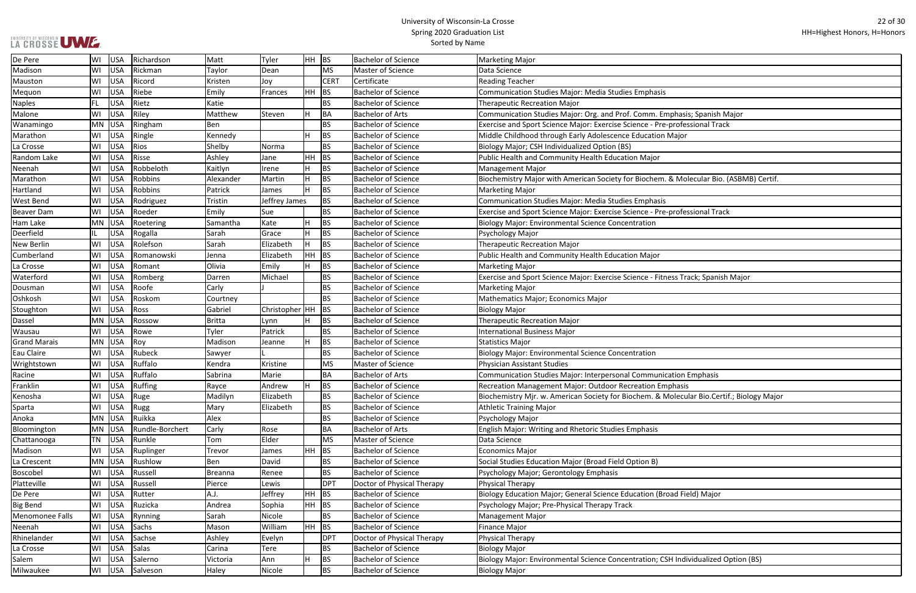┓

| hasis; Spanish Major               |
|------------------------------------|
| rofessional Track                  |
| lajor                              |
|                                    |
|                                    |
|                                    |
|                                    |
| Molecular Bio. (ASBMB) Certif.     |
|                                    |
|                                    |
| rofessional Track                  |
|                                    |
|                                    |
|                                    |
|                                    |
|                                    |
|                                    |
|                                    |
| ss Track; Spanish Major            |
|                                    |
|                                    |
|                                    |
|                                    |
|                                    |
|                                    |
|                                    |
|                                    |
|                                    |
| tion Emphasis                      |
|                                    |
| hasis                              |
| lecular Bio.Certif.; Biology Major |
|                                    |
|                                    |
|                                    |
|                                    |
|                                    |
|                                    |
|                                    |
|                                    |
|                                    |
|                                    |
| d Field) Major                     |
|                                    |
|                                    |
|                                    |
|                                    |
|                                    |
|                                    |
| Individualized Option (BS)         |
|                                    |

| De Pere             | WI        | <b>USA</b> | Richardson      | Matt          | Tyler                 | HH BS |             | <b>Bachelor of Science</b> | <b>Marketing Major</b>                                                                    |
|---------------------|-----------|------------|-----------------|---------------|-----------------------|-------|-------------|----------------------------|-------------------------------------------------------------------------------------------|
| Madison             | WI        | <b>USA</b> | Rickman         | Taylor        | Dean                  |       | <b>MS</b>   | Master of Science          | Data Science                                                                              |
| Mauston             | WI        | <b>USA</b> | Ricord          | Kristen       | Joy                   |       | <b>CERT</b> | Certificate                | <b>Reading Teacher</b>                                                                    |
| Mequon              | WI        | <b>USA</b> | Riebe           | Emily         | Frances               | HH BS |             | <b>Bachelor of Science</b> | Communication Studies Major: Media Studies Emphasis                                       |
| <b>Naples</b>       | FL        | <b>USA</b> | Rietz           | Katie         |                       |       | <b>BS</b>   | <b>Bachelor of Science</b> | <b>Therapeutic Recreation Major</b>                                                       |
| Malone              | WI        | <b>USA</b> | Riley           | Matthew       | Steven                |       | BA          | <b>Bachelor of Arts</b>    | Communication Studies Major: Org. and Prof. Comm. Emphasis; Spanish Major                 |
| Wanamingo           | MN        | <b>USA</b> | Ringham         | Ben           |                       |       | <b>BS</b>   | <b>Bachelor of Science</b> | Exercise and Sport Science Major: Exercise Science - Pre-professional Track               |
| Marathon            | WI        | <b>USA</b> | Ringle          | Kennedy       |                       |       | <b>BS</b>   | <b>Bachelor of Science</b> | Middle Childhood through Early Adolescence Education Major                                |
| La Crosse           | WI        | <b>USA</b> | Rios            | Shelby        | Norma                 |       | <b>BS</b>   | <b>Bachelor of Science</b> | Biology Major; CSH Individualized Option (BS)                                             |
| Random Lake         | WI        | <b>USA</b> | Risse           | Ashley        | Jane                  | HH BS |             | <b>Bachelor of Science</b> | Public Health and Community Health Education Major                                        |
| Neenah              | WI        | <b>USA</b> | Robbeloth       | Kaitlyn       | Irene                 |       | <b>BS</b>   | <b>Bachelor of Science</b> | <b>Management Major</b>                                                                   |
| Marathon            | WI        | <b>USA</b> | Robbins         | Alexander     | Martin                |       | <b>BS</b>   | <b>Bachelor of Science</b> | Biochemistry Major with American Society for Biochem. & Molecular Bio. (ASBMB) Certif.    |
| Hartland            | WI        | <b>USA</b> | Robbins         | Patrick       | James                 |       | <b>BS</b>   | <b>Bachelor of Science</b> | <b>Marketing Major</b>                                                                    |
| West Bend           | WI        | <b>USA</b> | Rodriguez       | Tristin       | Jeffrey James         |       | <b>BS</b>   | <b>Bachelor of Science</b> | Communication Studies Major: Media Studies Emphasis                                       |
| <b>Beaver Dam</b>   | WI        | <b>USA</b> | Roeder          | Emily         | Sue                   |       | <b>BS</b>   | <b>Bachelor of Science</b> | Exercise and Sport Science Major: Exercise Science - Pre-professional Track               |
| Ham Lake            | MN        | <b>USA</b> | Roetering       | Samantha      | Kate                  |       | <b>BS</b>   | <b>Bachelor of Science</b> | <b>Biology Major: Environmental Science Concentration</b>                                 |
| Deerfield           | IL.       | USA        | Rogalla         | Sarah         | Grace                 | H     | <b>BS</b>   | <b>Bachelor of Science</b> | Psychology Major                                                                          |
| <b>New Berlin</b>   | WI        | <b>USA</b> | Rolefson        | Sarah         | Elizabeth             | H.    | <b>BS</b>   | <b>Bachelor of Science</b> | <b>Therapeutic Recreation Major</b>                                                       |
| Cumberland          | WI        | <b>USA</b> | Romanowski      | Jenna         | Elizabeth             | HH BS |             | <b>Bachelor of Science</b> | Public Health and Community Health Education Major                                        |
| La Crosse           | WI        | <b>USA</b> | Romant          | Olivia        | Emily                 |       | BS          | <b>Bachelor of Science</b> | Marketing Major                                                                           |
| Waterford           | WI        | <b>USA</b> | Romberg         | Darren        | Michael               |       | BS          | <b>Bachelor of Science</b> | Exercise and Sport Science Major: Exercise Science - Fitness Track; Spanish Major         |
| Dousman             | WI        | <b>USA</b> | Roofe           | Carly         |                       |       | <b>BS</b>   | <b>Bachelor of Science</b> | <b>Marketing Major</b>                                                                    |
| Oshkosh             | WI        | <b>USA</b> | Roskom          | Courtney      |                       |       | <b>BS</b>   | <b>Bachelor of Science</b> | Mathematics Major; Economics Major                                                        |
| Stoughton           | WI        | <b>USA</b> | Ross            | Gabriel       | Christopher $ HH $ BS |       |             | <b>Bachelor of Science</b> | Biology Major                                                                             |
| Dassel              | <b>MN</b> | <b>USA</b> | Rossow          | <b>Britta</b> | Lynn                  |       | <b>BS</b>   | <b>Bachelor of Science</b> | <b>Therapeutic Recreation Major</b>                                                       |
| Wausau              | WI        | <b>USA</b> | Rowe            | Tyler         | Patrick               |       | <b>BS</b>   | <b>Bachelor of Science</b> | <b>International Business Major</b>                                                       |
| <b>Grand Marais</b> | <b>MN</b> | <b>USA</b> | Roy             | Madison       | Jeanne                |       | <b>BS</b>   | <b>Bachelor of Science</b> | <b>Statistics Major</b>                                                                   |
| Eau Claire          | WI        | <b>USA</b> | Rubeck          | Sawyer        |                       |       | BS.         | <b>Bachelor of Science</b> | <b>Biology Major: Environmental Science Concentration</b>                                 |
| Wrightstown         | WI        | USA        | Ruffalo         | Kendra        | Kristine              |       | <b>MS</b>   | Master of Science          | Physician Assistant Studies                                                               |
| Racine              | WI        | <b>USA</b> | Ruffalo         | Sabrina       | Marie                 |       | BA          | <b>Bachelor of Arts</b>    | Communication Studies Major: Interpersonal Communication Emphasis                         |
| Franklin            | WI        | USA        | Ruffing         | Rayce         | Andrew                | lu u  | BS          | <b>Bachelor of Science</b> | Recreation Management Major: Outdoor Recreation Emphasis                                  |
| Kenosha             | WI        | <b>USA</b> | Ruge            | Madilyn       | Elizabeth             |       | <b>BS</b>   | <b>Bachelor of Science</b> | Biochemistry Mjr. w. American Society for Biochem. & Molecular Bio.Certif.; Biology Major |
| Sparta              | WI        | <b>USA</b> | Rugg            | Mary          | Elizabeth             |       | <b>BS</b>   | <b>Bachelor of Science</b> | <b>Athletic Training Major</b>                                                            |
| Anoka               | <b>MN</b> | <b>USA</b> | Ruikka          | Alex          |                       |       | ВS          | <b>Bachelor of Science</b> | Psychology Major                                                                          |
| Bloomington         | MN        | <b>USA</b> | Rundle-Borchert | Carly         | Rose                  |       | ВA          | <b>Bachelor of Arts</b>    | <b>English Major: Writing and Rhetoric Studies Emphasis</b>                               |
| Chattanooga         | TN        | USA        | Runkle          | Tom           | Elder                 |       | <b>MS</b>   | Master of Science          | Data Science                                                                              |
| Madison             | WI        | USA        | Ruplinger       | Trevor        | James                 | HH BS |             | <b>Bachelor of Science</b> | <b>Economics Major</b>                                                                    |
| La Crescent         | MN        | USA        | Rushlow         | Ben           | David                 |       | <b>BS</b>   | <b>Bachelor of Science</b> | Social Studies Education Major (Broad Field Option B)                                     |
| Boscobel            | WI        | <b>USA</b> | Russell         | Breanna       | Renee                 |       | <b>BS</b>   | <b>Bachelor of Science</b> | Psychology Major; Gerontology Emphasis                                                    |
| Platteville         | WI        | <b>USA</b> | Russell         | Pierce        | Lewis                 |       | <b>DPT</b>  | Doctor of Physical Therapy | <b>Physical Therapy</b>                                                                   |
| De Pere             | WI        | <b>USA</b> | Rutter          | A.J.          | Jeffrey               |       | $HH$ BS     | <b>Bachelor of Science</b> | Biology Education Major; General Science Education (Broad Field) Major                    |
| <b>Big Bend</b>     | WI        | <b>USA</b> | Ruzicka         | Andrea        | Sophia                | HH BS |             | <b>Bachelor of Science</b> | Psychology Major; Pre-Physical Therapy Track                                              |
| Menomonee Falls     | WI        | <b>USA</b> | Rynning         | Sarah         | Nicole                |       | <b>BS</b>   | <b>Bachelor of Science</b> | <b>Management Major</b>                                                                   |
| Neenah              | WI        | <b>USA</b> | Sachs           | Mason         | William               | HH BS |             | <b>Bachelor of Science</b> | <b>Finance Major</b>                                                                      |
| Rhinelander         | WI        | <b>USA</b> | Sachse          | Ashley        | Evelyn                |       | <b>DPT</b>  | Doctor of Physical Therapy | <b>Physical Therapy</b>                                                                   |
| La Crosse           | WI        | <b>USA</b> | Salas           | Carina        | Tere                  |       | <b>BS</b>   | <b>Bachelor of Science</b> | <b>Biology Major</b>                                                                      |
| Salem               | WI        | <b>USA</b> | Salerno         | Victoria      | Ann                   |       | <b>BS</b>   | <b>Bachelor of Science</b> | Biology Major: Environmental Science Concentration; CSH Individualized Option (BS)        |
| Milwaukee           | WI        | USA        | Salveson        | Haley         | Nicole                |       | <b>BS</b>   | <b>Bachelor of Science</b> | <b>Biology Major</b>                                                                      |
|                     |           |            |                 |               |                       |       |             |                            |                                                                                           |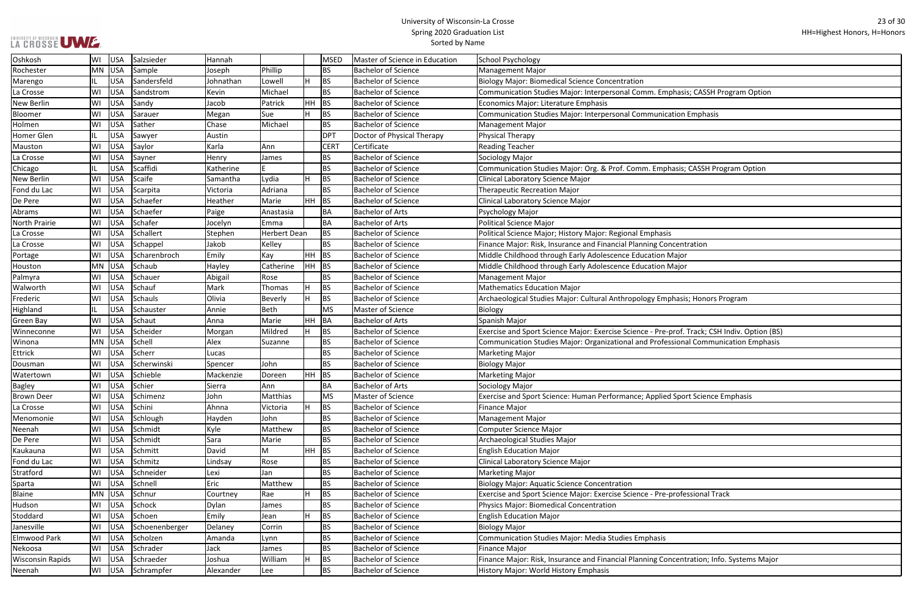٦

| hasis; CASSH Program Option        |
|------------------------------------|
|                                    |
| tion Emphasis                      |
|                                    |
|                                    |
|                                    |
|                                    |
|                                    |
| asis; CASSH Program Option         |
|                                    |
|                                    |
|                                    |
|                                    |
|                                    |
|                                    |
| centration                         |
| ajor                               |
| ajor                               |
|                                    |
|                                    |
|                                    |
| nasis; Honors Program              |
|                                    |
|                                    |
| rof. Track; CSH Indiv. Option (BS) |
| ional Communication Emphasis       |
|                                    |
|                                    |
|                                    |
|                                    |
| Sport Science Emphasis             |
|                                    |
|                                    |
|                                    |
|                                    |
|                                    |
|                                    |
|                                    |
|                                    |
|                                    |
| rofessional Track                  |
|                                    |
|                                    |
|                                    |
|                                    |
|                                    |
|                                    |
| centration; Info. Systems Major    |
|                                    |

| Oshkosh                 | WI  | <b>USA</b> | Salzsieder     | Hannah    |              |           | <b>MSED</b> | Master of Science in Education | School Psychology                                                                            |
|-------------------------|-----|------------|----------------|-----------|--------------|-----------|-------------|--------------------------------|----------------------------------------------------------------------------------------------|
| Rochester               | MN  | <b>USA</b> | Sample         | Joseph    | Phillip      |           | <b>BS</b>   | <b>Bachelor of Science</b>     | <b>Management Major</b>                                                                      |
| Marengo                 | IL. | <b>USA</b> | Sandersfeld    | Johnathan | Lowell       |           | <b>BS</b>   | <b>Bachelor of Science</b>     | <b>Biology Major: Biomedical Science Concentration</b>                                       |
| La Crosse               | WI  | <b>USA</b> | Sandstrom      | Kevin     | Michael      |           | <b>BS</b>   | <b>Bachelor of Science</b>     | Communication Studies Major: Interpersonal Comm. Emphasis; CASSH Program Option              |
| New Berlin              | WI  | <b>USA</b> | Sandy          | Jacob     | Patrick      | HH        | BS          | <b>Bachelor of Science</b>     | Economics Major: Literature Emphasis                                                         |
| Bloomer                 | WI  | <b>USA</b> | Sarauer        | Megan     | Sue          |           | BS          | <b>Bachelor of Science</b>     | Communication Studies Major: Interpersonal Communication Emphasis                            |
| Holmen                  | WI  | <b>USA</b> | Sather         | Chase     | Michael      |           | BS.         | <b>Bachelor of Science</b>     | <b>Management Major</b>                                                                      |
| Homer Glen              | IL. | <b>USA</b> | Sawyer         | Austin    |              |           | <b>DPT</b>  | Doctor of Physical Therapy     | <b>Physical Therapy</b>                                                                      |
| Mauston                 | WI  | USA        | Saylor         | Karla     | Ann          |           | <b>CER1</b> | Certificate                    | <b>Reading Teacher</b>                                                                       |
| La Crosse               | WI  | <b>USA</b> | Sayner         | Henry     | James        |           | BS.         | <b>Bachelor of Science</b>     | Sociology Major                                                                              |
| Chicago                 | IL. | <b>USA</b> | Scaffidi       | Katherine |              |           | <b>BS</b>   | <b>Bachelor of Science</b>     | Communication Studies Major: Org. & Prof. Comm. Emphasis; CASSH Program Option               |
| New Berlin              | WI  | <b>USA</b> | Scaife         | Samantha  | Lydia        |           | <b>BS</b>   | <b>Bachelor of Science</b>     | Clinical Laboratory Science Major                                                            |
| Fond du Lac             | WI  | <b>USA</b> | Scarpita       | Victoria  | Adriana      |           | <b>BS</b>   | <b>Bachelor of Science</b>     | <b>Therapeutic Recreation Major</b>                                                          |
| De Pere                 | WI  | <b>USA</b> | Schaefer       | Heather   | Marie        | <b>HH</b> | BS          | <b>Bachelor of Science</b>     | Clinical Laboratory Science Major                                                            |
| Abrams                  | WI  | <b>USA</b> | Schaefer       | Paige     | Anastasia    |           | ВA          | <b>Bachelor of Arts</b>        | Psychology Major                                                                             |
| <b>North Prairie</b>    | WI  | <b>USA</b> | Schafer        | Jocelyn   | Emma         |           | BA          | <b>Bachelor of Arts</b>        | Political Science Major                                                                      |
| La Crosse               | WI  | <b>USA</b> | Schallert      | Stephen   | Herbert Dean |           | BS.         | <b>Bachelor of Science</b>     | Political Science Major; History Major: Regional Emphasis                                    |
| La Crosse               | WI  | <b>USA</b> | Schappel       | Jakob     | Kelley       |           | <b>BS</b>   | <b>Bachelor of Science</b>     | Finance Major: Risk, Insurance and Financial Planning Concentration                          |
| Portage                 | WI  | <b>USA</b> | Scharenbroch   | Emily     | Kay          |           | HH BS       | <b>Bachelor of Science</b>     | Middle Childhood through Early Adolescence Education Major                                   |
| Houston                 | MN  | USA        | Schaub         | Hayley    | Catherine    |           | $HH$ BS     | <b>Bachelor of Science</b>     | Middle Childhood through Early Adolescence Education Major                                   |
| Palmyra                 | WI  | <b>USA</b> | Schauer        | Abigail   | Rose         |           | <b>BS</b>   | <b>Bachelor of Science</b>     | <b>Management Major</b>                                                                      |
| Walworth                | WI  | <b>USA</b> | Schauf         | Mark      | Thomas       |           | BS          | <b>Bachelor of Science</b>     | <b>Mathematics Education Major</b>                                                           |
| Frederic                | WI  | <b>USA</b> | <b>Schauls</b> | Olivia    | Beverly      |           | <b>BS</b>   | <b>Bachelor of Science</b>     | Archaeological Studies Major: Cultural Anthropology Emphasis; Honors Program                 |
| Highland                | IL. | <b>USA</b> | Schauster      | Annie     | <b>Beth</b>  |           | <b>MS</b>   | Master of Science              | Biology                                                                                      |
| <b>Green Bay</b>        | WI  | <b>USA</b> | Schaut         | Anna      | Marie        | HH        | <b>BA</b>   | <b>Bachelor of Arts</b>        | Spanish Major                                                                                |
| Winneconne              | WI  | <b>USA</b> | Scheider       | Morgan    | Mildred      |           | BS.         | <b>Bachelor of Science</b>     | Exercise and Sport Science Major: Exercise Science - Pre-prof. Track; CSH Indiv. Option (BS) |
| Winona                  | MN  | USA        | Schell         | Alex      | Suzanne      |           | <b>BS</b>   | <b>Bachelor of Science</b>     | Communication Studies Major: Organizational and Professional Communication Emphasis          |
| <b>Ettrick</b>          | WI  | <b>USA</b> | Scherr         | Lucas     |              |           | <b>BS</b>   | <b>Bachelor of Science</b>     | <b>Marketing Major</b>                                                                       |
| Dousman                 | WI  | <b>USA</b> | Scherwinski    | Spencer   | John         |           | <b>BS</b>   | <b>Bachelor of Science</b>     | <b>Biology Major</b>                                                                         |
| Watertown               | WI  | <b>USA</b> | Schieble       | Mackenzie | Doreen       | HH        | BS          | <b>Bachelor of Science</b>     | <b>Marketing Major</b>                                                                       |
| Bagley                  | WI  | USA        | Schier         | Sierra    | Ann          |           | ΒA          | Bachelor of Arts               | Sociology Major                                                                              |
| <b>Brown Deer</b>       | WI  | USA        | Schimenz       | John      | Matthias     |           | <b>MS</b>   | Master of Science              | Exercise and Sport Science: Human Performance; Applied Sport Science Emphasis                |
| La Crosse               | WI  | <b>USA</b> | Schini         | Ahnna     | Victoria     |           | BS.         | <b>Bachelor of Science</b>     | <b>Finance Major</b>                                                                         |
| Menomonie               | WI  | <b>USA</b> | Schlough       | Hayden    | John         |           | ΒS          | <b>Bachelor of Science</b>     | Management Major                                                                             |
| Neenah                  | WI  | <b>USA</b> | Schmidt        | Kyle      | Matthew      |           | ВS          | <b>Bachelor of Science</b>     | Computer Science Major                                                                       |
| De Pere                 | WI  | <b>USA</b> | Schmidt        | Sara      | Marie        |           | BS.         | <b>Bachelor of Science</b>     | Archaeological Studies Major                                                                 |
| Kaukauna                | WI  | <b>USA</b> | Schmitt        | David     | М            |           | HH BS       | <b>Bachelor of Science</b>     | <b>English Education Major</b>                                                               |
| Fond du Lac             | WI  | <b>USA</b> | Schmitz        | Lindsay   | Rose         |           | BS          | <b>Bachelor of Science</b>     | Clinical Laboratory Science Major                                                            |
| Stratford               | WI  | USA        | Schneider      | Lexi      | Jan          |           | BS          | <b>Bachelor of Science</b>     | Marketing Major                                                                              |
| Sparta                  | WI  | USA        | Schnell        | Eric      | Matthew      |           | BS          | <b>Bachelor of Science</b>     | <b>Biology Major: Aquatic Science Concentration</b>                                          |
| <b>Blaine</b>           | MN  | USA        | Schnur         | Courtney  | Rae          |           | BS          | <b>Bachelor of Science</b>     | Exercise and Sport Science Major: Exercise Science - Pre-professional Track                  |
| Hudson                  | WI  | <b>USA</b> | Schock         | Dylan     | James        |           | BS          | <b>Bachelor of Science</b>     | Physics Major: Biomedical Concentration                                                      |
| Stoddard                | WI  | <b>USA</b> | Schoen         | Emily     | Jean         |           | <b>BS</b>   | <b>Bachelor of Science</b>     | <b>English Education Major</b>                                                               |
| Janesville              | WI  | <b>USA</b> | Schoenenberger | Delaney   | Corrin       |           | BS          | <b>Bachelor of Science</b>     | <b>Biology Major</b>                                                                         |
| Elmwood Park            | WI  | USA        | Scholzen       | Amanda    | Lynn         |           | <b>BS</b>   | <b>Bachelor of Science</b>     | Communication Studies Major: Media Studies Emphasis                                          |
| Nekoosa                 | WI  | <b>USA</b> | Schrader       | Jack      | James        |           | <b>BS</b>   | <b>Bachelor of Science</b>     | Finance Major                                                                                |
| <b>Wisconsin Rapids</b> | WI  | <b>USA</b> | Schraeder      | Joshua    | William      |           | BS          | <b>Bachelor of Science</b>     | Finance Major: Risk, Insurance and Financial Planning Concentration; Info. Systems Major     |
| Neenah                  | WI  | <b>USA</b> | Schrampfer     | Alexander | Lee          |           | BS.         | <b>Bachelor of Science</b>     | History Major: World History Emphasis                                                        |
|                         |     |            |                |           |              |           |             |                                |                                                                                              |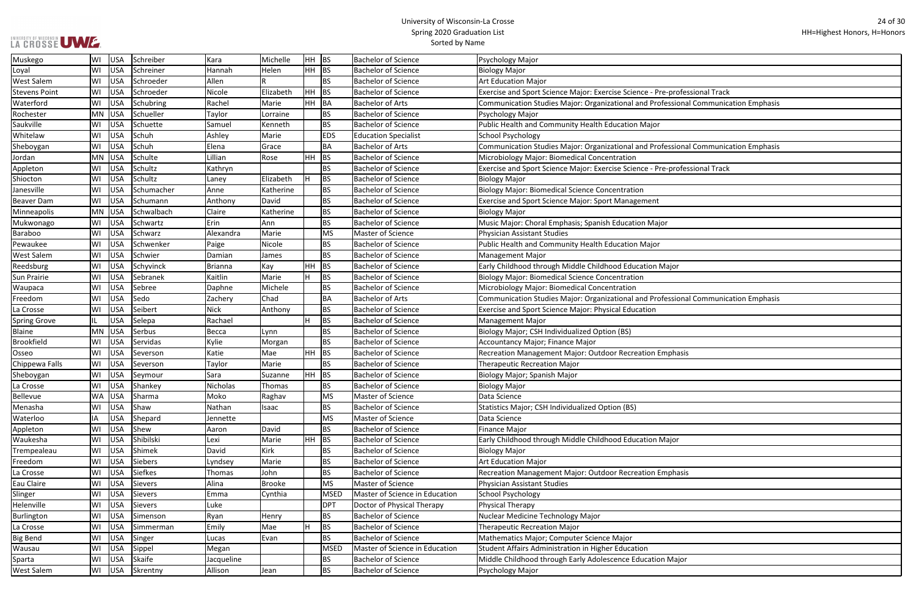|  | LA CROSSE UWE |  |  |
|--|---------------|--|--|

| rofessional Track             |
|-------------------------------|
| sional Communication Emphasis |
|                               |
|                               |
|                               |
| sional Communication Emphasis |
|                               |
| rofessional Track             |
|                               |
|                               |
|                               |
|                               |
|                               |
|                               |
|                               |
| or                            |
|                               |
|                               |
| sional Communication Emphasis |
|                               |
|                               |
|                               |
|                               |
| hasis                         |
|                               |
|                               |
|                               |
|                               |
|                               |
|                               |
| or                            |
|                               |
|                               |
| hasis                         |
|                               |
|                               |
|                               |
|                               |
|                               |
|                               |
|                               |
| lajor                         |
|                               |

| Muskego              | WI  | <b>USA</b> | Schreiber      | Kara           | Michelle      | HH BS   |             | <b>Bachelor of Science</b>     | Psychology Major                                                                    |
|----------------------|-----|------------|----------------|----------------|---------------|---------|-------------|--------------------------------|-------------------------------------------------------------------------------------|
| Loyal                | WI  | <b>USA</b> | Schreiner      | Hannah         | Helen         | $HH$ BS |             | <b>Bachelor of Science</b>     | <b>Biology Major</b>                                                                |
| West Salem           | WI  | <b>USA</b> | Schroeder      | Allen          |               |         | <b>BS</b>   | <b>Bachelor of Science</b>     | <b>Art Education Major</b>                                                          |
| <b>Stevens Point</b> | WI  | <b>USA</b> | Schroeder      | Nicole         | Elizabeth     | $HH$ BS |             | <b>Bachelor of Science</b>     | Exercise and Sport Science Major: Exercise Science - Pre-professional Track         |
| Waterford            | WI  | <b>USA</b> | Schubring      | Rachel         | Marie         |         | HH BA       | <b>Bachelor of Arts</b>        | Communication Studies Major: Organizational and Professional Communication Emphasis |
| Rochester            | MN  | USA        | Schueller      | Taylor         | Lorraine      |         | <b>BS</b>   | <b>Bachelor of Science</b>     | Psychology Major                                                                    |
| Saukville            | WI  | <b>USA</b> | Schuette       | Samuel         | Kenneth       |         | <b>BS</b>   | <b>Bachelor of Science</b>     | Public Health and Community Health Education Major                                  |
| Whitelaw             | WI  | <b>USA</b> | Schuh          | Ashley         | Marie         |         | <b>EDS</b>  | <b>Education Specialist</b>    | <b>School Psychology</b>                                                            |
| Sheboygan            | WI  | <b>USA</b> | Schuh          | Elena          | Grace         |         | <b>BA</b>   | <b>Bachelor of Arts</b>        | Communication Studies Major: Organizational and Professional Communication Emphasis |
| Jordan               | MN  | USA        | Schulte        | Lillian        | Rose          | HH.     | BS          | <b>Bachelor of Science</b>     | Microbiology Major: Biomedical Concentration                                        |
| Appleton             | WI  | <b>USA</b> | Schultz        | Kathryn        |               |         | <b>BS</b>   | <b>Bachelor of Science</b>     | Exercise and Sport Science Major: Exercise Science - Pre-professional Track         |
| Shiocton             | WI  | <b>USA</b> | Schultz        | Laney          | Elizabeth     | H.      | <b>BS</b>   | <b>Bachelor of Science</b>     | <b>Biology Major</b>                                                                |
| Janesville           | WI  | <b>USA</b> | Schumacher     | Anne           | Katherine     |         | <b>BS</b>   | <b>Bachelor of Science</b>     | <b>Biology Major: Biomedical Science Concentration</b>                              |
| Beaver Dam           | WI  | <b>USA</b> | Schumann       | Anthony        | David         |         | <b>BS</b>   | <b>Bachelor of Science</b>     | Exercise and Sport Science Major: Sport Management                                  |
| Minneapolis          | MN  | USA        | Schwalbach     | Claire         | Katherine     |         | <b>BS</b>   | <b>Bachelor of Science</b>     | <b>Biology Major</b>                                                                |
| Mukwonago            | WI  | <b>USA</b> | Schwartz       | Erin           | Ann           |         | <b>BS</b>   | <b>Bachelor of Science</b>     | Music Major: Choral Emphasis; Spanish Education Major                               |
| Baraboo              | WI  | <b>USA</b> | Schwarz        | Alexandra      | Marie         |         | <b>MS</b>   | Master of Science              | Physician Assistant Studies                                                         |
| Pewaukee             | WI  | <b>USA</b> | Schwenker      | Paige          | Nicole        |         | <b>BS</b>   | <b>Bachelor of Science</b>     | Public Health and Community Health Education Major                                  |
| <b>West Salem</b>    | WI  | <b>USA</b> | Schwier        | Damian         | James         |         | <b>BS</b>   | <b>Bachelor of Science</b>     | Management Major                                                                    |
| Reedsburg            | WI  | <b>USA</b> | Schyvinck      | <b>Brianna</b> | Kay           | HH.     | <b>BS</b>   | <b>Bachelor of Science</b>     | Early Childhood through Middle Childhood Education Major                            |
| Sun Prairie          | WI  | <b>USA</b> | Sebranek       | Kaitlin        | Marie         |         | <b>BS</b>   | <b>Bachelor of Science</b>     | <b>Biology Major: Biomedical Science Concentration</b>                              |
| Waupaca              | WI  | <b>USA</b> | Sebree         | Daphne         | Michele       |         | <b>BS</b>   | <b>Bachelor of Science</b>     | Microbiology Major: Biomedical Concentration                                        |
| Freedom              | WI  | <b>USA</b> | Sedo           | Zachery        | Chad          |         | <b>BA</b>   | <b>Bachelor of Arts</b>        | Communication Studies Major: Organizational and Professional Communication Emphasis |
| La Crosse            | WI  | <b>USA</b> | Seibert        | <b>Nick</b>    | Anthony       |         | <b>BS</b>   | <b>Bachelor of Science</b>     | Exercise and Sport Science Major: Physical Education                                |
| <b>Spring Grove</b>  | IL. | <b>USA</b> | Selepa         | Rachael        |               |         | <b>BS</b>   | <b>Bachelor of Science</b>     | <b>Management Major</b>                                                             |
| <b>Blaine</b>        | MN  | USA        | Serbus         | Becca          | Lynn          |         | <b>BS</b>   | <b>Bachelor of Science</b>     | Biology Major; CSH Individualized Option (BS)                                       |
| <b>Brookfield</b>    | WI  | <b>USA</b> | Servidas       | Kylie          | Morgan        |         | <b>BS</b>   | <b>Bachelor of Science</b>     | Accountancy Major; Finance Major                                                    |
| Osseo                | WI  | <b>USA</b> | Severson       | Katie          | Mae           | $HH$ BS |             | <b>Bachelor of Science</b>     | Recreation Management Major: Outdoor Recreation Emphasis                            |
| Chippewa Falls       | WI  | <b>USA</b> | Severson       | Taylor         | Marie         |         | <b>BS</b>   | <b>Bachelor of Science</b>     | <b>Therapeutic Recreation Major</b>                                                 |
| Sheboygan            | WI  | <b>USA</b> | Seymour        | Sara           | Suzanne       | $HH$ BS |             | Bachelor of Science            | Biology Major; Spanish Major                                                        |
| La Crosse            | WI  | <b>USA</b> | Shankey        | Nicholas       | Thomas        |         | <b>BS</b>   | <b>Bachelor of Science</b>     | <b>Biology Major</b>                                                                |
| Bellevue             | WA  | USA        | Sharma         | Moko           | Raghav        |         | <b>MS</b>   | Master of Science              | Data Science                                                                        |
| Menasha              | WI  | <b>USA</b> | Shaw           | Nathan         | Isaac         |         | <b>BS</b>   | Bachelor of Science            | Statistics Major; CSH Individualized Option (BS)                                    |
| Waterloo             | ΙA  | <b>USA</b> | Shepard        | Jennette       |               |         | <b>MS</b>   | Master of Science              | Data Science                                                                        |
| Appleton             | WI  | <b>USA</b> | Shew           | Aaron          | David         |         | <b>BS</b>   | <b>Bachelor of Science</b>     | Finance Major                                                                       |
| Waukesha             | WI  | <b>USA</b> | Shibilski      | Lexi           | Marie         | $HH$ BS |             | <b>Bachelor of Science</b>     | Early Childhood through Middle Childhood Education Major                            |
| Trempealeau          | WI  | <b>USA</b> | Shimek         | David          | Kirk          |         | <b>BS</b>   | <b>Bachelor of Science</b>     | <b>Biology Major</b>                                                                |
| Freedom              | WI  | <b>USA</b> | Siebers        | Lyndsey        | Marie         |         | <b>BS</b>   | <b>Bachelor of Science</b>     | <b>Art Education Major</b>                                                          |
| La Crosse            | WI  | <b>USA</b> | <b>Siefkes</b> | Thomas         | John          |         | <b>BS</b>   | Bachelor of Science            | Recreation Management Major: Outdoor Recreation Emphasis                            |
| Eau Claire           | WI  | <b>USA</b> | <b>Sievers</b> | Alina          | <b>Brooke</b> |         | <b>MS</b>   | Master of Science              | Physician Assistant Studies                                                         |
| Slinger              | WI  | <b>USA</b> | Sievers        | Emma           | Cynthia       |         | MSED        | Master of Science in Education | School Psychology                                                                   |
| Helenville           | WI  | <b>USA</b> | <b>Sievers</b> | Luke           |               |         | <b>DPT</b>  | Doctor of Physical Therapy     | Physical Therapy                                                                    |
| Burlington           | WI  | <b>USA</b> | Simenson       | Ryan           | Henry         |         | <b>BS</b>   | <b>Bachelor of Science</b>     | Nuclear Medicine Technology Major                                                   |
| La Crosse            | WI  | <b>USA</b> | Simmerman      | Emily          | Mae           |         | <b>BS</b>   | <b>Bachelor of Science</b>     | <b>Therapeutic Recreation Major</b>                                                 |
| <b>Big Bend</b>      | WI  | <b>USA</b> | Singer         | Lucas          | Evan          |         | <b>BS</b>   | <b>Bachelor of Science</b>     | Mathematics Major; Computer Science Major                                           |
| Wausau               | WI  | <b>USA</b> | Sippel         | Megan          |               |         | <b>MSED</b> | Master of Science in Education | Student Affairs Administration in Higher Education                                  |
| Sparta               | WI  | <b>USA</b> | Skaife         | Jacqueline     |               |         | <b>BS</b>   | <b>Bachelor of Science</b>     | Middle Childhood through Early Adolescence Education Major                          |
| West Salem           | WI  | <b>USA</b> | Skrentny       | Allison        | Jean          |         | <b>BS</b>   | <b>Bachelor of Science</b>     | Psychology Major                                                                    |
|                      |     |            |                |                |               |         |             |                                |                                                                                     |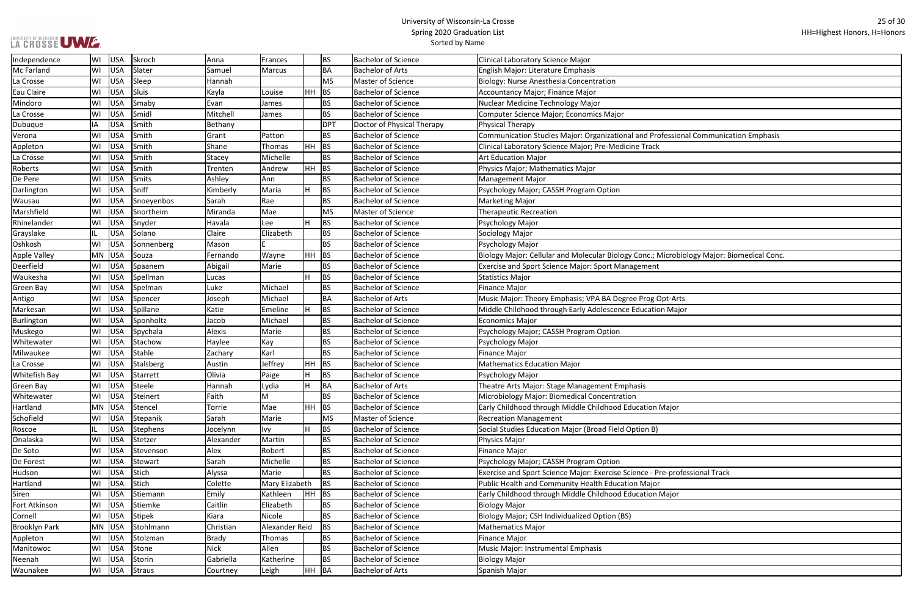Ξ

| sional Communication Emphasis    |
|----------------------------------|
|                                  |
|                                  |
|                                  |
|                                  |
|                                  |
|                                  |
|                                  |
|                                  |
|                                  |
|                                  |
|                                  |
|                                  |
|                                  |
| obiology Major: Biomedical Conc. |
|                                  |
|                                  |
|                                  |
|                                  |
|                                  |
| Arts                             |
| lajor                            |
|                                  |
|                                  |
|                                  |
|                                  |
|                                  |
|                                  |
|                                  |
|                                  |
|                                  |
|                                  |
|                                  |
| or                               |
|                                  |
|                                  |
|                                  |
|                                  |
|                                  |
|                                  |
|                                  |
| rofessional Track                |
|                                  |
|                                  |
| or                               |
|                                  |
|                                  |
|                                  |
|                                  |
|                                  |
|                                  |
|                                  |
|                                  |
|                                  |
|                                  |

| Independence         | WI        | USA        | Skroch     | Anna        | Frances        |       | <b>BS</b> | <b>Bachelor of Science</b> | <b>Clinical Laboratory Science Major</b>                                                 |
|----------------------|-----------|------------|------------|-------------|----------------|-------|-----------|----------------------------|------------------------------------------------------------------------------------------|
| Mc Farland           | WI        | <b>USA</b> | Slater     | Samuel      | Marcus         |       | <b>BA</b> | <b>Bachelor of Arts</b>    | English Major: Literature Emphasis                                                       |
| La Crosse            | WI        | USA        | Sleep      | Hannah      |                |       | MS        | Master of Science          | Biology: Nurse Anesthesia Concentration                                                  |
| Eau Claire           | WI        | <b>USA</b> | Sluis      | Kayla       | Louise         |       | $HH$ BS   | <b>Bachelor of Science</b> | Accountancy Major; Finance Major                                                         |
| Mindoro              | WI        | <b>USA</b> | Smaby      | Evan        | James          |       | <b>BS</b> | <b>Bachelor of Science</b> | Nuclear Medicine Technology Major                                                        |
| La Crosse            | WI        | <b>USA</b> | Smidl      | Mitchell    | James          |       | <b>BS</b> | <b>Bachelor of Science</b> | Computer Science Major; Economics Major                                                  |
| Dubuque              | ΙA        | <b>USA</b> | Smith      | Bethany     |                |       | DPT       | Doctor of Physical Therapy | Physical Therapy                                                                         |
| Verona               | WI        | <b>USA</b> | Smith      | Grant       | Patton         |       | <b>BS</b> | <b>Bachelor of Science</b> | Communication Studies Major: Organizational and Professional Communication Emphasis      |
| Appleton             | WI        | <b>USA</b> | Smith      | Shane       | Thomas         | HH BS |           | <b>Bachelor of Science</b> | Clinical Laboratory Science Major; Pre-Medicine Track                                    |
| La Crosse            | WI        | <b>USA</b> | Smith      | Stacey      | Michelle       |       | <b>BS</b> | <b>Bachelor of Science</b> | <b>Art Education Major</b>                                                               |
| Roberts              | WI        | <b>USA</b> | Smith      | Trenten     | Andrew         |       | $HH$ BS   | <b>Bachelor of Science</b> | Physics Major; Mathematics Major                                                         |
| De Pere              | WI        | <b>USA</b> | Smits      | Ashley      | Ann            |       | <b>BS</b> | <b>Bachelor of Science</b> | <b>Management Major</b>                                                                  |
| Darlington           | WI        | <b>USA</b> | Sniff      | Kimberly    | Maria          |       | <b>BS</b> | <b>Bachelor of Science</b> | Psychology Major; CASSH Program Option                                                   |
| Wausau               | WI        | <b>USA</b> | Snoeyenbos | Sarah       | Rae            |       | <b>BS</b> | <b>Bachelor of Science</b> | <b>Marketing Major</b>                                                                   |
| Marshfield           | WI        | USA        | Snortheim  | Miranda     | Mae            |       | MS        | Master of Science          | <b>Therapeutic Recreation</b>                                                            |
| Rhinelander          | WI        | USA        | Snyder     | Havala      | Lee            |       | BS        | <b>Bachelor of Science</b> | Psychology Major                                                                         |
| Grayslake            |           | <b>USA</b> | Solano     | Claire      | Elizabeth      |       | <b>BS</b> | <b>Bachelor of Science</b> | Sociology Major                                                                          |
| Oshkosh              | WI        | <b>USA</b> | Sonnenberg | Mason       |                |       | <b>BS</b> | <b>Bachelor of Science</b> | Psychology Major                                                                         |
| Apple Valley         | MN        | <b>USA</b> | Souza      | Fernando    | Wayne          |       | $HH$ BS   | <b>Bachelor of Science</b> | Biology Major: Cellular and Molecular Biology Conc.; Microbiology Major: Biomedical Conc |
| Deerfield            | WI        | USA        | Spaanem    | Abigail     | Marie          |       | <b>BS</b> | <b>Bachelor of Science</b> | <b>Exercise and Sport Science Major: Sport Management</b>                                |
| Waukesha             | WI        | <b>USA</b> | Spellman   | Lucas       |                |       | <b>BS</b> | <b>Bachelor of Science</b> | <b>Statistics Major</b>                                                                  |
| Green Bay            | WI        | USA        | Spelman    | Luke        | Michael        |       | <b>BS</b> | <b>Bachelor of Science</b> | <b>Finance Major</b>                                                                     |
| Antigo               | WI        | <b>USA</b> | Spencer    | Joseph      | Michael        |       | <b>BA</b> | <b>Bachelor of Arts</b>    | Music Major: Theory Emphasis; VPA BA Degree Prog Opt-Arts                                |
| Markesan             | WI        | <b>USA</b> | Spillane   | Katie       | Emeline        |       | <b>BS</b> | Bachelor of Science        | Middle Childhood through Early Adolescence Education Major                               |
| Burlington           | WI        | USA        | Sponholtz  | Jacob       | Michael        |       | <b>BS</b> | <b>Bachelor of Science</b> | <b>Economics Major</b>                                                                   |
| Muskego              | WI        | <b>USA</b> | Spychala   | Alexis      | Marie          |       | <b>BS</b> | <b>Bachelor of Science</b> | Psychology Major; CASSH Program Option                                                   |
| Whitewater           | WI        | USA        | Stachow    | Haylee      | Kay            |       | <b>BS</b> | <b>Bachelor of Science</b> | Psychology Major                                                                         |
| Milwaukee            | WI        | <b>USA</b> | Stahle     | Zachary     | Karl           |       | <b>BS</b> | <b>Bachelor of Science</b> | <b>Finance Major</b>                                                                     |
| La Crosse            | WI        | USA        | Stalsberg  | Austin      | Jeffrey        | HH BS |           | <b>Bachelor of Science</b> | <b>Mathematics Education Major</b>                                                       |
| <b>Whitefish Bay</b> | WI        | <b>USA</b> | Starrett   | Olivia      | Paige          |       | <b>BS</b> | <b>Bachelor of Science</b> | Psychology Major                                                                         |
| Green Bay            | WI        | USA        | Steele     | Hannah      | Lydia          | l Li  | BA        | <b>Bachelor of Arts</b>    | Theatre Arts Major: Stage Management Emphasis                                            |
| Whitewater           | WI        | USA        | Steinert   | Faith       | M              |       | <b>BS</b> | <b>Bachelor of Science</b> | Microbiology Major: Biomedical Concentration                                             |
| Hartland             | MN        | <b>USA</b> | Stencel    | Torrie      | Mae            |       | HH BS     | <b>Bachelor of Science</b> | Early Childhood through Middle Childhood Education Major                                 |
| Schofield            | WI        | USA        | Stepanik   | Sarah       | Marie          |       | MS        | Master of Science          | <b>Recreation Management</b>                                                             |
| Roscoe               |           | USA        | Stephens   | Jocelynn    | lvy            |       | BS        | <b>Bachelor of Science</b> | Social Studies Education Major (Broad Field Option B)                                    |
| Onalaska             | WI        | USA        | Stetzer    | Alexander   | Martin         |       | <b>BS</b> | <b>Bachelor of Science</b> | Physics Major                                                                            |
| De Soto              | WI        | USA        | Stevenson  | Alex        | Robert         |       | <b>BS</b> | <b>Bachelor of Science</b> | <b>Finance Major</b>                                                                     |
| De Forest            | WI        | <b>USA</b> | Stewart    | Sarah       | Michelle       |       | <b>BS</b> | <b>Bachelor of Science</b> | Psychology Major; CASSH Program Option                                                   |
| Hudson               | WI        | USA        | Stich      | Alyssa      | Marie          |       | <b>BS</b> | <b>Bachelor of Science</b> | Exercise and Sport Science Major: Exercise Science - Pre-professional Track              |
| Hartland             | WI        | <b>USA</b> | Stich      | Colette     | Mary Elizabeth |       | BS        | <b>Bachelor of Science</b> | Public Health and Community Health Education Major                                       |
| Siren                | WI        | USA        | Stiemann   | Emily       | Kathleen       | HH BS |           | <b>Bachelor of Science</b> | Early Childhood through Middle Childhood Education Major                                 |
| Fort Atkinson        | WI        | USA        | Stiemke    | Caitlin     | Elizabeth      |       | <b>BS</b> | <b>Bachelor of Science</b> | <b>Biology Major</b>                                                                     |
| Cornell              | WI        | <b>USA</b> | Stipek     | Kiara       | Nicole         |       | <b>BS</b> | <b>Bachelor of Science</b> | Biology Major; CSH Individualized Option (BS)                                            |
| <b>Brooklyn Park</b> | <b>MN</b> | <b>USA</b> | Stohlmann  | Christian   | Alexander Reid |       | <b>BS</b> | <b>Bachelor of Science</b> | <b>Mathematics Major</b>                                                                 |
| Appleton             | WI        | <b>USA</b> | Stolzman   | Brady       | Thomas         |       | <b>BS</b> | <b>Bachelor of Science</b> | <b>Finance Major</b>                                                                     |
| Manitowoc            | WI        | USA        | Stone      | <b>Nick</b> | Allen          |       | <b>BS</b> | <b>Bachelor of Science</b> | Music Major: Instrumental Emphasis                                                       |
| Neenah               | WI        | USA        | Storin     | Gabriella   | Katherine      |       | <b>BS</b> | <b>Bachelor of Science</b> | <b>Biology Major</b>                                                                     |
| Waunakee             | WI        | USA        | Straus     | Courtney    | Leigh          |       | HH BA     | <b>Bachelor of Arts</b>    | Spanish Major                                                                            |
|                      |           |            |            |             |                |       |           |                            |                                                                                          |

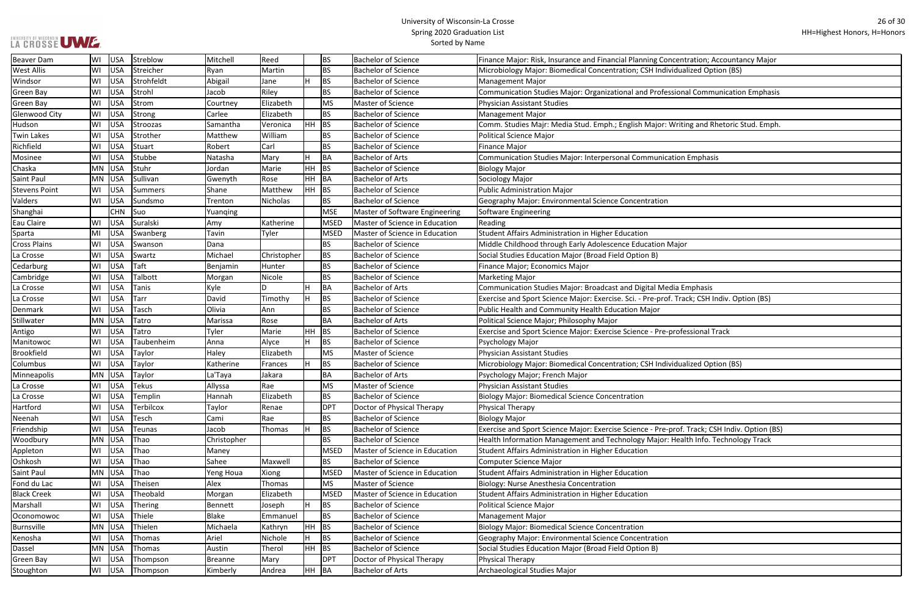|  | LA CROSSE UWE |  |
|--|---------------|--|
|  |               |  |

| centration; Accountancy Major      |
|------------------------------------|
| dualized Option (BS)               |
|                                    |
| ional Communication Emphasis       |
|                                    |
|                                    |
| riting and Rhetoric Stud. Emph.    |
|                                    |
|                                    |
|                                    |
| ion Emphasis                       |
|                                    |
|                                    |
|                                    |
|                                    |
|                                    |
|                                    |
|                                    |
| ajor                               |
|                                    |
|                                    |
|                                    |
|                                    |
| ia Emphasis                        |
| Track; CSH Indiv. Option (BS)      |
|                                    |
|                                    |
| rofessional Track                  |
|                                    |
|                                    |
| dualized Option (BS)               |
|                                    |
|                                    |
|                                    |
|                                    |
|                                    |
| rof. Track; CSH Indiv. Option (BS) |
| lealth Info. Technology Track      |
|                                    |
|                                    |
|                                    |
|                                    |
|                                    |
|                                    |
|                                    |
|                                    |
|                                    |
|                                    |
|                                    |
|                                    |
|                                    |
|                                    |

| Beaver Dam           | WI        | <b>USA</b> | Streblow       | Mitchell       | Reed            |       | <b>BS</b>   | <b>Bachelor of Science</b>     | Finance Major: Risk, Insurance and Financial Planning Concentration; Accountancy Major       |
|----------------------|-----------|------------|----------------|----------------|-----------------|-------|-------------|--------------------------------|----------------------------------------------------------------------------------------------|
| <b>West Allis</b>    | WI        | <b>USA</b> | Streicher      | Ryan           | Martin          |       | <b>BS</b>   | <b>Bachelor of Science</b>     | Microbiology Major: Biomedical Concentration; CSH Individualized Option (BS)                 |
| Windsor              | WI        | <b>USA</b> | Strohfeldt     | Abigail        | Jane            |       | <b>BS</b>   | <b>Bachelor of Science</b>     | Management Major                                                                             |
| <b>Green Bay</b>     | WI        | <b>USA</b> | Strohl         | Jacob          | Riley           |       | BS          | <b>Bachelor of Science</b>     | Communication Studies Major: Organizational and Professional Communication Emphasis          |
| Green Bay            | WI        | <b>USA</b> | Strom          | Courtney       | Elizabeth       |       | <b>MS</b>   | Master of Science              | Physician Assistant Studies                                                                  |
| Glenwood City        | WI        | <b>USA</b> | Strong         | Carlee         | Elizabeth       |       | BS.         | <b>Bachelor of Science</b>     | Management Major                                                                             |
| Hudson               | WI        | <b>USA</b> | Stroozas       | Samantha       | Veronica        | HH.   | <b>BS</b>   | <b>Bachelor of Science</b>     | Comm. Studies Majr: Media Stud. Emph.; English Major: Writing and Rhetoric Stud. Emph.       |
| <b>Twin Lakes</b>    | WI        | <b>USA</b> | Strother       | Matthew        | William         |       | BS          | <b>Bachelor of Science</b>     | Political Science Major                                                                      |
| Richfield            | WI        | <b>USA</b> | Stuart         | Robert         | Carl            |       | <b>BS</b>   | <b>Bachelor of Science</b>     | Finance Major                                                                                |
| Mosinee              | WI        | <b>USA</b> | Stubbe         | Natasha        | Mary            | Iн.   | BA          | <b>Bachelor of Arts</b>        | Communication Studies Major: Interpersonal Communication Emphasis                            |
| Chaska               | <b>MN</b> | USA        | Stuhr          | Jordan         | Marie           | HH    | <b>BS</b>   | <b>Bachelor of Science</b>     | <b>Biology Major</b>                                                                         |
| Saint Paul           | <b>MN</b> | <b>USA</b> | Sullivan       | Gwenyth        | Rose            | HH.   | BA          | <b>Bachelor of Arts</b>        | Sociology Major                                                                              |
| <b>Stevens Point</b> | WI        | <b>USA</b> | <b>Summers</b> | Shane          | Matthew         | HH    | <b>BS</b>   | <b>Bachelor of Science</b>     | Public Administration Major                                                                  |
| Valders              | WI        | <b>USA</b> | Sundsmo        | Trenton        | <b>Nicholas</b> |       | BS.         | <b>Bachelor of Science</b>     | Geography Major: Environmental Science Concentration                                         |
| Shanghai             |           | <b>CHN</b> | Suo            | Yuanqing       |                 |       | <b>MSE</b>  | Master of Software Engineering | Software Engineering                                                                         |
| Eau Claire           | WI        | <b>USA</b> | Suralski       | Amy            | Katherine       |       | <b>MSED</b> | Master of Science in Education | Reading                                                                                      |
| Sparta               | MI        | <b>USA</b> | Swanberg       | Tavin          | Tyler           |       | <b>MSED</b> | Master of Science in Education | Student Affairs Administration in Higher Education                                           |
| <b>Cross Plains</b>  | WI        | <b>USA</b> | Swanson        | Dana           |                 |       | BS          | <b>Bachelor of Science</b>     | Middle Childhood through Early Adolescence Education Major                                   |
| La Crosse            | WI        | <b>USA</b> | Swartz         | Michael        | Christopher     |       | <b>BS</b>   | <b>Bachelor of Science</b>     | Social Studies Education Major (Broad Field Option B)                                        |
| Cedarburg            | WI        | <b>USA</b> | Taft           | Benjamin       | Hunter          |       | <b>BS</b>   | <b>Bachelor of Science</b>     | Finance Major; Economics Major                                                               |
| Cambridge            | WI        | <b>USA</b> | Talbott        | Morgan         | Nicole          |       | <b>BS</b>   | <b>Bachelor of Science</b>     | Marketing Major                                                                              |
| La Crosse            | WI        | <b>USA</b> | Tanis          | Kyle           | D               |       | BA          | <b>Bachelor of Arts</b>        | Communication Studies Major: Broadcast and Digital Media Emphasis                            |
| La Crosse            | WI        | <b>USA</b> | <b>Tarr</b>    | David          | Timothy         |       | <b>BS</b>   | <b>Bachelor of Science</b>     | Exercise and Sport Science Major: Exercise. Sci. - Pre-prof. Track; CSH Indiv. Option (BS)   |
| Denmark              | WI        | <b>USA</b> | Tasch          | Olivia         | Ann             |       | <b>BS</b>   | <b>Bachelor of Science</b>     | Public Health and Community Health Education Major                                           |
| Stillwater           | MN        | <b>USA</b> | Tatro          | Marissa        | Rose            |       | BA          | <b>Bachelor of Arts</b>        | Political Science Major; Philosophy Major                                                    |
| Antigo               | WI        | <b>USA</b> | Tatro          | Tyler          | Marie           | HH.   | <b>BS</b>   | <b>Bachelor of Science</b>     | Exercise and Sport Science Major: Exercise Science - Pre-professional Track                  |
| Manitowoc            | WI        | <b>USA</b> | Taubenheim     | Anna           | Alyce           |       | BS          | <b>Bachelor of Science</b>     | Psychology Major                                                                             |
| <b>Brookfield</b>    | WI        | <b>USA</b> | Taylor         | Haley          | Elizabeth       |       | <b>MS</b>   | Master of Science              | Physician Assistant Studies                                                                  |
| Columbus             | WI        | <b>USA</b> | Taylor         | Katherine      | Frances         |       | <b>BS</b>   | <b>Bachelor of Science</b>     | Microbiology Major: Biomedical Concentration; CSH Individualized Option (BS)                 |
| Minneapolis          | <b>MN</b> | USA        | Taylor         | La'Taya        | Jakara          |       | BA          | <b>Bachelor of Arts</b>        | Psychology Major; French Major                                                               |
| La Crosse            | WI        | USA        | Tekus          | Allyssa        | Rae             |       | <b>MS</b>   | <b>Master of Science</b>       | <b>Physician Assistant Studies</b>                                                           |
| La Crosse            | WI        | <b>USA</b> | Templin        | Hannah         | Elizabeth       |       | BS.         | <b>Bachelor of Science</b>     | Biology Major: Biomedical Science Concentration                                              |
| Hartford             | WI        | <b>USA</b> | Terbilcox      | Taylor         | Renae           |       | <b>DPT</b>  | Doctor of Physical Therapy     | Physical Therapy                                                                             |
| Neenah               | WI        | <b>USA</b> | Tesch          | Cami           | Rae             |       | BS.         | <b>Bachelor of Science</b>     | <b>Biology Major</b>                                                                         |
| Friendship           | WI        | <b>USA</b> | Teunas         | Jacob          | Thomas          |       | BS.         | <b>Bachelor of Science</b>     | Exercise and Sport Science Major: Exercise Science - Pre-prof. Track; CSH Indiv. Option (BS) |
| Woodbury             | <b>MN</b> | <b>USA</b> | Thao           | Christopher    |                 |       | <b>BS</b>   | <b>Bachelor of Science</b>     | Health Information Management and Technology Major: Health Info. Technology Track            |
| Appleton             | WI        | <b>USA</b> | Thao           | Maney          |                 |       | <b>MSED</b> | Master of Science in Education | Student Affairs Administration in Higher Education                                           |
| Oshkosh              | WI        | <b>USA</b> | Thao           | Sahee          | Maxwell         |       | BS          | <b>Bachelor of Science</b>     | Computer Science Major                                                                       |
| Saint Paul           | MN        | <b>USA</b> | Thao           | Yeng Houa      | Xiong           |       | <b>MSED</b> | Master of Science in Education | Student Affairs Administration in Higher Education                                           |
| Fond du Lac          | WI        | <b>USA</b> | Theisen        | Alex           | Thomas          |       | MS          | Master of Science              | Biology: Nurse Anesthesia Concentration                                                      |
| <b>Black Creek</b>   | WI        | <b>USA</b> | Theobald       | Morgan         | Elizabeth       |       | <b>MSED</b> | Master of Science in Education | Student Affairs Administration in Higher Education                                           |
| Marshall             | WI        | <b>USA</b> | <b>Thering</b> | Bennett        | Joseph          |       | BS          | <b>Bachelor of Science</b>     | Political Science Major                                                                      |
| Oconomowoc           | WI        | <b>USA</b> | Thiele         | <b>Blake</b>   | Emmanuel        |       | BS.         | <b>Bachelor of Science</b>     | Management Major                                                                             |
| Burnsville           | MN        | <b>USA</b> | Thielen        | Michaela       | Kathryn         | HH.   | <b>BS</b>   | <b>Bachelor of Science</b>     | Biology Major: Biomedical Science Concentration                                              |
| Kenosha              | WI        | <b>USA</b> | Thomas         | Ariel          | Nichole         |       | <b>BS</b>   | <b>Bachelor of Science</b>     | Geography Major: Environmental Science Concentration                                         |
| Dassel               | MN        | <b>USA</b> | Thomas         | Austin         | Therol          | HH    | <b>BS</b>   | <b>Bachelor of Science</b>     | Social Studies Education Major (Broad Field Option B)                                        |
| Green Bay            | WI        | <b>USA</b> | Thompson       | <b>Breanne</b> | Mary            |       | <b>DPT</b>  | Doctor of Physical Therapy     | Physical Therapy                                                                             |
| Stoughton            | WI        | <b>USA</b> | Thompson       | Kimberly       | Andrea          | HH BA |             | Bachelor of Arts               | Archaeological Studies Major                                                                 |
|                      |           |            |                |                |                 |       |             |                                |                                                                                              |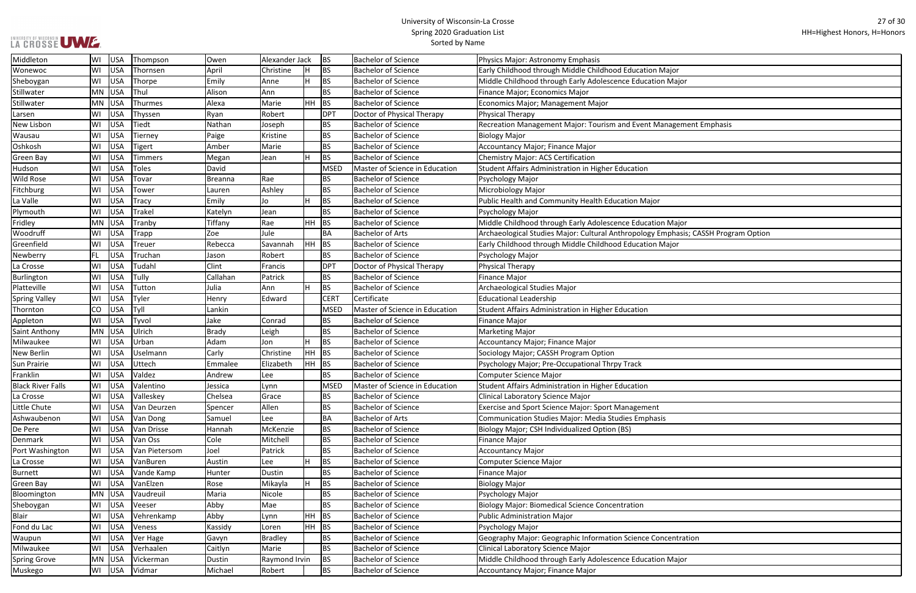| LA CROSSE UWE |  |
|---------------|--|

| эr                          |
|-----------------------------|
| $a$ jor                     |
|                             |
|                             |
|                             |
|                             |
| gement Emphasis             |
|                             |
|                             |
|                             |
|                             |
|                             |
|                             |
|                             |
|                             |
|                             |
| lajor                       |
| nasis; CASSH Program Option |
| or                          |
|                             |
|                             |
|                             |
|                             |
|                             |
|                             |
|                             |
|                             |
|                             |
|                             |
|                             |
|                             |
|                             |
|                             |
|                             |
|                             |
|                             |
|                             |
|                             |
|                             |
|                             |
|                             |
|                             |
|                             |
|                             |
|                             |
|                             |
|                             |
|                             |
| ntration                    |
|                             |
| lajor                       |
|                             |
|                             |

| Middleton                | WI        | USA        | Thompson       | Owen           | Alexander Jack |              | <b>BS</b>   | Bachelor of Science            | Physics Major: Astronomy Emphasis                                                  |
|--------------------------|-----------|------------|----------------|----------------|----------------|--------------|-------------|--------------------------------|------------------------------------------------------------------------------------|
| Wonewoc                  | WI        | USA        | Thornsen       | April          | Christine      | <sup>H</sup> | BS          | Bachelor of Science            | Early Childhood through Middle Childhood Education Major                           |
| Sheboygan                | WI        | USA        | Thorpe         | Emily          | Anne           | Iн           | <b>BS</b>   | <b>Bachelor of Science</b>     | Middle Childhood through Early Adolescence Education Major                         |
| Stillwater               | MN        | USA        | Thul           | Alison         | Ann            |              | <b>BS</b>   | <b>Bachelor of Science</b>     | Finance Major; Economics Major                                                     |
| Stillwater               | MN        | USA        | Thurmes        | Alexa          | Marie          | <b>HH</b>    | <b>BS</b>   | <b>Bachelor of Science</b>     | Economics Major; Management Major                                                  |
| Larsen                   | WI        | USA        | Thyssen        | Ryan           | Robert         |              | <b>DPT</b>  | Doctor of Physical Therapy     | Physical Therapy                                                                   |
| New Lisbon               | WI        | USA        | Tiedt          | Nathan         | Joseph         |              | BS          | <b>Bachelor of Science</b>     | Recreation Management Major: Tourism and Event Management Emphasis                 |
| Wausau                   | WI        | USA        | Tierney        | Paige          | Kristine       |              | BS          | <b>Bachelor of Science</b>     | <b>Biology Major</b>                                                               |
| Oshkosh                  | WI        | USA        | <b>Tigert</b>  | Amber          | Marie          |              | <b>BS</b>   | <b>Bachelor of Science</b>     | Accountancy Major; Finance Major                                                   |
| Green Bay                | WI        | USA        | <b>Timmers</b> | Megan          | Jean           | H            | <b>BS</b>   | <b>Bachelor of Science</b>     | <b>Chemistry Major: ACS Certification</b>                                          |
| Hudson                   | WI        | USA        | Toles          | David          |                |              | <b>MSED</b> | Master of Science in Education | Student Affairs Administration in Higher Education                                 |
| <b>Wild Rose</b>         | WI        | <b>USA</b> | Tovar          | <b>Breanna</b> | Rae            |              | BS          | <b>Bachelor of Science</b>     | Psychology Major                                                                   |
| Fitchburg                | WI        | USA        | Tower          | Lauren         | Ashley         |              | <b>BS</b>   | <b>Bachelor of Science</b>     | Microbiology Major                                                                 |
| La Valle                 | WI        | USA        | <b>Tracy</b>   | Emily          | Jo             | Iн           | <b>BS</b>   | Bachelor of Science            | Public Health and Community Health Education Major                                 |
| Plymouth                 | WI        | USA        | <b>Trakel</b>  | Katelyn        | Jean           |              | <b>BS</b>   | <b>Bachelor of Science</b>     | Psychology Major                                                                   |
| Fridley                  | MN        | USA        | Tranby         | Tiffany        | Rae            | HH           | <b>BS</b>   | <b>Bachelor of Science</b>     | Middle Childhood through Early Adolescence Education Major                         |
| Woodruff                 | WI        | <b>USA</b> | <b>Trapp</b>   | Zoe            | Jule           |              | BA          | <b>Bachelor of Arts</b>        | Archaeological Studies Major: Cultural Anthropology Emphasis; CASSH Program Optior |
| Greenfield               | WI        | USA        | <b>Treuer</b>  | Rebecca        | Savannah       | HH           | BS          | Bachelor of Science            | Early Childhood through Middle Childhood Education Major                           |
| Newberry                 | <b>FL</b> | <b>USA</b> | Truchan        | Jason          | Robert         |              | BS          | <b>Bachelor of Science</b>     | Psychology Major                                                                   |
| La Crosse                | WI        | USA        | Tudahl         | Clint          | Francis        |              | <b>DPT</b>  | Doctor of Physical Therapy     | Physical Therapy                                                                   |
| Burlington               | WI        | USA        | Tully          | Callahan       | Patrick        |              | <b>BS</b>   | Bachelor of Science            | <b>Finance Major</b>                                                               |
| Platteville              | WI        | <b>USA</b> | Tutton         | Julia          | Ann            | İΗ           | <b>BS</b>   | <b>Bachelor of Science</b>     | Archaeological Studies Major                                                       |
| <b>Spring Valley</b>     | WI        | USA        | Tyler          | Henry          | Edward         |              | <b>CERT</b> | Certificate                    | <b>Educational Leadership</b>                                                      |
| Thornton                 | CO        | USA        | Tyll           | Lankin         |                |              | <b>MSED</b> | Master of Science in Education | Student Affairs Administration in Higher Education                                 |
| Appleton                 | WI        | USA        | Tyvol          | Jake           | Conrad         |              | BS          | <b>Bachelor of Science</b>     | <b>Finance Major</b>                                                               |
| Saint Anthony            | MN        | USA        | Ulrich         | <b>Brady</b>   | Leigh          |              | <b>BS</b>   | <b>Bachelor of Science</b>     | <b>Marketing Major</b>                                                             |
| Milwaukee                | WI        | USA        | Urban          | Adam           | Jon            | H            | <b>BS</b>   | <b>Bachelor of Science</b>     | Accountancy Major; Finance Major                                                   |
| New Berlin               | WI        | USA        | Uselmann       | Carly          | Christine      | <b>HH</b>    | <b>BS</b>   | <b>Bachelor of Science</b>     | Sociology Major; CASSH Program Option                                              |
| Sun Prairie              | WI        | USA        | Uttech         | Emmalee        | Elizabeth      | HH           | <b>BS</b>   | <b>Bachelor of Science</b>     | Psychology Major; Pre-Occupational Thrpy Track                                     |
| Franklin                 | WI        | USA        | Valdez         | Andrew         | Lee            |              | BS          | <b>Bachelor of Science</b>     | <b>Computer Science Major</b>                                                      |
| <b>Black River Falls</b> | WI        | USA        | Valentino      | Jessica        | Lynn           |              | <b>MSED</b> | Master of Science in Education | Student Affairs Administration in Higher Education                                 |
| La Crosse                | WI        | USA        | Valleskey      | Chelsea        | Grace          |              | BS          | <b>Bachelor of Science</b>     | <b>Clinical Laboratory Science Major</b>                                           |
| Little Chute             | WI        | USA        | Van Deurzen    | Spencer        | Allen          |              | <b>BS</b>   | Bachelor of Science            | Exercise and Sport Science Major: Sport Management                                 |
| Ashwaubenon              | WI        | USA        | Van Dong       | Samuel         | Lee            |              | BA          | Bachelor of Arts               | Communication Studies Major: Media Studies Emphasis                                |
| De Pere                  | WI        | USA        | Van Drisse     | Hannah         | McKenzie       |              | BS          | <b>Bachelor of Science</b>     | Biology Major; CSH Individualized Option (BS)                                      |
| Denmark                  | WI        | USA        | Van Oss        | Cole           | Mitchell       |              | BS          | <b>Bachelor of Science</b>     | Finance Major                                                                      |
| Port Washington          | WI        | USA        | Van Pietersom  | Joel           | Patrick        |              | <b>BS</b>   | <b>Bachelor of Science</b>     | Accountancy Major                                                                  |
| La Crosse                | WI        | USA        | VanBuren       | Austin         | Lee            | Iн           | <b>BS</b>   | <b>Bachelor of Science</b>     | Computer Science Major                                                             |
| <b>Burnett</b>           | WI        | USA        | Vande Kamp     | Hunter         | Dustin         |              | <b>BS</b>   | <b>Bachelor of Science</b>     | <b>Finance Major</b>                                                               |
| Green Bay                | WI        | USA        | VanElzen       | Rose           | Mikayla        | H.           | <b>BS</b>   | Bachelor of Science            | <b>Biology Major</b>                                                               |
| Bloomington              | MN        | USA        | Vaudreuil      | Maria          | Nicole         |              | <b>BS</b>   | <b>Bachelor of Science</b>     | Psychology Major                                                                   |
| Sheboygan                | WI        | USA        | Veeser         | Abby           | Mae            |              | <b>BS</b>   | <b>Bachelor of Science</b>     | Biology Major: Biomedical Science Concentration                                    |
| <b>Blair</b>             | WI        | USA        | Vehrenkamp     | Abby           | Lynn           | HH           | <b>BS</b>   | <b>Bachelor of Science</b>     | Public Administration Major                                                        |
| Fond du Lac              | WI        | USA        | Veness         | Kassidy        | Loren          | <b>HH</b>    | <b>BS</b>   | <b>Bachelor of Science</b>     | Psychology Major                                                                   |
| Waupun                   | WI        | USA        | Ver Hage       | Gavyn          | <b>Bradley</b> |              | BS          | <b>Bachelor of Science</b>     | Geography Major: Geographic Information Science Concentration                      |
| Milwaukee                | WI        | USA        | Verhaalen      | Caitlyn        | Marie          |              | <b>BS</b>   | <b>Bachelor of Science</b>     | Clinical Laboratory Science Major                                                  |
| <b>Spring Grove</b>      | MN        | USA        | Vickerman      | Dustin         | Raymond Irvin  |              | <b>BS</b>   | <b>Bachelor of Science</b>     | Middle Childhood through Early Adolescence Education Major                         |
| Muskego                  | WI        | USA        | Vidmar         | Michael        | Robert         |              | BS          | Bachelor of Science            | Accountancy Major; Finance Major                                                   |
|                          |           |            |                |                |                |              |             |                                |                                                                                    |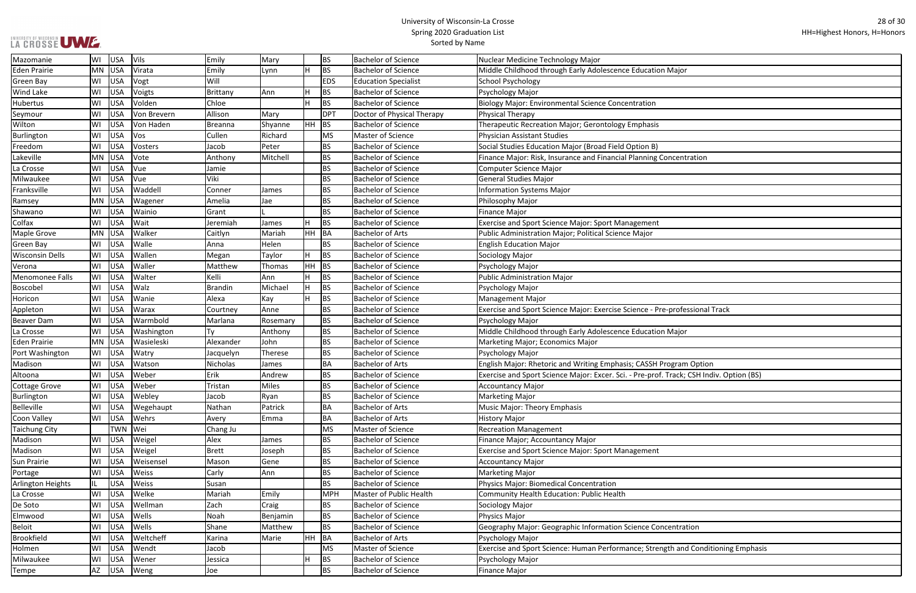| ajor                        |
|-----------------------------|
|                             |
|                             |
|                             |
|                             |
|                             |
|                             |
|                             |
| centration                  |
|                             |
|                             |
|                             |
|                             |
|                             |
|                             |
|                             |
|                             |
|                             |
|                             |
|                             |
|                             |
|                             |
|                             |
| rofessional Track           |
|                             |
| ajor                        |
|                             |
|                             |
| ram Option                  |
| ack; CSH Indiv. Option (BS) |
|                             |
|                             |
|                             |
|                             |
|                             |
|                             |
|                             |
|                             |
|                             |
|                             |
|                             |
|                             |
|                             |
|                             |
| ntration                    |
|                             |
|                             |
| and Conditioning Emphasis   |
|                             |
|                             |

| Mazomanie              | WI  | USA        | <b>Vils</b>  | Emily          | Mary     |     | <b>BS</b>  | <b>Bachelor of Science</b>  | Nuclear Medicine Technology Major                                                       |
|------------------------|-----|------------|--------------|----------------|----------|-----|------------|-----------------------------|-----------------------------------------------------------------------------------------|
| <b>Eden Prairie</b>    | MN  | USA        | Virata       | Emily          | Lynn     |     | <b>BS</b>  | <b>Bachelor of Science</b>  | Middle Childhood through Early Adolescence Education Major                              |
| <b>Green Bay</b>       | WI  | USA        | Vogt         | Will           |          |     | <b>EDS</b> | <b>Education Specialist</b> | <b>School Psychology</b>                                                                |
| <b>Wind Lake</b>       | WI  | USA        | Voigts       | Brittany       | Ann      |     | <b>BS</b>  | <b>Bachelor of Science</b>  | Psychology Major                                                                        |
| <b>Hubertus</b>        | W١  | USA        | Volden       | Chloe          |          |     | <b>BS</b>  | <b>Bachelor of Science</b>  | <b>Biology Major: Environmental Science Concentration</b>                               |
| Seymour                | WI  | USA        | Von Brevern  | Allison        | Mary     |     | <b>DPT</b> | Doctor of Physical Therapy  | <b>Physical Therapy</b>                                                                 |
| Wilton                 | WI  | USA        | Von Haden    | Breanna        | Shyanne  | HH  | BS         | Bachelor of Science         | Therapeutic Recreation Major; Gerontology Emphasis                                      |
| Burlington             | WI  | USA        | Vos          | Cullen         | Richard  |     | <b>MS</b>  | Master of Science           | <b>Physician Assistant Studies</b>                                                      |
| Freedom                | WI  | USA        | Vosters      | Jacob          | Peter    |     | <b>BS</b>  | <b>Bachelor of Science</b>  | Social Studies Education Major (Broad Field Option B)                                   |
| Lakeville              | MN  | USA        | Vote         | Anthony        | Mitchell |     | <b>BS</b>  | <b>Bachelor of Science</b>  | Finance Major: Risk, Insurance and Financial Planning Concentration                     |
| La Crosse              | WI  | USA        | Vue          | Jamie          |          |     | <b>BS</b>  | <b>Bachelor of Science</b>  | Computer Science Major                                                                  |
| Milwaukee              | WI  | USA        | Vue          | Viki           |          |     | <b>BS</b>  | <b>Bachelor of Science</b>  | <b>General Studies Major</b>                                                            |
| Franksville            | WI  | USA        | Waddell      | Conner         | James    |     | <b>BS</b>  | Bachelor of Science         | <b>Information Systems Major</b>                                                        |
| Ramsey                 | MN  | USA        | Wagener      | Amelia         | Jae      |     | <b>BS</b>  | <b>Bachelor of Science</b>  | Philosophy Major                                                                        |
| Shawano                | WI  | <b>USA</b> | Wainio       | Grant          |          |     | <b>BS</b>  | <b>Bachelor of Science</b>  | <b>Finance Major</b>                                                                    |
| Colfax                 | WI  | USA        | Wait         | Jeremiah       | James    |     | <b>BS</b>  | Bachelor of Science         | <b>Exercise and Sport Science Major: Sport Management</b>                               |
| Maple Grove            | MN  | USA        | Walker       | Caitlyn        | Mariah   | ∣нн | BA         | <b>Bachelor of Arts</b>     | Public Administration Major; Political Science Major                                    |
| <b>Green Bay</b>       | WI  | USA        | Walle        | Anna           | Helen    |     | <b>BS</b>  | <b>Bachelor of Science</b>  | <b>English Education Major</b>                                                          |
| <b>Wisconsin Dells</b> | WI  | USA        | Wallen       | Megan          | Taylor   |     | <b>BS</b>  | <b>Bachelor of Science</b>  | Sociology Major                                                                         |
| Verona                 | WI  | USA        | Waller       | Matthew        | Thomas   | HH  | <b>BS</b>  | Bachelor of Science         | Psychology Major                                                                        |
| Menomonee Falls        | WI  | USA        | Walter       | Kelli          | Ann      |     | <b>BS</b>  | <b>Bachelor of Science</b>  | <b>Public Administration Major</b>                                                      |
| Boscobel               | WI  | USA        | Walz         | <b>Brandin</b> | Michael  | H   | <b>BS</b>  | <b>Bachelor of Science</b>  | Psychology Major                                                                        |
| Horicon                | WI  | USA        | Wanie        | Alexa          | Kay      |     | <b>BS</b>  | <b>Bachelor of Science</b>  | Management Major                                                                        |
| Appleton               | WI  | USA        | Warax        | Courtney       | Anne     |     | <b>BS</b>  | <b>Bachelor of Science</b>  | Exercise and Sport Science Major: Exercise Science - Pre-professional Track             |
| <b>Beaver Dam</b>      | WI  | USA        | Warmbold     | Marlana        | Rosemary |     | <b>BS</b>  | Bachelor of Science         | Psychology Major                                                                        |
| La Crosse              | WI  | USA        | Washington   | Ty             | Anthony  |     | <b>BS</b>  | <b>Bachelor of Science</b>  | Middle Childhood through Early Adolescence Education Major                              |
| <b>Eden Prairie</b>    | MN  | USA        | Wasieleski   | Alexander      | John     |     | <b>BS</b>  | <b>Bachelor of Science</b>  | Marketing Major; Economics Major                                                        |
| Port Washington        | WI  | USA        | Watry        | Jacquelyn      | Therese  |     | <b>BS</b>  | <b>Bachelor of Science</b>  | Psychology Major                                                                        |
| Madison                | WI  | USA        | Watson       | Nicholas       | James    |     | <b>BA</b>  | <b>Bachelor of Arts</b>     | English Major: Rhetoric and Writing Emphasis; CASSH Program Option                      |
| Altoona                | WI  | USA        | Weber        | Erik           | Andrew   |     | <b>BS</b>  | <b>Bachelor of Science</b>  | Exercise and Sport Science Major: Excer. Sci. - Pre-prof. Track; CSH Indiv. Option (BS) |
| Cottage Grove          | WI  |            | USA Weber    | Tristan        | Miles    |     | <b>BS</b>  | <b>Bachelor of Science</b>  | <b>Accountancy Major</b>                                                                |
| Burlington             | WI  | <b>USA</b> | Webley       | Jacob          | Ryan     |     | <b>BS</b>  | Bachelor of Science         | <b>Marketing Major</b>                                                                  |
| <b>Belleville</b>      | WI  | <b>USA</b> | Wegehaupt    | Nathan         | Patrick  |     | <b>BA</b>  | Bachelor of Arts            | <b>Music Major: Theory Emphasis</b>                                                     |
| <b>Coon Valley</b>     | WI  | USA        | Wehrs        | Avery          | Emma     |     | <b>BA</b>  | <b>Bachelor of Arts</b>     | <b>History Major</b>                                                                    |
| <b>Taichung City</b>   |     | TWN   Wei  |              | Chang Ju       |          |     | <b>MS</b>  | Master of Science           | <b>Recreation Management</b>                                                            |
| Madison                | WI  | <b>USA</b> | Weigel       | Alex           | James    |     | <b>BS</b>  | <b>Bachelor of Science</b>  | Finance Major; Accountancy Major                                                        |
| Madison                | WI  | USA        | Weigel       | <b>Brett</b>   | Joseph   |     | <b>BS</b>  | <b>Bachelor of Science</b>  | Exercise and Sport Science Major: Sport Management                                      |
| <b>Sun Prairie</b>     | WI  | USA        | Weisensel    | Mason          | Gene     |     | <b>BS</b>  | <b>Bachelor of Science</b>  | <b>Accountancy Major</b>                                                                |
| Portage                | WI  | USA        | <b>Weiss</b> | Carly          | Ann      |     | <b>BS</b>  | <b>Bachelor of Science</b>  | <b>Marketing Major</b>                                                                  |
| Arlington Heights      | IL. | USA        | Weiss        | Susan          |          |     | <b>BS</b>  | <b>Bachelor of Science</b>  | <b>Physics Major: Biomedical Concentration</b>                                          |
| La Crosse              | WI  | USA        | Welke        | Mariah         | Emily    |     | <b>MPH</b> | Master of Public Health     | <b>Community Health Education: Public Health</b>                                        |
| De Soto                | WI  | USA        | Wellman      | Zach           | Craig    |     | <b>BS</b>  | <b>Bachelor of Science</b>  | Sociology Major                                                                         |
| Elmwood                | WI  | USA        | Wells        | Noah           | Benjamin |     | <b>BS</b>  | <b>Bachelor of Science</b>  | <b>Physics Major</b>                                                                    |
| <b>Beloit</b>          | WI  | USA        | Wells        | Shane          | Matthew  |     | <b>BS</b>  | <b>Bachelor of Science</b>  | Geography Major: Geographic Information Science Concentration                           |
| Brookfield             | WI  | USA        | Weltcheff    | Karina         | Marie    | HH  | BA         | <b>Bachelor of Arts</b>     | Psychology Major                                                                        |
| Holmen                 | WI  | USA        | Wendt        | Jacob          |          |     | <b>MS</b>  | Master of Science           | Exercise and Sport Science: Human Performance; Strength and Conditioning Emphasis       |
| Milwaukee              | WI  | USA        | Wener        | Jessica        |          |     | <b>BS</b>  | <b>Bachelor of Science</b>  | Psychology Major                                                                        |
| Tempe                  | AZ  | USA        | Weng         | Joe            |          |     | <b>BS</b>  | <b>Bachelor of Science</b>  | <b>Finance Major</b>                                                                    |
|                        |     |            |              |                |          |     |            |                             |                                                                                         |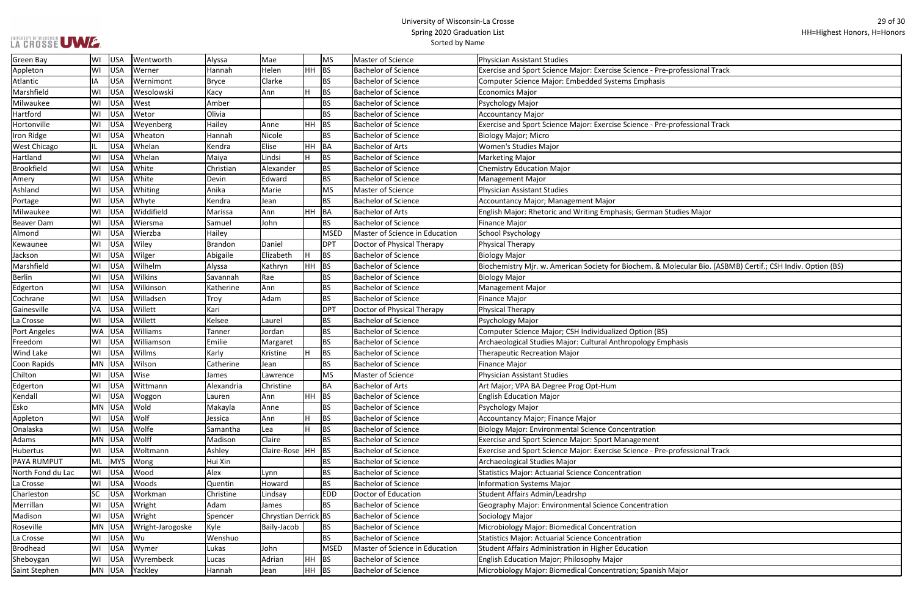| LA CROSSE UWE |  |
|---------------|--|

| rofessional Track                                    |
|------------------------------------------------------|
|                                                      |
|                                                      |
|                                                      |
| rofessional Track                                    |
|                                                      |
|                                                      |
|                                                      |
|                                                      |
|                                                      |
| udies Major                                          |
|                                                      |
|                                                      |
|                                                      |
| lecular Bio. (ASBMB) Certif.; CSH Indiv. Option (BS) |
|                                                      |
|                                                      |
|                                                      |
|                                                      |
| hasis                                                |
|                                                      |
|                                                      |
|                                                      |
|                                                      |
|                                                      |
|                                                      |
|                                                      |
| rofessional Track                                    |
|                                                      |
|                                                      |
|                                                      |
|                                                      |
|                                                      |
|                                                      |
|                                                      |
| lajor                                                |

| <b>Green Bay</b>    | WI        | USA        | Wentworth        | Alyssa         | Mae                  |         | MS         | Master of Science              | Physician Assistant Studies                                                                                 |
|---------------------|-----------|------------|------------------|----------------|----------------------|---------|------------|--------------------------------|-------------------------------------------------------------------------------------------------------------|
| Appleton            | WI        | USA        | Werner           | Hannah         | Helen                | $HH$ BS |            | <b>Bachelor of Science</b>     | Exercise and Sport Science Major: Exercise Science - Pre-professional Track                                 |
| Atlantic            | ΙA        | USA        | Wernimont        | <b>Bryce</b>   | Clarke               |         | <b>BS</b>  | <b>Bachelor of Science</b>     | Computer Science Major: Embedded Systems Emphasis                                                           |
| Marshfield          | WI        | USA        | Wesolowski       | Kacy           | Ann                  |         | <b>BS</b>  | <b>Bachelor of Science</b>     | <b>Economics Major</b>                                                                                      |
| Milwaukee           | WI        | USA        | West             | Amber          |                      |         | <b>BS</b>  | <b>Bachelor of Science</b>     | Psychology Major                                                                                            |
| Hartford            | WI        | USA        | Wetor            | Olivia         |                      |         | <b>BS</b>  | <b>Bachelor of Science</b>     | <b>Accountancy Major</b>                                                                                    |
| Hortonville         | WI        | USA        | Weyenberg        | Hailey         | Anne                 | $HH$ BS |            | <b>Bachelor of Science</b>     | Exercise and Sport Science Major: Exercise Science - Pre-professional Track                                 |
| Iron Ridge          | WI        | USA        | Wheaton          | Hannah         | Nicole               |         | <b>BS</b>  | <b>Bachelor of Science</b>     | <b>Biology Major; Micro</b>                                                                                 |
| <b>West Chicago</b> |           | USA        | Whelan           | Kendra         | Elise                | HH BA   |            | <b>Bachelor of Arts</b>        | Women's Studies Major                                                                                       |
| Hartland            | WI        | USA        | Whelan           | Maiya          | Lindsi               |         | <b>BS</b>  | <b>Bachelor of Science</b>     | <b>Marketing Major</b>                                                                                      |
| <b>Brookfield</b>   | WI        | USA        | White            | Christian      | Alexander            |         | <b>BS</b>  | <b>Bachelor of Science</b>     | <b>Chemistry Education Major</b>                                                                            |
| Amery               | WI        | USA        | White            | Devin          | Edward               |         | <b>BS</b>  | <b>Bachelor of Science</b>     | <b>Management Major</b>                                                                                     |
| Ashland             | WI        | <b>USA</b> | Whiting          | Anika          | Marie                |         | MS         | Master of Science              | <b>Physician Assistant Studies</b>                                                                          |
| Portage             | WI        | USA        | Whyte            | Kendra         | Jean                 |         | <b>BS</b>  | <b>Bachelor of Science</b>     | Accountancy Major; Management Major                                                                         |
| Milwaukee           | WI        | USA        | Widdifield       | Marissa        | Ann                  | HH BA   |            | <b>Bachelor of Arts</b>        | English Major: Rhetoric and Writing Emphasis; German Studies Major                                          |
| <b>Beaver Dam</b>   | WI        | USA        | Wiersma          | Samuel         | John                 |         | <b>BS</b>  | <b>Bachelor of Science</b>     | <b>Finance Major</b>                                                                                        |
| Almond              | WI        | USA        | Wierzba          | Hailey         |                      |         | MSED       | Master of Science in Education | School Psychology                                                                                           |
| Kewaunee            | WI        | USA        | Wiley            | <b>Brandon</b> | Daniel               |         | <b>DPT</b> | Doctor of Physical Therapy     | Physical Therapy                                                                                            |
| Jackson             | WI        | USA        | Wilger           | Abigaile       | Elizabeth            |         | <b>BS</b>  | <b>Bachelor of Science</b>     | Biology Major                                                                                               |
| Marshfield          | WI        | USA        | Wilhelm          | Alyssa         | Kathryn              | HH BS   |            | <b>Bachelor of Science</b>     | Biochemistry Mjr. w. American Society for Biochem. & Molecular Bio. (ASBMB) Certif.; CSH Indiv. Option (BS) |
| <b>Berlin</b>       | WI        | USA        | <b>Wilkins</b>   | Savannah       | Rae                  |         | <b>BS</b>  | <b>Bachelor of Science</b>     | <b>Biology Major</b>                                                                                        |
| Edgerton            | WI        | USA        | Wilkinson        | Katherine      | Ann                  |         | <b>BS</b>  | <b>Bachelor of Science</b>     | <b>Management Major</b>                                                                                     |
| Cochrane            | WI        | USA        | Willadsen        | Troy           | Adam                 |         | <b>BS</b>  | <b>Bachelor of Science</b>     | <b>Finance Major</b>                                                                                        |
| Gainesville         | VA        | USA        | Willett          | Kari           |                      |         | DPT        | Doctor of Physical Therapy     | <b>Physical Therapy</b>                                                                                     |
| La Crosse           | WI        | USA        | Willett          | Kelsee         | Laurel               |         | <b>BS</b>  | <b>Bachelor of Science</b>     | Psychology Major                                                                                            |
| Port Angeles        |           | WA USA     | Williams         | Tanner         | Jordan               |         | <b>BS</b>  | <b>Bachelor of Science</b>     | Computer Science Major; CSH Individualized Option (BS)                                                      |
| Freedom             | WI        | USA        | Williamson       | Emilie         | Margaret             |         | <b>BS</b>  | <b>Bachelor of Science</b>     | Archaeological Studies Major: Cultural Anthropology Emphasis                                                |
| Wind Lake           | WI        | USA        | Willms           | Karly          | Kristine             |         | <b>BS</b>  | <b>Bachelor of Science</b>     | <b>Therapeutic Recreation Major</b>                                                                         |
| Coon Rapids         | MN USA    |            | Wilson           | Catherine      | Jean                 |         | <b>BS</b>  | <b>Bachelor of Science</b>     | Finance Major                                                                                               |
| Chilton             | WI        | USA        | Wise             | James          | Lawrence             |         | MS         | Master of Science              | <b>Physician Assistant Studies</b>                                                                          |
| Edgerton            | WI        | USA        | Wittmann         | Alexandria     | Christine            |         | <b>BA</b>  | <b>Bachelor of Arts</b>        | Art Major; VPA BA Degree Prog Opt-Hum                                                                       |
| Kendall             | WI        | USA        | Woggon           | Lauren         | Ann                  | $HH$ BS |            | <b>Bachelor of Science</b>     | <b>English Education Major</b>                                                                              |
| Esko                |           | MN USA     | Wold             | Makayla        | Anne                 |         | <b>BS</b>  | <b>Bachelor of Science</b>     | Psychology Major                                                                                            |
| Appleton            | WI        | USA        | Wolf             | Jessica        | Ann                  |         | <b>BS</b>  | <b>Bachelor of Science</b>     | Accountancy Major; Finance Major                                                                            |
| Onalaska            | WI        | USA        | Wolfe            | Samantha       | Lea                  |         | <b>BS</b>  | <b>Bachelor of Science</b>     | <b>Biology Major: Environmental Science Concentration</b>                                                   |
| Adams               | MN USA    |            | Wolff            | Madison        | Claire               |         | <b>BS</b>  | <b>Bachelor of Science</b>     | <b>Exercise and Sport Science Major: Sport Management</b>                                                   |
| Hubertus            | WI        | USA        | Woltmann         | Ashley         | Claire-Rose  HH  BS  |         |            | <b>Bachelor of Science</b>     | Exercise and Sport Science Major: Exercise Science - Pre-professional Track                                 |
| PAYA RUMPUT         | ML        | MYS        | Wong             | Hui Xin        |                      |         | BS         | <b>Bachelor of Science</b>     | Archaeological Studies Major                                                                                |
| North Fond du Lac   | WI        | USA        | Wood             | Alex           | Lynn                 |         | BS         | <b>Bachelor of Science</b>     | <b>Statistics Major: Actuarial Science Concentration</b>                                                    |
| La Crosse           | WI        | USA        | Woods            | Quentin        | Howard               |         | <b>BS</b>  | <b>Bachelor of Science</b>     | <b>Information Systems Major</b>                                                                            |
| Charleston          | <b>SC</b> | USA        | Workman          | Christine      | Lindsay              |         | <b>EDD</b> | Doctor of Education            | Student Affairs Admin/Leadrshp                                                                              |
| Merrillan           | WI        | USA        | Wright           | Adam           | James                |         | <b>BS</b>  | <b>Bachelor of Science</b>     | Geography Major: Environmental Science Concentration                                                        |
| Madison             | WI        | USA        | Wright           | Spencer        | Chrystian Derrick BS |         |            | <b>Bachelor of Science</b>     | Sociology Major                                                                                             |
| Roseville           |           | MN USA     | Wright-Jarogoske | Kyle           | Baily-Jacob          |         | <b>BS</b>  | <b>Bachelor of Science</b>     | Microbiology Major: Biomedical Concentration                                                                |
| La Crosse           | WI        | USA        | Wu               | Wenshuo        |                      |         | <b>BS</b>  | <b>Bachelor of Science</b>     | <b>Statistics Major: Actuarial Science Concentration</b>                                                    |
| <b>Brodhead</b>     | WI        | USA        | Wymer            | Lukas          | John                 |         | MSED       | Master of Science in Education | Student Affairs Administration in Higher Education                                                          |
| Sheboygan           | WI        | USA        | Wyrembeck        | Lucas          | Adrian               | HH BS   |            | <b>Bachelor of Science</b>     | English Education Major; Philosophy Major                                                                   |
| Saint Stephen       |           |            | MN USA Yackley   | Hannah         | Jean                 | HH BS   |            | <b>Bachelor of Science</b>     | Microbiology Major: Biomedical Concentration; Spanish Major                                                 |
|                     |           |            |                  |                |                      |         |            |                                |                                                                                                             |